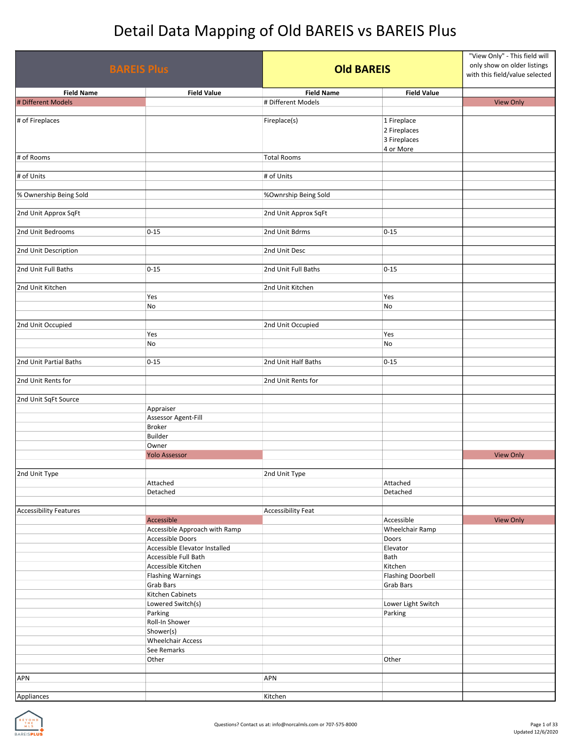| <b>BAREIS Plus</b>            |                               | <b>Old BAREIS</b>         |                          | "View Only" - This field will<br>only show on older listings<br>with this field/value selected |  |
|-------------------------------|-------------------------------|---------------------------|--------------------------|------------------------------------------------------------------------------------------------|--|
| <b>Field Name</b>             | <b>Field Value</b>            | <b>Field Name</b>         | <b>Field Value</b>       |                                                                                                |  |
| # Different Models            |                               | # Different Models        |                          | <b>View Only</b>                                                                               |  |
|                               |                               |                           |                          |                                                                                                |  |
| # of Fireplaces               |                               | Fireplace(s)              | 1 Fireplace              |                                                                                                |  |
|                               |                               |                           | 2 Fireplaces             |                                                                                                |  |
|                               |                               |                           | 3 Fireplaces             |                                                                                                |  |
| # of Rooms                    |                               | <b>Total Rooms</b>        | 4 or More                |                                                                                                |  |
|                               |                               |                           |                          |                                                                                                |  |
| # of Units                    |                               | # of Units                |                          |                                                                                                |  |
|                               |                               |                           |                          |                                                                                                |  |
| % Ownership Being Sold        |                               | %Ownrship Being Sold      |                          |                                                                                                |  |
|                               |                               |                           |                          |                                                                                                |  |
| 2nd Unit Approx SqFt          |                               | 2nd Unit Approx SqFt      |                          |                                                                                                |  |
|                               |                               |                           |                          |                                                                                                |  |
| 2nd Unit Bedrooms             | $0 - 15$                      | 2nd Unit Bdrms            | $0 - 15$                 |                                                                                                |  |
|                               |                               |                           |                          |                                                                                                |  |
| 2nd Unit Description          |                               | 2nd Unit Desc             |                          |                                                                                                |  |
|                               |                               |                           |                          |                                                                                                |  |
| 2nd Unit Full Baths           | $0 - 15$                      | 2nd Unit Full Baths       | $0 - 15$                 |                                                                                                |  |
|                               |                               |                           |                          |                                                                                                |  |
| 2nd Unit Kitchen              |                               | 2nd Unit Kitchen          |                          |                                                                                                |  |
|                               | Yes                           |                           | Yes                      |                                                                                                |  |
|                               | No                            |                           | No                       |                                                                                                |  |
| 2nd Unit Occupied             |                               | 2nd Unit Occupied         |                          |                                                                                                |  |
|                               | Yes                           |                           | Yes                      |                                                                                                |  |
|                               | No                            |                           | No                       |                                                                                                |  |
|                               |                               |                           |                          |                                                                                                |  |
| 2nd Unit Partial Baths        | $0 - 15$                      | 2nd Unit Half Baths       | $0 - 15$                 |                                                                                                |  |
|                               |                               |                           |                          |                                                                                                |  |
| 2nd Unit Rents for            |                               | 2nd Unit Rents for        |                          |                                                                                                |  |
|                               |                               |                           |                          |                                                                                                |  |
| 2nd Unit SqFt Source          |                               |                           |                          |                                                                                                |  |
|                               | Appraiser                     |                           |                          |                                                                                                |  |
|                               | Assessor Agent-Fill           |                           |                          |                                                                                                |  |
|                               | <b>Broker</b>                 |                           |                          |                                                                                                |  |
|                               | Builder                       |                           |                          |                                                                                                |  |
|                               | Owner                         |                           |                          |                                                                                                |  |
|                               | <b>Yolo Assessor</b>          |                           |                          | <b>View Only</b>                                                                               |  |
|                               |                               |                           |                          |                                                                                                |  |
| 2nd Unit Type                 | Attached                      | 2nd Unit Type             |                          |                                                                                                |  |
|                               | Detached                      |                           | Attached<br>Detached     |                                                                                                |  |
|                               |                               |                           |                          |                                                                                                |  |
| <b>Accessibility Features</b> |                               | <b>Accessibility Feat</b> |                          |                                                                                                |  |
|                               | Accessible                    |                           | Accessible               | <b>View Only</b>                                                                               |  |
|                               | Accessible Approach with Ramp |                           | Wheelchair Ramp          |                                                                                                |  |
|                               | Accessible Doors              |                           | Doors                    |                                                                                                |  |
|                               | Accessible Elevator Installed |                           | Elevator                 |                                                                                                |  |
|                               | Accessible Full Bath          |                           | Bath                     |                                                                                                |  |
|                               | Accessible Kitchen            |                           | Kitchen                  |                                                                                                |  |
|                               | <b>Flashing Warnings</b>      |                           | <b>Flashing Doorbell</b> |                                                                                                |  |
|                               | <b>Grab Bars</b>              |                           | <b>Grab Bars</b>         |                                                                                                |  |
|                               | Kitchen Cabinets              |                           |                          |                                                                                                |  |
|                               | Lowered Switch(s)             |                           | Lower Light Switch       |                                                                                                |  |
|                               | Parking                       |                           | Parking                  |                                                                                                |  |
|                               | Roll-In Shower                |                           |                          |                                                                                                |  |
|                               | Shower(s)                     |                           |                          |                                                                                                |  |
|                               | <b>Wheelchair Access</b>      |                           |                          |                                                                                                |  |
|                               | See Remarks                   |                           |                          |                                                                                                |  |
|                               | Other                         |                           | Other                    |                                                                                                |  |
| <b>APN</b>                    |                               | <b>APN</b>                |                          |                                                                                                |  |
|                               |                               |                           |                          |                                                                                                |  |
| Appliances                    |                               | Kitchen                   |                          |                                                                                                |  |

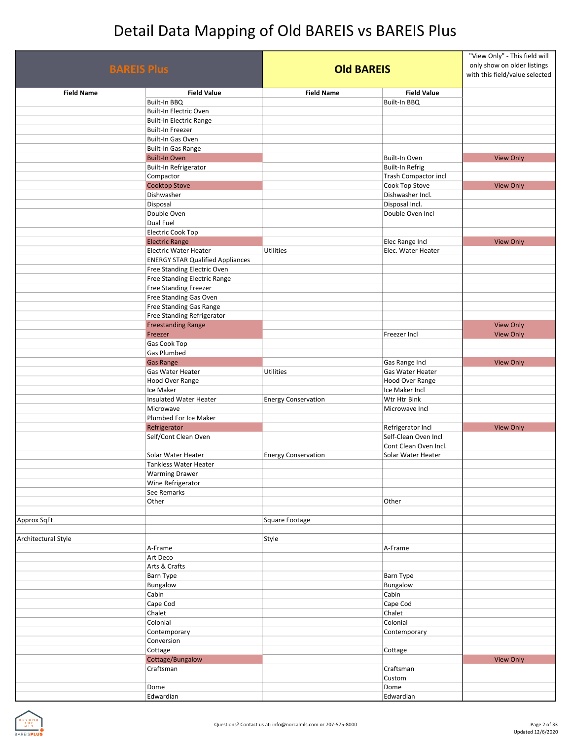| <b>BAREIS Plus</b>  |                                                        |                            | <b>Old BAREIS</b>           |                  |
|---------------------|--------------------------------------------------------|----------------------------|-----------------------------|------------------|
| <b>Field Name</b>   | <b>Field Value</b>                                     | <b>Field Name</b>          | <b>Field Value</b>          |                  |
|                     | Built-In BBQ                                           |                            | Built-In BBQ                |                  |
|                     | Built-In Electric Oven                                 |                            |                             |                  |
|                     | <b>Built-In Electric Range</b>                         |                            |                             |                  |
|                     | Built-In Freezer                                       |                            |                             |                  |
|                     | Built-In Gas Oven                                      |                            |                             |                  |
|                     | Built-In Gas Range                                     |                            |                             |                  |
|                     | <b>Built-In Oven</b>                                   |                            | Built-In Oven               | <b>View Only</b> |
|                     | Built-In Refrigerator                                  |                            | <b>Built-In Refrig</b>      |                  |
|                     | Compactor                                              |                            | <b>Trash Compactor incl</b> |                  |
|                     | <b>Cooktop Stove</b>                                   |                            | Cook Top Stove              | <b>View Only</b> |
|                     | Dishwasher                                             |                            | Dishwasher Incl.            |                  |
|                     | Disposal                                               |                            | Disposal Incl.              |                  |
|                     | Double Oven                                            |                            | Double Oven Incl            |                  |
|                     | Dual Fuel                                              |                            |                             |                  |
|                     | <b>Electric Cook Top</b>                               |                            |                             |                  |
|                     | <b>Electric Range</b>                                  |                            | Elec Range Incl             | <b>View Only</b> |
|                     | <b>Electric Water Heater</b>                           | Utilities                  | Elec. Water Heater          |                  |
|                     | <b>ENERGY STAR Qualified Appliances</b>                |                            |                             |                  |
|                     | Free Standing Electric Oven                            |                            |                             |                  |
|                     | Free Standing Electric Range                           |                            |                             |                  |
|                     | <b>Free Standing Freezer</b><br>Free Standing Gas Oven |                            |                             |                  |
|                     | Free Standing Gas Range                                |                            |                             |                  |
|                     | Free Standing Refrigerator                             |                            |                             |                  |
|                     | <b>Freestanding Range</b>                              |                            |                             | <b>View Only</b> |
|                     | Freezer                                                |                            | Freezer Incl                | <b>View Only</b> |
|                     | Gas Cook Top                                           |                            |                             |                  |
|                     | Gas Plumbed                                            |                            |                             |                  |
|                     | <b>Gas Range</b>                                       |                            | Gas Range Incl              | <b>View Only</b> |
|                     | Gas Water Heater                                       | Utilities                  | Gas Water Heater            |                  |
|                     | Hood Over Range                                        |                            | Hood Over Range             |                  |
|                     | Ice Maker                                              |                            | Ice Maker Incl              |                  |
|                     | <b>Insulated Water Heater</b>                          | <b>Energy Conservation</b> | Wtr Htr Blnk                |                  |
|                     | Microwave                                              |                            | Microwave Incl              |                  |
|                     | Plumbed For Ice Maker                                  |                            |                             |                  |
|                     | Refrigerator                                           |                            | Refrigerator Incl           | <b>View Only</b> |
|                     | Self/Cont Clean Oven                                   |                            | Self-Clean Oven Incl        |                  |
|                     |                                                        |                            | Cont Clean Oven Incl.       |                  |
|                     | Solar Water Heater                                     | <b>Energy Conservation</b> | Solar Water Heater          |                  |
|                     | <b>Tankless Water Heater</b>                           |                            |                             |                  |
|                     | <b>Warming Drawer</b>                                  |                            |                             |                  |
|                     | Wine Refrigerator                                      |                            |                             |                  |
|                     | See Remarks                                            |                            |                             |                  |
|                     | Other                                                  |                            | Other                       |                  |
|                     |                                                        |                            |                             |                  |
| Approx SqFt         |                                                        | Square Footage             |                             |                  |
|                     |                                                        |                            |                             |                  |
| Architectural Style |                                                        | Style                      |                             |                  |
|                     | A-Frame                                                |                            | A-Frame                     |                  |
|                     | Art Deco                                               |                            |                             |                  |
|                     | Arts & Crafts                                          |                            |                             |                  |
|                     | <b>Barn Type</b>                                       |                            | <b>Barn Type</b>            |                  |
|                     | Bungalow                                               |                            | Bungalow                    |                  |
|                     | Cabin                                                  |                            | Cabin                       |                  |
|                     | Cape Cod<br>Chalet                                     |                            | Cape Cod<br>Chalet          |                  |
|                     | Colonial                                               |                            | Colonial                    |                  |
|                     |                                                        |                            |                             |                  |
|                     | Contemporary                                           |                            | Contemporary                |                  |
|                     | Conversion<br>Cottage                                  |                            |                             |                  |
|                     | Cottage/Bungalow                                       |                            | Cottage                     | <b>View Only</b> |
|                     | Craftsman                                              |                            | Craftsman                   |                  |
|                     |                                                        |                            | Custom                      |                  |
|                     | Dome                                                   |                            | Dome                        |                  |
|                     | Edwardian                                              |                            | Edwardian                   |                  |
|                     |                                                        |                            |                             |                  |

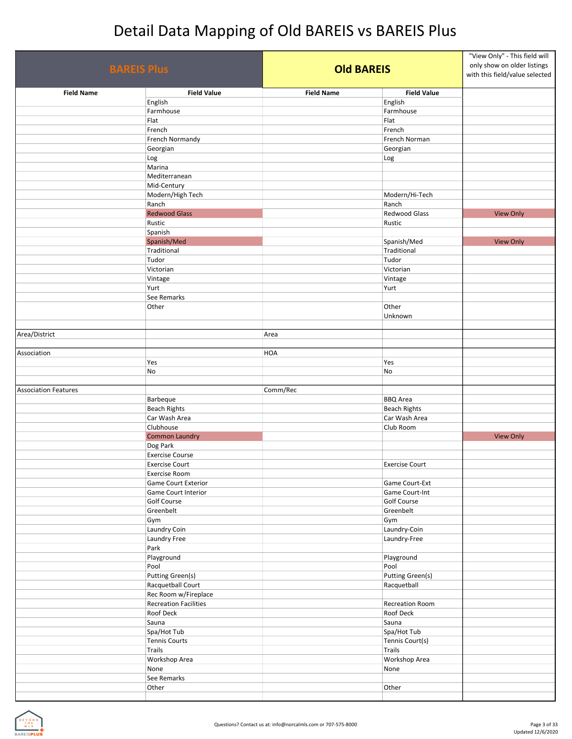| <b>BAREIS Plus</b>          |                              | <b>Old BAREIS</b> |                       | "View Only" - This field will<br>only show on older listings<br>with this field/value selected |
|-----------------------------|------------------------------|-------------------|-----------------------|------------------------------------------------------------------------------------------------|
| <b>Field Name</b>           | <b>Field Value</b>           | <b>Field Name</b> | <b>Field Value</b>    |                                                                                                |
|                             | English                      |                   | English               |                                                                                                |
|                             | Farmhouse                    |                   | Farmhouse             |                                                                                                |
|                             | Flat                         |                   | Flat                  |                                                                                                |
|                             | French                       |                   | French                |                                                                                                |
|                             | French Normandy              |                   | French Norman         |                                                                                                |
|                             | Georgian                     |                   | Georgian              |                                                                                                |
|                             | Log                          |                   | Log                   |                                                                                                |
|                             | Marina                       |                   |                       |                                                                                                |
|                             | Mediterranean                |                   |                       |                                                                                                |
|                             | Mid-Century                  |                   |                       |                                                                                                |
|                             | Modern/High Tech             |                   | Modern/Hi-Tech        |                                                                                                |
|                             | Ranch                        |                   | Ranch                 |                                                                                                |
|                             | <b>Redwood Glass</b>         |                   | Redwood Glass         | <b>View Only</b>                                                                               |
|                             | Rustic                       |                   | Rustic                |                                                                                                |
|                             | Spanish                      |                   |                       |                                                                                                |
|                             | Spanish/Med                  |                   | Spanish/Med           | <b>View Only</b>                                                                               |
|                             | Traditional                  |                   | Traditional           |                                                                                                |
|                             | Tudor                        |                   | Tudor                 |                                                                                                |
|                             | Victorian                    |                   | Victorian             |                                                                                                |
|                             | Vintage                      |                   | Vintage               |                                                                                                |
|                             | Yurt                         |                   | Yurt                  |                                                                                                |
|                             | See Remarks                  |                   |                       |                                                                                                |
|                             | Other                        |                   | Other<br>Unknown      |                                                                                                |
| Area/District               |                              | Area              |                       |                                                                                                |
| Association                 |                              | HOA               |                       |                                                                                                |
|                             | Yes<br>No                    |                   | Yes<br>No             |                                                                                                |
| <b>Association Features</b> | Barbeque                     | Comm/Rec          | <b>BBQ</b> Area       |                                                                                                |
|                             | <b>Beach Rights</b>          |                   | <b>Beach Rights</b>   |                                                                                                |
|                             | Car Wash Area                |                   | Car Wash Area         |                                                                                                |
|                             | Clubhouse                    |                   | Club Room             |                                                                                                |
|                             | <b>Common Laundry</b>        |                   |                       | <b>View Only</b>                                                                               |
|                             |                              |                   |                       |                                                                                                |
|                             | Dog Park                     |                   |                       |                                                                                                |
|                             | <b>Exercise Course</b>       |                   |                       |                                                                                                |
|                             | <b>Exercise Court</b>        |                   | <b>Exercise Court</b> |                                                                                                |
|                             | <b>Exercise Room</b>         |                   |                       |                                                                                                |
|                             | <b>Game Court Exterior</b>   |                   | Game Court-Ext        |                                                                                                |
|                             | Game Court Interior          |                   | Game Court-Int        |                                                                                                |
|                             | <b>Golf Course</b>           |                   | Golf Course           |                                                                                                |
|                             | Greenbelt                    |                   | Greenbelt             |                                                                                                |
|                             | Gym                          |                   | Gym                   |                                                                                                |
|                             | Laundry Coin                 |                   | Laundry-Coin          |                                                                                                |
|                             | Laundry Free                 |                   | Laundry-Free          |                                                                                                |
|                             | Park                         |                   |                       |                                                                                                |
|                             | Playground                   |                   | Playground            |                                                                                                |
|                             | Pool                         |                   | Pool                  |                                                                                                |
|                             | <b>Putting Green(s)</b>      |                   | Putting Green(s)      |                                                                                                |
|                             | Racquetball Court            |                   | Racquetball           |                                                                                                |
|                             | Rec Room w/Fireplace         |                   |                       |                                                                                                |
|                             | <b>Recreation Facilities</b> |                   | Recreation Room       |                                                                                                |
|                             | Roof Deck                    |                   | Roof Deck             |                                                                                                |
|                             | Sauna                        |                   | Sauna                 |                                                                                                |
|                             | Spa/Hot Tub                  |                   | Spa/Hot Tub           |                                                                                                |
|                             | <b>Tennis Courts</b>         |                   | Tennis Court(s)       |                                                                                                |
|                             | <b>Trails</b>                |                   | Trails                |                                                                                                |
|                             |                              |                   |                       |                                                                                                |
|                             | Workshop Area                |                   | Workshop Area         |                                                                                                |
|                             | None                         |                   | None                  |                                                                                                |
|                             | See Remarks                  |                   |                       |                                                                                                |
|                             | Other                        |                   | Other                 |                                                                                                |

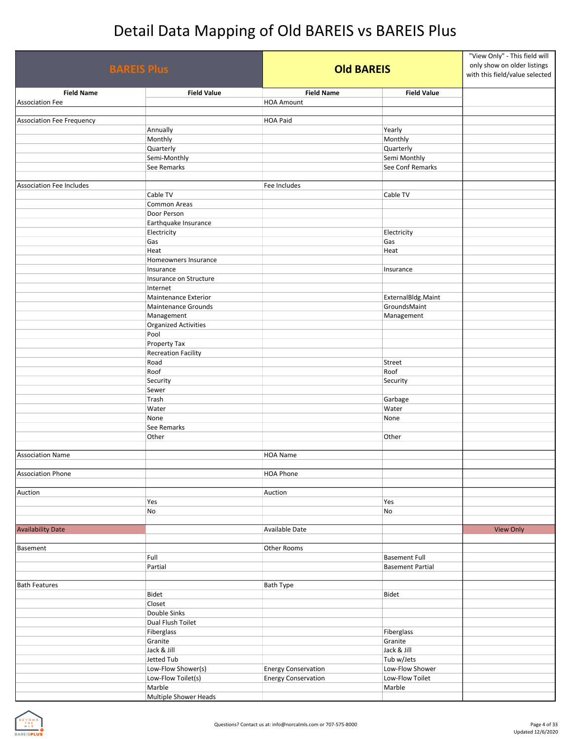| <b>BAREIS Plus</b>                          |                                                    | <b>Old BAREIS</b>                      |                                                 | "View Only" - This field will<br>only show on older listings<br>with this field/value selected |
|---------------------------------------------|----------------------------------------------------|----------------------------------------|-------------------------------------------------|------------------------------------------------------------------------------------------------|
| <b>Field Name</b><br><b>Association Fee</b> | <b>Field Value</b>                                 | <b>Field Name</b><br><b>HOA Amount</b> | <b>Field Value</b>                              |                                                                                                |
|                                             |                                                    |                                        |                                                 |                                                                                                |
| <b>Association Fee Frequency</b>            |                                                    | <b>HOA Paid</b>                        |                                                 |                                                                                                |
|                                             | Annually                                           |                                        | Yearly                                          |                                                                                                |
|                                             | Monthly                                            |                                        | Monthly                                         |                                                                                                |
|                                             | Quarterly                                          |                                        | Quarterly                                       |                                                                                                |
|                                             | Semi-Monthly                                       |                                        | Semi Monthly                                    |                                                                                                |
|                                             | See Remarks                                        |                                        | See Conf Remarks                                |                                                                                                |
| <b>Association Fee Includes</b>             |                                                    | Fee Includes                           |                                                 |                                                                                                |
|                                             | Cable TV                                           |                                        | Cable TV                                        |                                                                                                |
|                                             | Common Areas                                       |                                        |                                                 |                                                                                                |
|                                             | Door Person                                        |                                        |                                                 |                                                                                                |
|                                             | Earthquake Insurance                               |                                        |                                                 |                                                                                                |
|                                             | Electricity                                        |                                        | Electricity                                     |                                                                                                |
|                                             | Gas                                                |                                        | Gas                                             |                                                                                                |
|                                             | Heat                                               |                                        | Heat                                            |                                                                                                |
|                                             | Homeowners Insurance                               |                                        |                                                 |                                                                                                |
|                                             | Insurance                                          |                                        | Insurance                                       |                                                                                                |
|                                             | Insurance on Structure                             |                                        |                                                 |                                                                                                |
|                                             | Internet                                           |                                        |                                                 |                                                                                                |
|                                             | Maintenance Exterior<br><b>Maintenance Grounds</b> |                                        | ExternalBldg.Maint<br>GroundsMaint              |                                                                                                |
|                                             | Management                                         |                                        | Management                                      |                                                                                                |
|                                             | <b>Organized Activities</b>                        |                                        |                                                 |                                                                                                |
|                                             | Pool                                               |                                        |                                                 |                                                                                                |
|                                             | Property Tax                                       |                                        |                                                 |                                                                                                |
|                                             | <b>Recreation Facility</b>                         |                                        |                                                 |                                                                                                |
|                                             | Road                                               |                                        | Street                                          |                                                                                                |
|                                             | Roof                                               |                                        | Roof                                            |                                                                                                |
|                                             | Security                                           |                                        | Security                                        |                                                                                                |
|                                             | Sewer                                              |                                        |                                                 |                                                                                                |
|                                             | Trash                                              |                                        | Garbage                                         |                                                                                                |
|                                             | Water                                              |                                        | Water                                           |                                                                                                |
|                                             | None                                               |                                        | None                                            |                                                                                                |
|                                             | See Remarks                                        |                                        |                                                 |                                                                                                |
|                                             | Other                                              |                                        | Other                                           |                                                                                                |
| <b>Association Name</b>                     |                                                    | <b>HOA Name</b>                        |                                                 |                                                                                                |
|                                             |                                                    |                                        |                                                 |                                                                                                |
| <b>Association Phone</b>                    |                                                    | <b>HOA Phone</b>                       |                                                 |                                                                                                |
|                                             |                                                    |                                        |                                                 |                                                                                                |
| Auction                                     |                                                    | Auction                                |                                                 |                                                                                                |
|                                             | Yes                                                |                                        | Yes                                             |                                                                                                |
|                                             | No                                                 |                                        | No                                              |                                                                                                |
|                                             |                                                    |                                        |                                                 |                                                                                                |
| <b>Availability Date</b>                    |                                                    | Available Date                         |                                                 | <b>View Only</b>                                                                               |
|                                             |                                                    |                                        |                                                 |                                                                                                |
| <b>Basement</b>                             | Full                                               | Other Rooms                            |                                                 |                                                                                                |
|                                             | Partial                                            |                                        | <b>Basement Full</b><br><b>Basement Partial</b> |                                                                                                |
|                                             |                                                    |                                        |                                                 |                                                                                                |
| <b>Bath Features</b>                        |                                                    | Bath Type                              |                                                 |                                                                                                |
|                                             | Bidet                                              |                                        | Bidet                                           |                                                                                                |
|                                             | Closet                                             |                                        |                                                 |                                                                                                |
|                                             | Double Sinks                                       |                                        |                                                 |                                                                                                |
|                                             | Dual Flush Toilet                                  |                                        |                                                 |                                                                                                |
|                                             | Fiberglass                                         |                                        | Fiberglass                                      |                                                                                                |
|                                             | Granite                                            |                                        | Granite                                         |                                                                                                |
|                                             | Jack & Jill                                        |                                        | Jack & Jill                                     |                                                                                                |
|                                             | Jetted Tub                                         |                                        | Tub w/Jets                                      |                                                                                                |
|                                             | Low-Flow Shower(s)                                 | <b>Energy Conservation</b>             | Low-Flow Shower                                 |                                                                                                |
|                                             | Low-Flow Toilet(s)                                 | <b>Energy Conservation</b>             | Low-Flow Toilet                                 |                                                                                                |
|                                             | Marble<br>Multiple Shower Heads                    |                                        | Marble                                          |                                                                                                |
|                                             |                                                    |                                        |                                                 |                                                                                                |

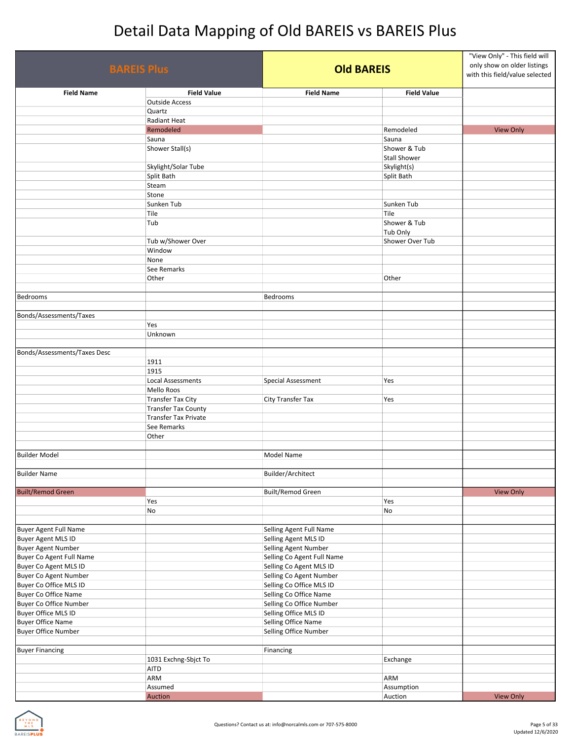| <b>BAREIS Plus</b>           |                              | <b>Old BAREIS</b>          |                             | "View Only" - This field will<br>only show on older listings<br>with this field/value selected |
|------------------------------|------------------------------|----------------------------|-----------------------------|------------------------------------------------------------------------------------------------|
| <b>Field Name</b>            | <b>Field Value</b>           | <b>Field Name</b>          | <b>Field Value</b>          |                                                                                                |
|                              | <b>Outside Access</b>        |                            |                             |                                                                                                |
|                              | Quartz                       |                            |                             |                                                                                                |
|                              | Radiant Heat                 |                            |                             |                                                                                                |
|                              | Remodeled                    |                            | Remodeled                   | <b>View Only</b>                                                                               |
|                              | Sauna                        |                            | Sauna                       |                                                                                                |
|                              | Shower Stall(s)              |                            | Shower & Tub                |                                                                                                |
|                              | Skylight/Solar Tube          |                            | Stall Shower<br>Skylight(s) |                                                                                                |
|                              | Split Bath                   |                            | Split Bath                  |                                                                                                |
|                              | Steam                        |                            |                             |                                                                                                |
|                              | Stone                        |                            |                             |                                                                                                |
|                              | Sunken Tub                   |                            | Sunken Tub                  |                                                                                                |
|                              | Tile                         |                            | Tile                        |                                                                                                |
|                              | Tub                          |                            | Shower & Tub                |                                                                                                |
|                              |                              |                            | Tub Only                    |                                                                                                |
|                              | Tub w/Shower Over            |                            | Shower Over Tub             |                                                                                                |
|                              | Window                       |                            |                             |                                                                                                |
|                              | None                         |                            |                             |                                                                                                |
|                              | See Remarks                  |                            |                             |                                                                                                |
|                              | Other                        |                            | Other                       |                                                                                                |
|                              |                              |                            |                             |                                                                                                |
| <b>Bedrooms</b>              |                              | Bedrooms                   |                             |                                                                                                |
| Bonds/Assessments/Taxes      |                              |                            |                             |                                                                                                |
|                              | Yes                          |                            |                             |                                                                                                |
|                              | Unknown                      |                            |                             |                                                                                                |
|                              |                              |                            |                             |                                                                                                |
| Bonds/Assessments/Taxes Desc |                              |                            |                             |                                                                                                |
|                              | 1911                         |                            |                             |                                                                                                |
|                              | 1915                         |                            |                             |                                                                                                |
|                              | Local Assessments            | Special Assessment         | Yes                         |                                                                                                |
|                              | Mello Roos                   |                            |                             |                                                                                                |
|                              | <b>Transfer Tax City</b>     | City Transfer Tax          | Yes                         |                                                                                                |
|                              | <b>Transfer Tax County</b>   |                            |                             |                                                                                                |
|                              | <b>Transfer Tax Private</b>  |                            |                             |                                                                                                |
|                              | See Remarks                  |                            |                             |                                                                                                |
|                              | Other                        |                            |                             |                                                                                                |
|                              |                              |                            |                             |                                                                                                |
| <b>Builder Model</b>         |                              | Model Name                 |                             |                                                                                                |
| <b>Builder Name</b>          |                              |                            |                             |                                                                                                |
|                              |                              | Builder/Architect          |                             |                                                                                                |
| <b>Built/Remod Green</b>     |                              | <b>Built/Remod Green</b>   |                             | <b>View Only</b>                                                                               |
|                              | Yes                          |                            | Yes                         |                                                                                                |
|                              | No                           |                            | No                          |                                                                                                |
|                              |                              |                            |                             |                                                                                                |
| <b>Buyer Agent Full Name</b> |                              | Selling Agent Full Name    |                             |                                                                                                |
| <b>Buyer Agent MLS ID</b>    |                              | Selling Agent MLS ID       |                             |                                                                                                |
| <b>Buyer Agent Number</b>    |                              | Selling Agent Number       |                             |                                                                                                |
| Buyer Co Agent Full Name     |                              | Selling Co Agent Full Name |                             |                                                                                                |
| Buyer Co Agent MLS ID        |                              | Selling Co Agent MLS ID    |                             |                                                                                                |
| <b>Buyer Co Agent Number</b> |                              | Selling Co Agent Number    |                             |                                                                                                |
| Buyer Co Office MLS ID       |                              | Selling Co Office MLS ID   |                             |                                                                                                |
| <b>Buyer Co Office Name</b>  |                              | Selling Co Office Name     |                             |                                                                                                |
| Buyer Co Office Number       |                              | Selling Co Office Number   |                             |                                                                                                |
| <b>Buyer Office MLS ID</b>   |                              | Selling Office MLS ID      |                             |                                                                                                |
| <b>Buyer Office Name</b>     |                              | Selling Office Name        |                             |                                                                                                |
| <b>Buyer Office Number</b>   |                              | Selling Office Number      |                             |                                                                                                |
|                              |                              |                            |                             |                                                                                                |
| <b>Buyer Financing</b>       |                              | Financing                  |                             |                                                                                                |
|                              | 1031 Exchng-Sbjct To<br>AITD |                            | Exchange                    |                                                                                                |
|                              | ARM                          |                            | ARM                         |                                                                                                |
|                              | Assumed                      |                            | Assumption                  |                                                                                                |
|                              | Auction                      |                            | Auction                     | <b>View Only</b>                                                                               |

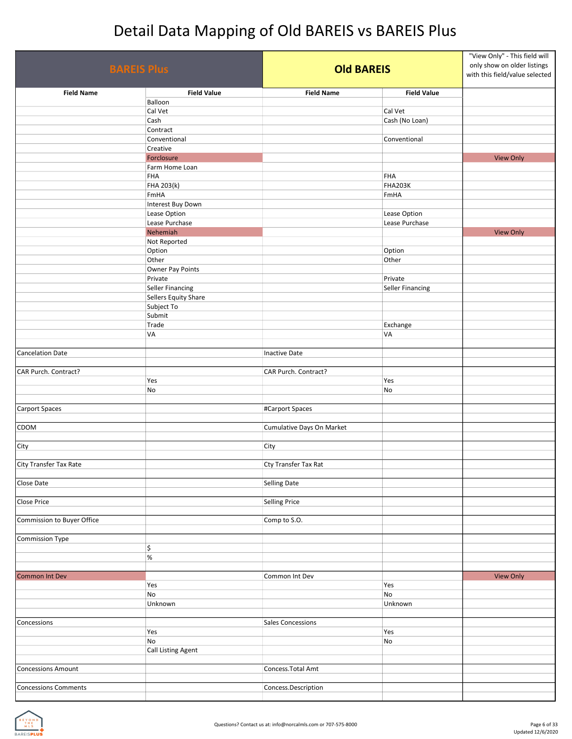| <b>BAREIS Plus</b>          |                            | <b>Old BAREIS</b>         |                    | "View Only" - This field will<br>only show on older listings<br>with this field/value selected |
|-----------------------------|----------------------------|---------------------------|--------------------|------------------------------------------------------------------------------------------------|
| <b>Field Name</b>           | <b>Field Value</b>         | <b>Field Name</b>         | <b>Field Value</b> |                                                                                                |
|                             | Balloon                    |                           |                    |                                                                                                |
|                             | Cal Vet                    |                           | Cal Vet            |                                                                                                |
|                             | Cash                       |                           | Cash (No Loan)     |                                                                                                |
|                             | Contract                   |                           |                    |                                                                                                |
|                             | Conventional<br>Creative   |                           | Conventional       |                                                                                                |
|                             | Forclosure                 |                           |                    | <b>View Only</b>                                                                               |
|                             | Farm Home Loan             |                           |                    |                                                                                                |
|                             | <b>FHA</b>                 |                           | FHA                |                                                                                                |
|                             | FHA 203(k)                 |                           | FHA203K            |                                                                                                |
|                             | FmHA                       |                           | FmHA               |                                                                                                |
|                             | Interest Buy Down          |                           |                    |                                                                                                |
|                             | Lease Option               |                           | Lease Option       |                                                                                                |
|                             | Lease Purchase<br>Nehemiah |                           | Lease Purchase     | <b>View Only</b>                                                                               |
|                             | Not Reported               |                           |                    |                                                                                                |
|                             | Option                     |                           | Option             |                                                                                                |
|                             | Other                      |                           | Other              |                                                                                                |
|                             | Owner Pay Points           |                           |                    |                                                                                                |
|                             | Private                    |                           | Private            |                                                                                                |
|                             | <b>Seller Financing</b>    |                           | Seller Financing   |                                                                                                |
|                             | Sellers Equity Share       |                           |                    |                                                                                                |
|                             | Subject To                 |                           |                    |                                                                                                |
|                             | Submit<br>Trade            |                           | Exchange           |                                                                                                |
|                             | VA                         |                           | VA                 |                                                                                                |
|                             |                            |                           |                    |                                                                                                |
| <b>Cancelation Date</b>     |                            | Inactive Date             |                    |                                                                                                |
| CAR Purch. Contract?        |                            | CAR Purch. Contract?      |                    |                                                                                                |
|                             | Yes                        |                           | Yes                |                                                                                                |
|                             | No                         |                           | No                 |                                                                                                |
| <b>Carport Spaces</b>       |                            | #Carport Spaces           |                    |                                                                                                |
|                             |                            |                           |                    |                                                                                                |
| CDOM                        |                            | Cumulative Days On Market |                    |                                                                                                |
|                             |                            |                           |                    |                                                                                                |
| City                        |                            | City                      |                    |                                                                                                |
|                             |                            | Cty Transfer Tax Rat      |                    |                                                                                                |
| City Transfer Tax Rate      |                            |                           |                    |                                                                                                |
| Close Date                  |                            | <b>Selling Date</b>       |                    |                                                                                                |
|                             |                            |                           |                    |                                                                                                |
| Close Price                 |                            | Selling Price             |                    |                                                                                                |
| Commission to Buyer Office  |                            | Comp to S.O.              |                    |                                                                                                |
| <b>Commission Type</b>      |                            |                           |                    |                                                                                                |
|                             | \$                         |                           |                    |                                                                                                |
|                             | $\%$                       |                           |                    |                                                                                                |
|                             |                            |                           |                    |                                                                                                |
| <b>Common Int Dev</b>       |                            | Common Int Dev            |                    | <b>View Only</b>                                                                               |
|                             | Yes                        |                           | Yes                |                                                                                                |
|                             | No                         |                           | No                 |                                                                                                |
|                             | Unknown                    |                           | Unknown            |                                                                                                |
| Concessions                 |                            | <b>Sales Concessions</b>  |                    |                                                                                                |
|                             | Yes                        |                           | Yes                |                                                                                                |
|                             | No                         |                           | No                 |                                                                                                |
|                             | <b>Call Listing Agent</b>  |                           |                    |                                                                                                |
|                             |                            |                           |                    |                                                                                                |
| <b>Concessions Amount</b>   |                            | Concess. Total Amt        |                    |                                                                                                |
| <b>Concessions Comments</b> |                            | Concess.Description       |                    |                                                                                                |

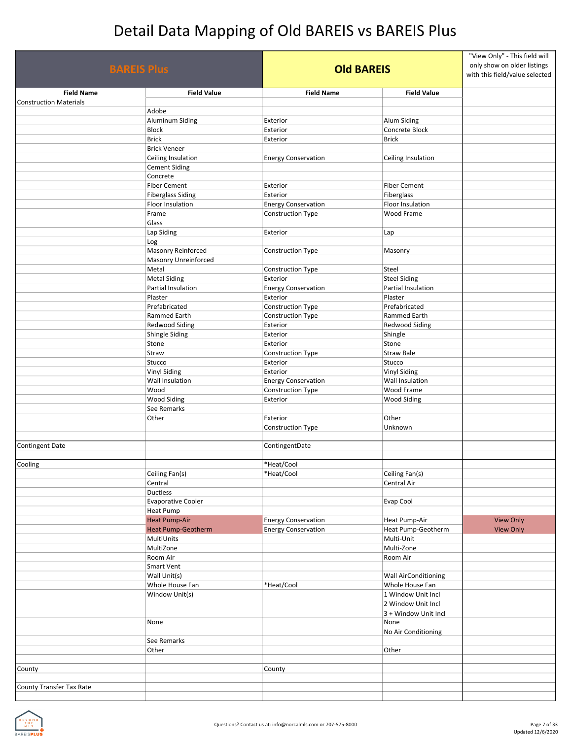| <b>BAREIS Plus</b>            |                                 | <b>Old BAREIS</b>          |                                                | "View Only" - This field will<br>only show on older listings<br>with this field/value selected |
|-------------------------------|---------------------------------|----------------------------|------------------------------------------------|------------------------------------------------------------------------------------------------|
| <b>Field Name</b>             | <b>Field Value</b>              | <b>Field Name</b>          | <b>Field Value</b>                             |                                                                                                |
| <b>Construction Materials</b> | Adobe                           |                            |                                                |                                                                                                |
|                               |                                 | Exterior                   |                                                |                                                                                                |
|                               | <b>Aluminum Siding</b><br>Block | Exterior                   | Alum Siding<br>Concrete Block                  |                                                                                                |
|                               | <b>Brick</b>                    | Exterior                   | <b>Brick</b>                                   |                                                                                                |
|                               | <b>Brick Veneer</b>             |                            |                                                |                                                                                                |
|                               | Ceiling Insulation              | <b>Energy Conservation</b> | Ceiling Insulation                             |                                                                                                |
|                               | <b>Cement Siding</b>            |                            |                                                |                                                                                                |
|                               | Concrete                        |                            |                                                |                                                                                                |
|                               | <b>Fiber Cement</b>             | Exterior                   | <b>Fiber Cement</b>                            |                                                                                                |
|                               | <b>Fiberglass Siding</b>        | Exterior                   | Fiberglass                                     |                                                                                                |
|                               | Floor Insulation                | <b>Energy Conservation</b> | Floor Insulation                               |                                                                                                |
|                               | Frame                           | Construction Type          | Wood Frame                                     |                                                                                                |
|                               | Glass                           |                            |                                                |                                                                                                |
|                               | Lap Siding                      | Exterior                   | Lap                                            |                                                                                                |
|                               | Log                             |                            |                                                |                                                                                                |
|                               | Masonry Reinforced              | <b>Construction Type</b>   | Masonry                                        |                                                                                                |
|                               | <b>Masonry Unreinforced</b>     |                            |                                                |                                                                                                |
|                               | Metal                           | Construction Type          | Steel                                          |                                                                                                |
|                               | <b>Metal Siding</b>             | Exterior                   | <b>Steel Siding</b>                            |                                                                                                |
|                               | Partial Insulation              | <b>Energy Conservation</b> | Partial Insulation                             |                                                                                                |
|                               | Plaster                         | Exterior                   | Plaster                                        |                                                                                                |
|                               | Prefabricated                   | Construction Type          | Prefabricated                                  |                                                                                                |
|                               | Rammed Earth                    | Construction Type          | Rammed Earth                                   |                                                                                                |
|                               | Redwood Siding                  | Exterior                   | <b>Redwood Siding</b>                          |                                                                                                |
|                               | <b>Shingle Siding</b>           | Exterior                   | Shingle                                        |                                                                                                |
|                               | Stone                           | Exterior                   | Stone                                          |                                                                                                |
|                               | Straw                           | <b>Construction Type</b>   | <b>Straw Bale</b>                              |                                                                                                |
|                               | Stucco                          | Exterior                   | Stucco                                         |                                                                                                |
|                               | <b>Vinyl Siding</b>             | Exterior                   | <b>Vinyl Siding</b>                            |                                                                                                |
|                               | Wall Insulation                 | <b>Energy Conservation</b> | Wall Insulation                                |                                                                                                |
|                               | Wood                            | <b>Construction Type</b>   | Wood Frame                                     |                                                                                                |
|                               | Wood Siding                     | Exterior                   | <b>Wood Siding</b>                             |                                                                                                |
|                               | See Remarks                     |                            |                                                |                                                                                                |
|                               | Other                           | Exterior                   | Other                                          |                                                                                                |
|                               |                                 | Construction Type          | Unknown                                        |                                                                                                |
|                               |                                 |                            |                                                |                                                                                                |
| <b>Contingent Date</b>        |                                 | ContingentDate             |                                                |                                                                                                |
|                               |                                 |                            |                                                |                                                                                                |
| Cooling                       |                                 | *Heat/Cool                 |                                                |                                                                                                |
|                               | Ceiling Fan(s)                  | *Heat/Cool                 | Ceiling Fan(s)                                 |                                                                                                |
|                               | Central                         |                            | Central Air                                    |                                                                                                |
|                               | Ductless                        |                            |                                                |                                                                                                |
|                               | <b>Evaporative Cooler</b>       |                            | Evap Cool                                      |                                                                                                |
|                               | Heat Pump                       |                            |                                                |                                                                                                |
|                               | <b>Heat Pump-Air</b>            | <b>Energy Conservation</b> | Heat Pump-Air                                  | <b>View Only</b>                                                                               |
|                               | <b>Heat Pump-Geotherm</b>       | <b>Energy Conservation</b> | Heat Pump-Geotherm                             | <b>View Only</b>                                                                               |
|                               | MultiUnits                      |                            | Multi-Unit                                     |                                                                                                |
|                               | MultiZone                       |                            | Multi-Zone                                     |                                                                                                |
|                               | Room Air                        |                            | Room Air                                       |                                                                                                |
|                               | Smart Vent                      |                            |                                                |                                                                                                |
|                               |                                 |                            |                                                |                                                                                                |
|                               | Wall Unit(s)<br>Whole House Fan | *Heat/Cool                 | <b>Wall AirConditioning</b><br>Whole House Fan |                                                                                                |
|                               | Window Unit(s)                  |                            | 1 Window Unit Incl                             |                                                                                                |
|                               |                                 |                            | 2 Window Unit Incl                             |                                                                                                |
|                               |                                 |                            | 3 + Window Unit Incl                           |                                                                                                |
|                               | None                            |                            | None                                           |                                                                                                |
|                               |                                 |                            | No Air Conditioning                            |                                                                                                |
|                               | See Remarks                     |                            |                                                |                                                                                                |
|                               | Other                           |                            | Other                                          |                                                                                                |
|                               |                                 |                            |                                                |                                                                                                |
| County                        |                                 | County                     |                                                |                                                                                                |
|                               |                                 |                            |                                                |                                                                                                |
| County Transfer Tax Rate      |                                 |                            |                                                |                                                                                                |
|                               |                                 |                            |                                                |                                                                                                |

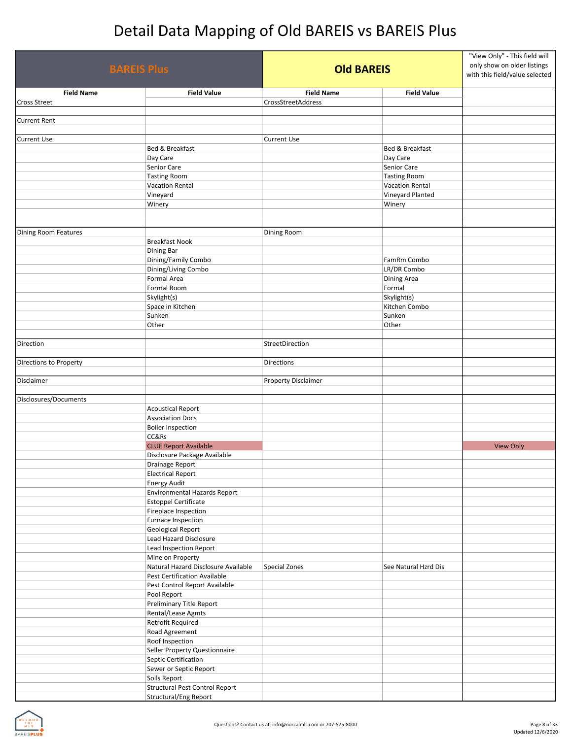| <b>BAREIS Plus</b>          |                   | <b>Old BAREIS</b>                                     |                     | "View Only" - This field will<br>only show on older listings<br>with this field/value selected |                  |
|-----------------------------|-------------------|-------------------------------------------------------|---------------------|------------------------------------------------------------------------------------------------|------------------|
|                             | <b>Field Name</b> | <b>Field Value</b>                                    | <b>Field Name</b>   | <b>Field Value</b>                                                                             |                  |
| <b>Cross Street</b>         |                   |                                                       | CrossStreetAddress  |                                                                                                |                  |
|                             |                   |                                                       |                     |                                                                                                |                  |
| <b>Current Rent</b>         |                   |                                                       |                     |                                                                                                |                  |
|                             |                   |                                                       |                     |                                                                                                |                  |
| <b>Current Use</b>          |                   | Bed & Breakfast                                       | <b>Current Use</b>  | Bed & Breakfast                                                                                |                  |
|                             |                   | Day Care                                              |                     | Day Care                                                                                       |                  |
|                             |                   | Senior Care                                           |                     | Senior Care                                                                                    |                  |
|                             |                   | <b>Tasting Room</b>                                   |                     | <b>Tasting Room</b>                                                                            |                  |
|                             |                   | <b>Vacation Rental</b>                                |                     | Vacation Rental                                                                                |                  |
|                             |                   | Vineyard                                              |                     | Vineyard Planted                                                                               |                  |
|                             |                   | Winery                                                |                     | Winery                                                                                         |                  |
|                             |                   |                                                       |                     |                                                                                                |                  |
|                             |                   |                                                       |                     |                                                                                                |                  |
| <b>Dining Room Features</b> |                   |                                                       | Dining Room         |                                                                                                |                  |
|                             |                   | <b>Breakfast Nook</b>                                 |                     |                                                                                                |                  |
|                             |                   | Dining Bar<br>Dining/Family Combo                     |                     | FamRm Combo                                                                                    |                  |
|                             |                   | Dining/Living Combo                                   |                     | LR/DR Combo                                                                                    |                  |
|                             |                   | Formal Area                                           |                     | Dining Area                                                                                    |                  |
|                             |                   | Formal Room                                           |                     | Formal                                                                                         |                  |
|                             |                   | Skylight(s)                                           |                     | Skylight(s)                                                                                    |                  |
|                             |                   | Space in Kitchen                                      |                     | Kitchen Combo                                                                                  |                  |
|                             |                   | Sunken                                                |                     | Sunken                                                                                         |                  |
|                             |                   | Other                                                 |                     | Other                                                                                          |                  |
|                             |                   |                                                       |                     |                                                                                                |                  |
| Direction                   |                   |                                                       | StreetDirection     |                                                                                                |                  |
|                             |                   |                                                       |                     |                                                                                                |                  |
| Directions to Property      |                   |                                                       | Directions          |                                                                                                |                  |
| Disclaimer                  |                   |                                                       | Property Disclaimer |                                                                                                |                  |
|                             |                   |                                                       |                     |                                                                                                |                  |
| Disclosures/Documents       |                   |                                                       |                     |                                                                                                |                  |
|                             |                   | <b>Acoustical Report</b>                              |                     |                                                                                                |                  |
|                             |                   | <b>Association Docs</b>                               |                     |                                                                                                |                  |
|                             |                   | <b>Boiler Inspection</b>                              |                     |                                                                                                |                  |
|                             |                   | CC&Rs                                                 |                     |                                                                                                |                  |
|                             |                   | <b>CLUE Report Available</b>                          |                     |                                                                                                | <b>View Only</b> |
|                             |                   | Disclosure Package Available                          |                     |                                                                                                |                  |
|                             |                   | Drainage Report                                       |                     |                                                                                                |                  |
|                             |                   | <b>Electrical Report</b>                              |                     |                                                                                                |                  |
|                             |                   | <b>Energy Audit</b>                                   |                     |                                                                                                |                  |
|                             |                   | Environmental Hazards Report                          |                     |                                                                                                |                  |
|                             |                   | <b>Estoppel Certificate</b><br>Fireplace Inspection   |                     |                                                                                                |                  |
|                             |                   | Furnace Inspection                                    |                     |                                                                                                |                  |
|                             |                   | <b>Geological Report</b>                              |                     |                                                                                                |                  |
|                             |                   | Lead Hazard Disclosure                                |                     |                                                                                                |                  |
|                             |                   | Lead Inspection Report                                |                     |                                                                                                |                  |
|                             |                   | Mine on Property                                      |                     |                                                                                                |                  |
|                             |                   | Natural Hazard Disclosure Available                   | Special Zones       | See Natural Hzrd Dis                                                                           |                  |
|                             |                   | Pest Certification Available                          |                     |                                                                                                |                  |
|                             |                   | Pest Control Report Available                         |                     |                                                                                                |                  |
|                             |                   | Pool Report                                           |                     |                                                                                                |                  |
|                             |                   | Preliminary Title Report                              |                     |                                                                                                |                  |
|                             |                   | Rental/Lease Agmts                                    |                     |                                                                                                |                  |
|                             |                   | Retrofit Required                                     |                     |                                                                                                |                  |
|                             |                   | Road Agreement                                        |                     |                                                                                                |                  |
|                             |                   | Roof Inspection                                       |                     |                                                                                                |                  |
|                             |                   | Seller Property Questionnaire                         |                     |                                                                                                |                  |
|                             |                   | Septic Certification                                  |                     |                                                                                                |                  |
|                             |                   | Sewer or Septic Report                                |                     |                                                                                                |                  |
|                             |                   | Soils Report<br><b>Structural Pest Control Report</b> |                     |                                                                                                |                  |
|                             |                   | <b>Structural/Eng Report</b>                          |                     |                                                                                                |                  |
|                             |                   |                                                       |                     |                                                                                                |                  |

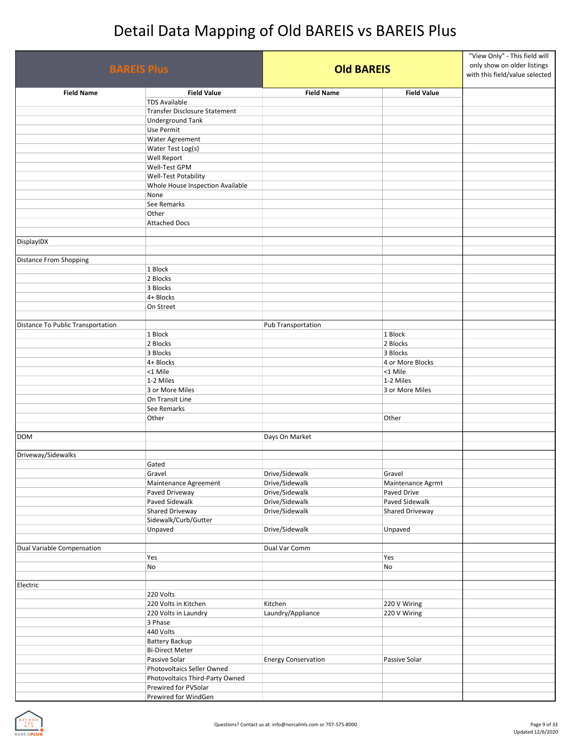| <b>BAREIS Plus</b>                |                                         |                                  | <b>Old BAREIS</b>                |  |
|-----------------------------------|-----------------------------------------|----------------------------------|----------------------------------|--|
| <b>Field Name</b>                 | <b>Field Value</b>                      | <b>Field Name</b>                | <b>Field Value</b>               |  |
|                                   | <b>TDS Available</b>                    |                                  |                                  |  |
|                                   | Transfer Disclosure Statement           |                                  |                                  |  |
|                                   | <b>Underground Tank</b>                 |                                  |                                  |  |
|                                   | Use Permit                              |                                  |                                  |  |
|                                   | Water Agreement                         |                                  |                                  |  |
|                                   | Water Test Log(s)<br>Well Report        |                                  |                                  |  |
|                                   | Well-Test GPM                           |                                  |                                  |  |
|                                   | Well-Test Potability                    |                                  |                                  |  |
|                                   | Whole House Inspection Available        |                                  |                                  |  |
|                                   | None                                    |                                  |                                  |  |
|                                   | See Remarks                             |                                  |                                  |  |
|                                   | Other                                   |                                  |                                  |  |
|                                   | <b>Attached Docs</b>                    |                                  |                                  |  |
|                                   |                                         |                                  |                                  |  |
| DisplayIDX                        |                                         |                                  |                                  |  |
| <b>Distance From Shopping</b>     |                                         |                                  |                                  |  |
|                                   | 1 Block                                 |                                  |                                  |  |
|                                   | 2 Blocks                                |                                  |                                  |  |
|                                   | 3 Blocks                                |                                  |                                  |  |
|                                   | 4+ Blocks                               |                                  |                                  |  |
|                                   | On Street                               |                                  |                                  |  |
|                                   |                                         |                                  |                                  |  |
| Distance To Public Transportation |                                         | Pub Transportation               |                                  |  |
|                                   | 1 Block                                 |                                  | 1 Block                          |  |
|                                   | 2 Blocks                                |                                  | 2 Blocks                         |  |
|                                   | 3 Blocks                                |                                  | 3 Blocks                         |  |
|                                   | 4+ Blocks                               |                                  | 4 or More Blocks                 |  |
|                                   | <1 Mile<br>1-2 Miles                    |                                  | <1 Mile<br>1-2 Miles             |  |
|                                   | 3 or More Miles                         |                                  | 3 or More Miles                  |  |
|                                   | On Transit Line                         |                                  |                                  |  |
|                                   | See Remarks                             |                                  |                                  |  |
|                                   | Other                                   |                                  | Other                            |  |
|                                   |                                         |                                  |                                  |  |
| <b>DOM</b>                        |                                         | Days On Market                   |                                  |  |
|                                   |                                         |                                  |                                  |  |
| Driveway/Sidewalks                |                                         |                                  |                                  |  |
|                                   | Gated                                   |                                  |                                  |  |
|                                   | Gravel                                  | Drive/Sidewalk<br>Drive/Sidewalk | Gravel                           |  |
|                                   | Maintenance Agreement<br>Paved Driveway | Drive/Sidewalk                   | Maintenance Agrmt<br>Paved Drive |  |
|                                   | Paved Sidewalk                          | Drive/Sidewalk                   | Paved Sidewalk                   |  |
|                                   | Shared Driveway                         | Drive/Sidewalk                   | Shared Driveway                  |  |
|                                   | Sidewalk/Curb/Gutter                    |                                  |                                  |  |
|                                   | Unpaved                                 | Drive/Sidewalk                   | Unpaved                          |  |
|                                   |                                         |                                  |                                  |  |
| Dual Variable Compensation        |                                         | Dual Var Comm                    |                                  |  |
|                                   | Yes                                     |                                  | Yes                              |  |
|                                   | No                                      |                                  | No                               |  |
|                                   |                                         |                                  |                                  |  |
| Electric                          | 220 Volts                               |                                  |                                  |  |
|                                   | 220 Volts in Kitchen                    | Kitchen                          | 220 V Wiring                     |  |
|                                   | 220 Volts in Laundry                    | Laundry/Appliance                | 220 V Wiring                     |  |
|                                   | 3 Phase                                 |                                  |                                  |  |
|                                   | 440 Volts                               |                                  |                                  |  |
|                                   | Battery Backup                          |                                  |                                  |  |
|                                   | <b>Bi-Direct Meter</b>                  |                                  |                                  |  |
|                                   | Passive Solar                           | <b>Energy Conservation</b>       | Passive Solar                    |  |
|                                   | Photovoltaics Seller Owned              |                                  |                                  |  |
|                                   | Photovoltaics Third-Party Owned         |                                  |                                  |  |
|                                   | Prewired for PVSolar                    |                                  |                                  |  |
|                                   | Prewired for WindGen                    |                                  |                                  |  |

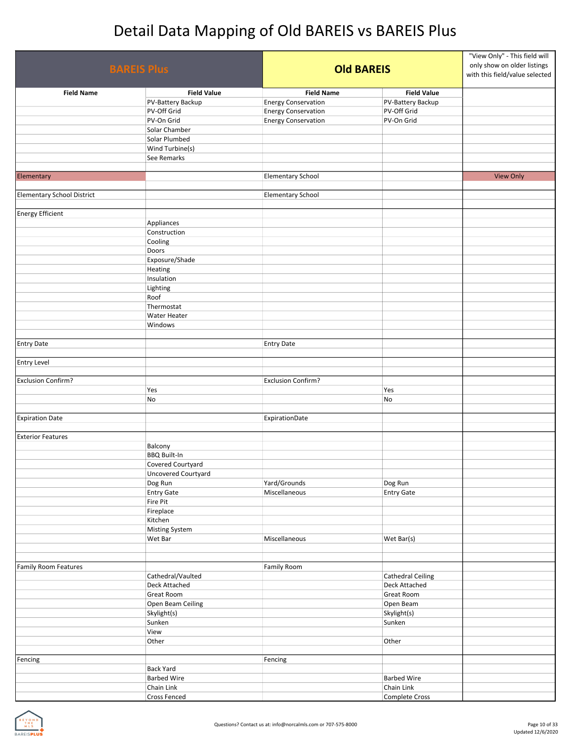| <b>BAREIS Plus</b>                |                     | <b>Old BAREIS</b>          |                          | "View Only" - This field will<br>only show on older listings<br>with this field/value selected |
|-----------------------------------|---------------------|----------------------------|--------------------------|------------------------------------------------------------------------------------------------|
| <b>Field Name</b>                 | <b>Field Value</b>  | <b>Field Name</b>          | <b>Field Value</b>       |                                                                                                |
|                                   | PV-Battery Backup   | <b>Energy Conservation</b> | PV-Battery Backup        |                                                                                                |
|                                   | PV-Off Grid         | <b>Energy Conservation</b> | PV-Off Grid              |                                                                                                |
|                                   | PV-On Grid          | <b>Energy Conservation</b> | PV-On Grid               |                                                                                                |
|                                   | Solar Chamber       |                            |                          |                                                                                                |
|                                   | Solar Plumbed       |                            |                          |                                                                                                |
|                                   | Wind Turbine(s)     |                            |                          |                                                                                                |
|                                   | See Remarks         |                            |                          |                                                                                                |
|                                   |                     |                            |                          |                                                                                                |
| Elementary                        |                     | <b>Elementary School</b>   |                          | <b>View Only</b>                                                                               |
|                                   |                     |                            |                          |                                                                                                |
| <b>Elementary School District</b> |                     | <b>Elementary School</b>   |                          |                                                                                                |
|                                   |                     |                            |                          |                                                                                                |
| <b>Energy Efficient</b>           |                     |                            |                          |                                                                                                |
|                                   | Appliances          |                            |                          |                                                                                                |
|                                   | Construction        |                            |                          |                                                                                                |
|                                   | Cooling             |                            |                          |                                                                                                |
|                                   | Doors               |                            |                          |                                                                                                |
|                                   | Exposure/Shade      |                            |                          |                                                                                                |
|                                   | Heating             |                            |                          |                                                                                                |
|                                   | Insulation          |                            |                          |                                                                                                |
|                                   | Lighting            |                            |                          |                                                                                                |
|                                   | Roof                |                            |                          |                                                                                                |
|                                   | Thermostat          |                            |                          |                                                                                                |
|                                   | Water Heater        |                            |                          |                                                                                                |
|                                   | Windows             |                            |                          |                                                                                                |
|                                   |                     |                            |                          |                                                                                                |
| <b>Entry Date</b>                 |                     | <b>Entry Date</b>          |                          |                                                                                                |
|                                   |                     |                            |                          |                                                                                                |
| <b>Entry Level</b>                |                     |                            |                          |                                                                                                |
|                                   |                     |                            |                          |                                                                                                |
| <b>Exclusion Confirm?</b>         |                     | <b>Exclusion Confirm?</b>  |                          |                                                                                                |
|                                   | Yes                 |                            | Yes                      |                                                                                                |
|                                   | No                  |                            | No                       |                                                                                                |
|                                   |                     |                            |                          |                                                                                                |
| <b>Expiration Date</b>            |                     | ExpirationDate             |                          |                                                                                                |
|                                   |                     |                            |                          |                                                                                                |
| <b>Exterior Features</b>          |                     |                            |                          |                                                                                                |
|                                   | Balcony             |                            |                          |                                                                                                |
|                                   | <b>BBQ Built-In</b> |                            |                          |                                                                                                |
|                                   | Covered Courtyard   |                            |                          |                                                                                                |
|                                   | Uncovered Courtyard |                            |                          |                                                                                                |
|                                   | Dog Run             | Yard/Grounds               | Dog Run                  |                                                                                                |
|                                   | <b>Entry Gate</b>   | Miscellaneous              | <b>Entry Gate</b>        |                                                                                                |
|                                   | Fire Pit            |                            |                          |                                                                                                |
|                                   | Fireplace           |                            |                          |                                                                                                |
|                                   | Kitchen             |                            |                          |                                                                                                |
|                                   | Misting System      |                            |                          |                                                                                                |
|                                   | Wet Bar             | Miscellaneous              | Wet Bar(s)               |                                                                                                |
|                                   |                     |                            |                          |                                                                                                |
|                                   |                     |                            |                          |                                                                                                |
| <b>Family Room Features</b>       |                     | Family Room                |                          |                                                                                                |
|                                   | Cathedral/Vaulted   |                            | <b>Cathedral Ceiling</b> |                                                                                                |
|                                   | Deck Attached       |                            | Deck Attached            |                                                                                                |
|                                   | Great Room          |                            | Great Room               |                                                                                                |
|                                   | Open Beam Ceiling   |                            | Open Beam                |                                                                                                |
|                                   | Skylight(s)         |                            | Skylight(s)              |                                                                                                |
|                                   | Sunken              |                            | Sunken                   |                                                                                                |
|                                   | View                |                            |                          |                                                                                                |
|                                   | Other               |                            | Other                    |                                                                                                |
|                                   |                     |                            |                          |                                                                                                |
| Fencing                           |                     | Fencing                    |                          |                                                                                                |
|                                   | <b>Back Yard</b>    |                            |                          |                                                                                                |
|                                   | <b>Barbed Wire</b>  |                            | <b>Barbed Wire</b>       |                                                                                                |
|                                   | Chain Link          |                            | Chain Link               |                                                                                                |
|                                   | Cross Fenced        |                            | Complete Cross           |                                                                                                |

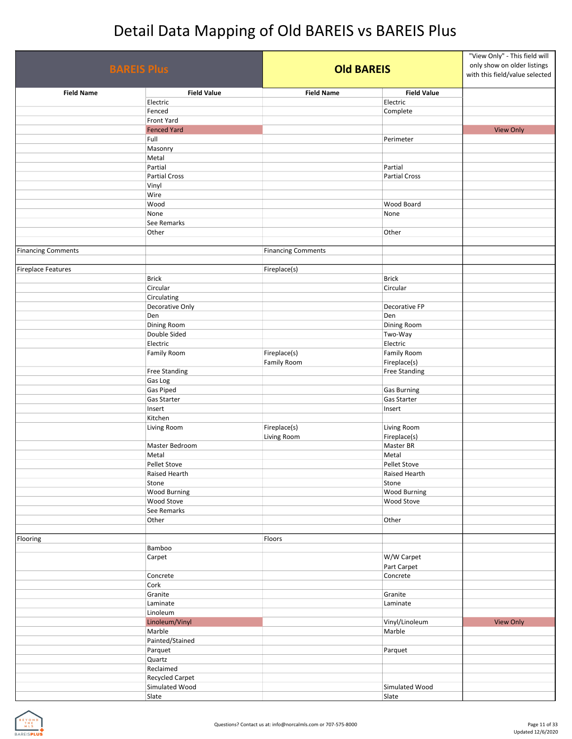| <b>BAREIS Plus</b>        |                          | <b>Old BAREIS</b>         |                      | "View Only" - This field will<br>only show on older listings<br>with this field/value selected |
|---------------------------|--------------------------|---------------------------|----------------------|------------------------------------------------------------------------------------------------|
| <b>Field Name</b>         | <b>Field Value</b>       | <b>Field Name</b>         | <b>Field Value</b>   |                                                                                                |
|                           | Electric                 |                           | Electric             |                                                                                                |
|                           | Fenced                   |                           | Complete             |                                                                                                |
|                           | Front Yard               |                           |                      |                                                                                                |
|                           | <b>Fenced Yard</b>       |                           |                      | <b>View Only</b>                                                                               |
|                           | Full                     |                           | Perimeter            |                                                                                                |
|                           | Masonry                  |                           |                      |                                                                                                |
|                           | Metal                    |                           |                      |                                                                                                |
|                           | Partial                  |                           | Partial              |                                                                                                |
|                           | Partial Cross            |                           | <b>Partial Cross</b> |                                                                                                |
|                           | Vinyl                    |                           |                      |                                                                                                |
|                           | Wire                     |                           |                      |                                                                                                |
|                           | Wood                     |                           | Wood Board           |                                                                                                |
|                           | None                     |                           | None                 |                                                                                                |
|                           | See Remarks              |                           |                      |                                                                                                |
|                           | Other                    |                           | Other                |                                                                                                |
|                           |                          |                           |                      |                                                                                                |
| <b>Financing Comments</b> |                          | <b>Financing Comments</b> |                      |                                                                                                |
|                           |                          |                           |                      |                                                                                                |
| <b>Fireplace Features</b> |                          | Fireplace(s)              |                      |                                                                                                |
|                           | <b>Brick</b><br>Circular |                           | <b>Brick</b>         |                                                                                                |
|                           | Circulating              |                           | Circular             |                                                                                                |
|                           | Decorative Only          |                           | Decorative FP        |                                                                                                |
|                           | Den                      |                           | Den                  |                                                                                                |
|                           | Dining Room              |                           | Dining Room          |                                                                                                |
|                           | Double Sided             |                           | Two-Way              |                                                                                                |
|                           | Electric                 |                           | Electric             |                                                                                                |
|                           | Family Room              | Fireplace(s)              | <b>Family Room</b>   |                                                                                                |
|                           |                          | Family Room               | Fireplace(s)         |                                                                                                |
|                           | <b>Free Standing</b>     |                           | <b>Free Standing</b> |                                                                                                |
|                           | Gas Log                  |                           |                      |                                                                                                |
|                           | Gas Piped                |                           | <b>Gas Burning</b>   |                                                                                                |
|                           | Gas Starter              |                           | Gas Starter          |                                                                                                |
|                           | Insert                   |                           | Insert               |                                                                                                |
|                           | Kitchen                  |                           |                      |                                                                                                |
|                           | Living Room              | Fireplace(s)              | Living Room          |                                                                                                |
|                           |                          | Living Room               | Fireplace(s)         |                                                                                                |
|                           | Master Bedroom           |                           | Master BR            |                                                                                                |
|                           | Metal                    |                           | Metal                |                                                                                                |
|                           | Pellet Stove             |                           | <b>Pellet Stove</b>  |                                                                                                |
|                           | Raised Hearth            |                           | Raised Hearth        |                                                                                                |
|                           | Stone                    |                           | Stone                |                                                                                                |
|                           | <b>Wood Burning</b>      |                           | <b>Wood Burning</b>  |                                                                                                |
|                           | Wood Stove               |                           | Wood Stove           |                                                                                                |
|                           | See Remarks              |                           |                      |                                                                                                |
|                           | Other                    |                           | Other                |                                                                                                |
|                           |                          |                           |                      |                                                                                                |
| Flooring                  |                          | Floors                    |                      |                                                                                                |
|                           | Bamboo                   |                           |                      |                                                                                                |
|                           | Carpet                   |                           | W/W Carpet           |                                                                                                |
|                           |                          |                           | Part Carpet          |                                                                                                |
|                           | Concrete                 |                           | Concrete             |                                                                                                |
|                           | Cork                     |                           |                      |                                                                                                |
|                           | Granite                  |                           | Granite              |                                                                                                |
|                           | Laminate<br>Linoleum     |                           | Laminate             |                                                                                                |
|                           | Linoleum/Vinyl           |                           | Vinyl/Linoleum       | <b>View Only</b>                                                                               |
|                           | Marble                   |                           | Marble               |                                                                                                |
|                           | Painted/Stained          |                           |                      |                                                                                                |
|                           | Parquet                  |                           | Parquet              |                                                                                                |
|                           | Quartz                   |                           |                      |                                                                                                |
|                           | Reclaimed                |                           |                      |                                                                                                |
|                           | Recycled Carpet          |                           |                      |                                                                                                |
|                           | Simulated Wood           |                           | Simulated Wood       |                                                                                                |
|                           | Slate                    |                           | Slate                |                                                                                                |

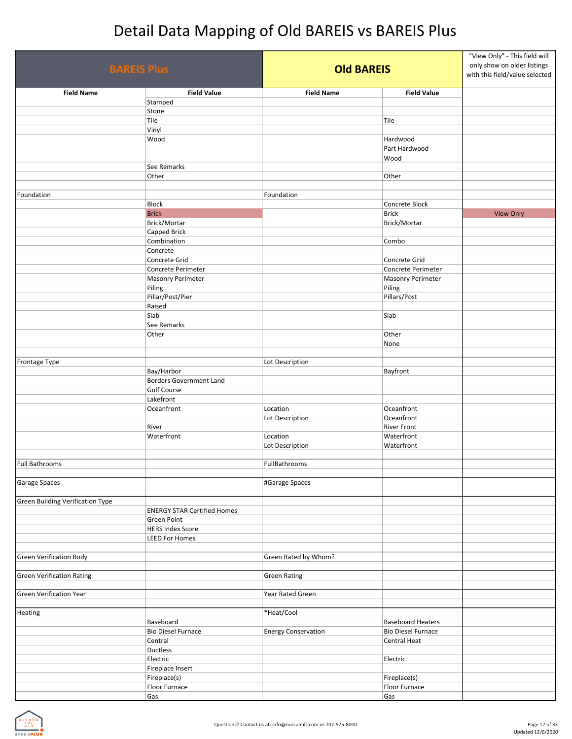| <b>BAREIS Plus</b>                      |                                    |                            | <b>Old BAREIS</b>         |                  |
|-----------------------------------------|------------------------------------|----------------------------|---------------------------|------------------|
| <b>Field Name</b>                       | <b>Field Value</b>                 | <b>Field Name</b>          | <b>Field Value</b>        |                  |
|                                         | Stamped                            |                            |                           |                  |
|                                         | Stone                              |                            |                           |                  |
|                                         | Tile                               |                            | Tile                      |                  |
|                                         | Vinyl                              |                            |                           |                  |
|                                         | Wood                               |                            | Hardwood                  |                  |
|                                         |                                    |                            | Part Hardwood             |                  |
|                                         |                                    |                            | Wood                      |                  |
|                                         | See Remarks                        |                            |                           |                  |
|                                         | Other                              |                            | Other                     |                  |
| Foundation                              |                                    | Foundation                 |                           |                  |
|                                         | <b>Block</b>                       |                            | Concrete Block            |                  |
|                                         | <b>Brick</b>                       |                            | <b>Brick</b>              | <b>View Only</b> |
|                                         | Brick/Mortar                       |                            | Brick/Mortar              |                  |
|                                         | Capped Brick                       |                            |                           |                  |
|                                         | Combination                        |                            | Combo                     |                  |
|                                         | Concrete                           |                            |                           |                  |
|                                         | Concrete Grid                      |                            | Concrete Grid             |                  |
|                                         | Concrete Perimeter                 |                            | Concrete Perimeter        |                  |
|                                         | <b>Masonry Perimeter</b>           |                            | <b>Masonry Perimeter</b>  |                  |
|                                         | Piling                             |                            | Piling                    |                  |
|                                         | Pillar/Post/Pier                   |                            | Pillars/Post              |                  |
|                                         | Raised                             |                            |                           |                  |
|                                         | Slab                               |                            | Slab                      |                  |
|                                         | See Remarks                        |                            |                           |                  |
|                                         | Other                              |                            | Other                     |                  |
|                                         |                                    |                            | None                      |                  |
|                                         |                                    |                            |                           |                  |
| Frontage Type                           |                                    | Lot Description            |                           |                  |
|                                         | Bay/Harbor                         |                            | Bayfront                  |                  |
|                                         | <b>Borders Government Land</b>     |                            |                           |                  |
|                                         | <b>Golf Course</b>                 |                            |                           |                  |
|                                         | Lakefront                          |                            |                           |                  |
|                                         | Oceanfront                         | Location                   | Oceanfront                |                  |
|                                         |                                    | Lot Description            | Oceanfront                |                  |
|                                         | River                              |                            | <b>River Front</b>        |                  |
|                                         | Waterfront                         | Location                   | Waterfront                |                  |
|                                         |                                    | Lot Description            | Waterfront                |                  |
|                                         |                                    |                            |                           |                  |
| <b>Full Bathrooms</b>                   |                                    | <b>FullBathrooms</b>       |                           |                  |
| <b>Garage Spaces</b>                    |                                    |                            |                           |                  |
|                                         |                                    | #Garage Spaces             |                           |                  |
| <b>Green Building Verification Type</b> |                                    |                            |                           |                  |
|                                         | <b>ENERGY STAR Certified Homes</b> |                            |                           |                  |
|                                         | <b>Green Point</b>                 |                            |                           |                  |
|                                         | <b>HERS Index Score</b>            |                            |                           |                  |
|                                         | <b>LEED For Homes</b>              |                            |                           |                  |
|                                         |                                    |                            |                           |                  |
| <b>Green Verification Body</b>          |                                    | Green Rated by Whom?       |                           |                  |
|                                         |                                    |                            |                           |                  |
| <b>Green Verification Rating</b>        |                                    | <b>Green Rating</b>        |                           |                  |
|                                         |                                    |                            |                           |                  |
| <b>Green Verification Year</b>          |                                    | Year Rated Green           |                           |                  |
|                                         |                                    |                            |                           |                  |
| Heating                                 |                                    | *Heat/Cool                 |                           |                  |
|                                         | Baseboard                          |                            | <b>Baseboard Heaters</b>  |                  |
|                                         | <b>Bio Diesel Furnace</b>          | <b>Energy Conservation</b> | <b>Bio Diesel Furnace</b> |                  |
|                                         | Central                            |                            | Central Heat              |                  |
|                                         | Ductless                           |                            |                           |                  |
|                                         | Electric                           |                            | Electric                  |                  |
|                                         | Fireplace Insert                   |                            |                           |                  |
|                                         | Fireplace(s)                       |                            | Fireplace(s)              |                  |
|                                         | Floor Furnace                      |                            | Floor Furnace             |                  |
|                                         | Gas                                |                            | Gas                       |                  |

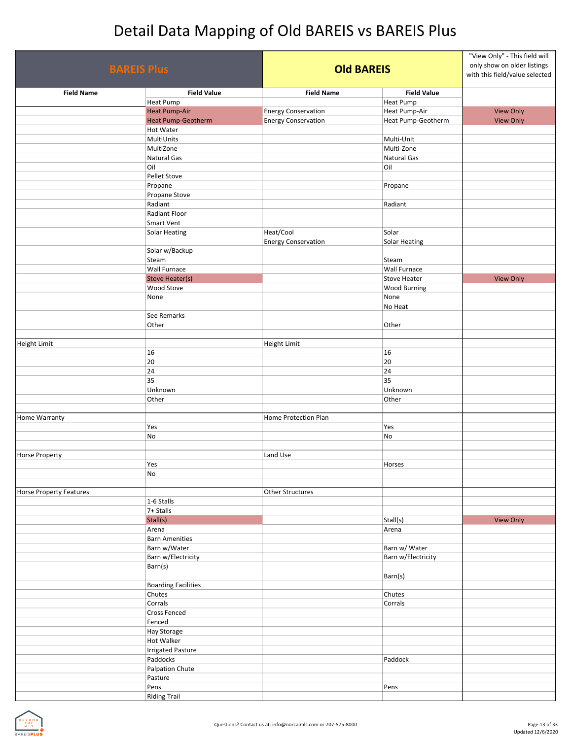| <b>BAREIS Plus</b>             |                                        | <b>Old BAREIS</b>          |                      | "View Only" - This field will<br>only show on older listings<br>with this field/value selected |
|--------------------------------|----------------------------------------|----------------------------|----------------------|------------------------------------------------------------------------------------------------|
| <b>Field Name</b>              | <b>Field Value</b>                     | <b>Field Name</b>          | <b>Field Value</b>   |                                                                                                |
|                                | <b>Heat Pump</b>                       |                            | Heat Pump            |                                                                                                |
|                                | <b>Heat Pump-Air</b>                   | <b>Energy Conservation</b> | Heat Pump-Air        | <b>View Only</b>                                                                               |
|                                | <b>Heat Pump-Geotherm</b><br>Hot Water | <b>Energy Conservation</b> | Heat Pump-Geotherm   | <b>View Only</b>                                                                               |
|                                | MultiUnits                             |                            | Multi-Unit           |                                                                                                |
|                                | MultiZone                              |                            | Multi-Zone           |                                                                                                |
|                                | Natural Gas                            |                            | Natural Gas          |                                                                                                |
|                                | Oil                                    |                            | Oil                  |                                                                                                |
|                                | Pellet Stove                           |                            |                      |                                                                                                |
|                                | Propane                                |                            | Propane              |                                                                                                |
|                                | Propane Stove                          |                            |                      |                                                                                                |
|                                | Radiant                                |                            | Radiant              |                                                                                                |
|                                | Radiant Floor                          |                            |                      |                                                                                                |
|                                | Smart Vent                             |                            |                      |                                                                                                |
|                                | <b>Solar Heating</b>                   | Heat/Cool                  | Solar                |                                                                                                |
|                                |                                        | <b>Energy Conservation</b> | <b>Solar Heating</b> |                                                                                                |
|                                | Solar w/Backup                         |                            |                      |                                                                                                |
|                                | Steam                                  |                            | Steam                |                                                                                                |
|                                | <b>Wall Furnace</b>                    |                            | <b>Wall Furnace</b>  |                                                                                                |
|                                | <b>Stove Heater(s)</b>                 |                            | <b>Stove Heater</b>  | <b>View Only</b>                                                                               |
|                                | Wood Stove                             |                            | <b>Wood Burning</b>  |                                                                                                |
|                                | None                                   |                            | None                 |                                                                                                |
|                                |                                        |                            | No Heat              |                                                                                                |
|                                | See Remarks                            |                            |                      |                                                                                                |
|                                | Other                                  |                            | Other                |                                                                                                |
| Height Limit                   |                                        | Height Limit               |                      |                                                                                                |
|                                | 16                                     |                            | 16                   |                                                                                                |
|                                | 20                                     |                            | 20                   |                                                                                                |
|                                | 24                                     |                            | 24                   |                                                                                                |
|                                | 35                                     |                            | 35                   |                                                                                                |
|                                | Unknown                                |                            | Unknown              |                                                                                                |
|                                | Other                                  |                            | Other                |                                                                                                |
|                                |                                        |                            |                      |                                                                                                |
| Home Warranty                  |                                        | Home Protection Plan       |                      |                                                                                                |
|                                | Yes                                    |                            | Yes                  |                                                                                                |
|                                | No                                     |                            | No                   |                                                                                                |
|                                |                                        |                            |                      |                                                                                                |
| <b>Horse Property</b>          |                                        | Land Use                   |                      |                                                                                                |
|                                | Yes                                    |                            | Horses               |                                                                                                |
|                                | No                                     |                            |                      |                                                                                                |
|                                |                                        |                            |                      |                                                                                                |
| <b>Horse Property Features</b> |                                        | <b>Other Structures</b>    |                      |                                                                                                |
|                                | 1-6 Stalls<br>7+ Stalls                |                            |                      |                                                                                                |
|                                | Stall(s)                               |                            | Stall(s)             | <b>View Only</b>                                                                               |
|                                | Arena                                  |                            | Arena                |                                                                                                |
|                                | <b>Barn Amenities</b>                  |                            |                      |                                                                                                |
|                                | Barn w/Water                           |                            | Barn w/ Water        |                                                                                                |
|                                | Barn w/Electricity                     |                            | Barn w/Electricity   |                                                                                                |
|                                | Barn(s)                                |                            |                      |                                                                                                |
|                                |                                        |                            | Barn(s)              |                                                                                                |
|                                | <b>Boarding Facilities</b>             |                            |                      |                                                                                                |
|                                | Chutes                                 |                            | Chutes               |                                                                                                |
|                                | Corrals                                |                            | Corrals              |                                                                                                |
|                                | <b>Cross Fenced</b>                    |                            |                      |                                                                                                |
|                                | Fenced                                 |                            |                      |                                                                                                |
|                                | <b>Hay Storage</b>                     |                            |                      |                                                                                                |
|                                | <b>Hot Walker</b>                      |                            |                      |                                                                                                |
|                                | <b>Irrigated Pasture</b>               |                            |                      |                                                                                                |
|                                | Paddocks                               |                            | Paddock              |                                                                                                |
|                                | Palpation Chute                        |                            |                      |                                                                                                |
|                                | Pasture                                |                            |                      |                                                                                                |
|                                | Pens                                   |                            | Pens                 |                                                                                                |
|                                | <b>Riding Trail</b>                    |                            |                      |                                                                                                |

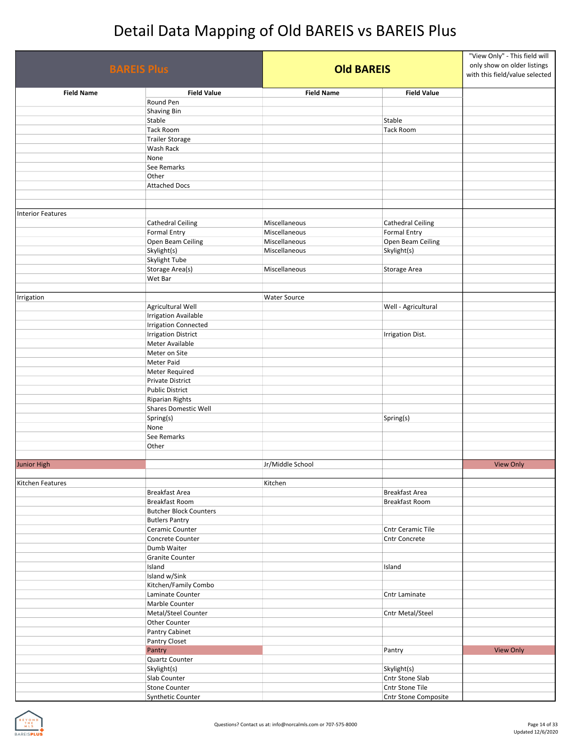| <b>BAREIS Plus</b>       |                                                 |                                | <b>Old BAREIS</b>                        |                  |
|--------------------------|-------------------------------------------------|--------------------------------|------------------------------------------|------------------|
| <b>Field Name</b>        | <b>Field Value</b>                              | <b>Field Name</b>              | <b>Field Value</b>                       |                  |
|                          | Round Pen                                       |                                |                                          |                  |
|                          | Shaving Bin<br>Stable                           |                                | Stable                                   |                  |
|                          | <b>Tack Room</b>                                |                                | <b>Tack Room</b>                         |                  |
|                          | <b>Trailer Storage</b>                          |                                |                                          |                  |
|                          | Wash Rack                                       |                                |                                          |                  |
|                          | None                                            |                                |                                          |                  |
|                          | See Remarks                                     |                                |                                          |                  |
|                          | Other<br><b>Attached Docs</b>                   |                                |                                          |                  |
|                          |                                                 |                                |                                          |                  |
|                          |                                                 |                                |                                          |                  |
| <b>Interior Features</b> |                                                 |                                |                                          |                  |
|                          | <b>Cathedral Ceiling</b>                        | Miscellaneous                  | <b>Cathedral Ceiling</b>                 |                  |
|                          | <b>Formal Entry</b>                             | Miscellaneous<br>Miscellaneous | <b>Formal Entry</b><br>Open Beam Ceiling |                  |
|                          | Open Beam Ceiling<br>Skylight(s)                | Miscellaneous                  | Skylight(s)                              |                  |
|                          | Skylight Tube                                   |                                |                                          |                  |
|                          | Storage Area(s)                                 | Miscellaneous                  | Storage Area                             |                  |
|                          | Wet Bar                                         |                                |                                          |                  |
|                          |                                                 |                                |                                          |                  |
| Irrigation               | Agricultural Well                               | <b>Water Source</b>            |                                          |                  |
|                          | <b>Irrigation Available</b>                     |                                | Well - Agricultural                      |                  |
|                          | <b>Irrigation Connected</b>                     |                                |                                          |                  |
|                          | <b>Irrigation District</b>                      |                                | <b>Irrigation Dist.</b>                  |                  |
|                          | Meter Available                                 |                                |                                          |                  |
|                          | Meter on Site                                   |                                |                                          |                  |
|                          | Meter Paid                                      |                                |                                          |                  |
|                          | Meter Required<br>Private District              |                                |                                          |                  |
|                          | <b>Public District</b>                          |                                |                                          |                  |
|                          | <b>Riparian Rights</b>                          |                                |                                          |                  |
|                          | Shares Domestic Well                            |                                |                                          |                  |
|                          | Spring(s)                                       |                                | Spring(s)                                |                  |
|                          | None                                            |                                |                                          |                  |
|                          | See Remarks<br>Other                            |                                |                                          |                  |
|                          |                                                 |                                |                                          |                  |
| <b>Junior High</b>       |                                                 | Jr/Middle School               |                                          | <b>View Only</b> |
|                          |                                                 |                                |                                          |                  |
| <b>Kitchen Features</b>  |                                                 | Kitchen                        |                                          |                  |
|                          | Breakfast Area                                  |                                | Breakfast Area                           |                  |
|                          | Breakfast Room<br><b>Butcher Block Counters</b> |                                | <b>Breakfast Room</b>                    |                  |
|                          | <b>Butlers Pantry</b>                           |                                |                                          |                  |
|                          | Ceramic Counter                                 |                                | Cntr Ceramic Tile                        |                  |
|                          | Concrete Counter                                |                                | Cntr Concrete                            |                  |
|                          | Dumb Waiter                                     |                                |                                          |                  |
|                          | Granite Counter                                 |                                |                                          |                  |
|                          | Island<br>Island w/Sink                         |                                | Island                                   |                  |
|                          | Kitchen/Family Combo                            |                                |                                          |                  |
|                          | Laminate Counter                                |                                | Cntr Laminate                            |                  |
|                          | Marble Counter                                  |                                |                                          |                  |
|                          | Metal/Steel Counter                             |                                | Cntr Metal/Steel                         |                  |
|                          | Other Counter                                   |                                |                                          |                  |
|                          | Pantry Cabinet<br>Pantry Closet                 |                                |                                          |                  |
|                          | Pantry                                          |                                | Pantry                                   | <b>View Only</b> |
|                          | Quartz Counter                                  |                                |                                          |                  |
|                          | Skylight(s)                                     |                                | Skylight(s)                              |                  |
|                          | Slab Counter                                    |                                | Cntr Stone Slab                          |                  |
|                          | <b>Stone Counter</b>                            |                                | Cntr Stone Tile                          |                  |
|                          | Synthetic Counter                               |                                | Cntr Stone Composite                     |                  |

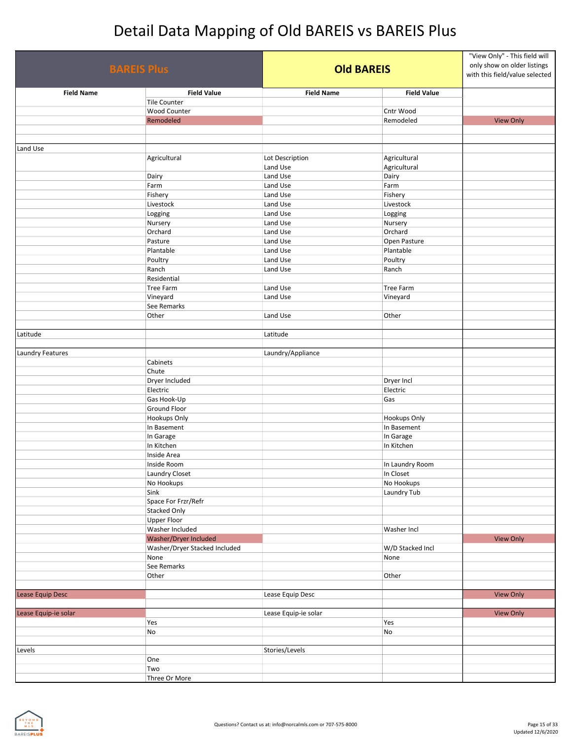| <b>BAREIS Plus</b>   |                               | <b>Old BAREIS</b>    |                    | "View Only" - This field will<br>only show on older listings<br>with this field/value selected |
|----------------------|-------------------------------|----------------------|--------------------|------------------------------------------------------------------------------------------------|
| <b>Field Name</b>    | <b>Field Value</b>            | <b>Field Name</b>    | <b>Field Value</b> |                                                                                                |
|                      | <b>Tile Counter</b>           |                      |                    |                                                                                                |
|                      | Wood Counter                  |                      | Cntr Wood          |                                                                                                |
|                      | Remodeled                     |                      | Remodeled          | <b>View Only</b>                                                                               |
|                      |                               |                      |                    |                                                                                                |
| Land Use             |                               |                      |                    |                                                                                                |
|                      | Agricultural                  | Lot Description      | Agricultural       |                                                                                                |
|                      |                               | Land Use             | Agricultural       |                                                                                                |
|                      | Dairy                         | Land Use             | Dairy              |                                                                                                |
|                      | Farm                          | Land Use             | Farm               |                                                                                                |
|                      | Fishery                       | Land Use             | Fishery            |                                                                                                |
|                      | Livestock                     | Land Use             | Livestock          |                                                                                                |
|                      | Logging                       | Land Use             | Logging            |                                                                                                |
|                      | Nursery                       | Land Use             | Nursery            |                                                                                                |
|                      | Orchard                       | Land Use             | Orchard            |                                                                                                |
|                      | Pasture                       | Land Use             | Open Pasture       |                                                                                                |
|                      | Plantable                     | Land Use             | Plantable          |                                                                                                |
|                      | Poultry                       | Land Use             | Poultry            |                                                                                                |
|                      | Ranch                         | Land Use             | Ranch              |                                                                                                |
|                      | Residential                   |                      |                    |                                                                                                |
|                      | Tree Farm                     | Land Use             | Tree Farm          |                                                                                                |
|                      | Vineyard                      | Land Use             | Vineyard           |                                                                                                |
|                      | See Remarks                   |                      |                    |                                                                                                |
|                      | Other                         | Land Use             | Other              |                                                                                                |
| Latitude             |                               | Latitude             |                    |                                                                                                |
|                      |                               |                      |                    |                                                                                                |
| Laundry Features     |                               | Laundry/Appliance    |                    |                                                                                                |
|                      | Cabinets                      |                      |                    |                                                                                                |
|                      | Chute                         |                      |                    |                                                                                                |
|                      | Dryer Included                |                      | Dryer Incl         |                                                                                                |
|                      | Electric                      |                      | Electric           |                                                                                                |
|                      | Gas Hook-Up                   |                      | Gas                |                                                                                                |
|                      | <b>Ground Floor</b>           |                      |                    |                                                                                                |
|                      | Hookups Only                  |                      | Hookups Only       |                                                                                                |
|                      | In Basement                   |                      | In Basement        |                                                                                                |
|                      | In Garage                     |                      | In Garage          |                                                                                                |
|                      | In Kitchen                    |                      | In Kitchen         |                                                                                                |
|                      | Inside Area                   |                      |                    |                                                                                                |
|                      | Inside Room                   |                      | In Laundry Room    |                                                                                                |
|                      | Laundry Closet                |                      | In Closet          |                                                                                                |
|                      | No Hookups                    |                      | No Hookups         |                                                                                                |
|                      | Sink                          |                      | Laundry Tub        |                                                                                                |
|                      | Space For Frzr/Refr           |                      |                    |                                                                                                |
|                      | <b>Stacked Only</b>           |                      |                    |                                                                                                |
|                      | <b>Upper Floor</b>            |                      |                    |                                                                                                |
|                      | Washer Included               |                      | Washer Incl        |                                                                                                |
|                      | Washer/Dryer Included         |                      |                    | <b>View Only</b>                                                                               |
|                      | Washer/Dryer Stacked Included |                      | W/D Stacked Incl   |                                                                                                |
|                      | None                          |                      | None               |                                                                                                |
|                      | See Remarks                   |                      |                    |                                                                                                |
|                      | Other                         |                      | Other              |                                                                                                |
|                      |                               |                      |                    |                                                                                                |
| Lease Equip Desc     |                               | Lease Equip Desc     |                    | <b>View Only</b>                                                                               |
|                      |                               |                      |                    |                                                                                                |
| Lease Equip-ie solar |                               | Lease Equip-ie solar |                    | <b>View Only</b>                                                                               |
|                      | Yes                           |                      | Yes                |                                                                                                |
|                      | No                            |                      | No                 |                                                                                                |
|                      |                               |                      |                    |                                                                                                |
| Levels               |                               | Stories/Levels       |                    |                                                                                                |
|                      | One                           |                      |                    |                                                                                                |
|                      | Two                           |                      |                    |                                                                                                |
|                      | Three Or More                 |                      |                    |                                                                                                |

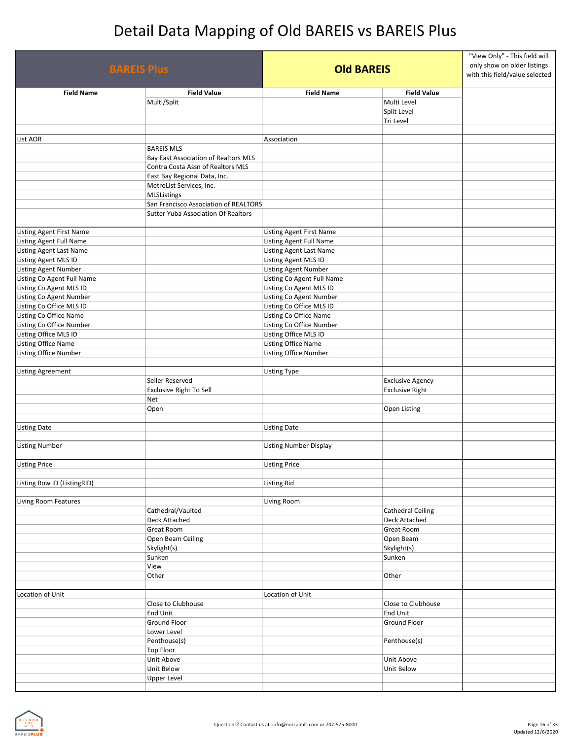| <b>BAREIS Plus</b>          |                                                                           | <b>Old BAREIS</b>             |                                                               | "View Only" - This field will<br>only show on older listings<br>with this field/value selected |
|-----------------------------|---------------------------------------------------------------------------|-------------------------------|---------------------------------------------------------------|------------------------------------------------------------------------------------------------|
| <b>Field Name</b>           | <b>Field Value</b><br>Multi/Split                                         | <b>Field Name</b>             | <b>Field Value</b><br>Multi Level<br>Split Level<br>Tri Level |                                                                                                |
| List AOR                    |                                                                           | Association                   |                                                               |                                                                                                |
|                             | <b>BAREIS MLS</b>                                                         |                               |                                                               |                                                                                                |
|                             | Bay East Association of Realtors MLS<br>Contra Costa Assn of Realtors MLS |                               |                                                               |                                                                                                |
|                             | East Bay Regional Data, Inc.                                              |                               |                                                               |                                                                                                |
|                             | MetroList Services, Inc.                                                  |                               |                                                               |                                                                                                |
|                             | <b>MLSListings</b>                                                        |                               |                                                               |                                                                                                |
|                             | San Francisco Association of REALTORS                                     |                               |                                                               |                                                                                                |
|                             | Sutter Yuba Association Of Realtors                                       |                               |                                                               |                                                                                                |
| Listing Agent First Name    |                                                                           | Listing Agent First Name      |                                                               |                                                                                                |
| Listing Agent Full Name     |                                                                           | Listing Agent Full Name       |                                                               |                                                                                                |
| Listing Agent Last Name     |                                                                           | Listing Agent Last Name       |                                                               |                                                                                                |
| Listing Agent MLS ID        |                                                                           | Listing Agent MLS ID          |                                                               |                                                                                                |
| <b>Listing Agent Number</b> |                                                                           | Listing Agent Number          |                                                               |                                                                                                |
| Listing Co Agent Full Name  |                                                                           | Listing Co Agent Full Name    |                                                               |                                                                                                |
| Listing Co Agent MLS ID     |                                                                           | Listing Co Agent MLS ID       |                                                               |                                                                                                |
| Listing Co Agent Number     |                                                                           | Listing Co Agent Number       |                                                               |                                                                                                |
| Listing Co Office MLS ID    |                                                                           | Listing Co Office MLS ID      |                                                               |                                                                                                |
| Listing Co Office Name      |                                                                           | Listing Co Office Name        |                                                               |                                                                                                |
| Listing Co Office Number    |                                                                           | Listing Co Office Number      |                                                               |                                                                                                |
| Listing Office MLS ID       |                                                                           | Listing Office MLS ID         |                                                               |                                                                                                |
| Listing Office Name         |                                                                           | Listing Office Name           |                                                               |                                                                                                |
| Listing Office Number       |                                                                           | Listing Office Number         |                                                               |                                                                                                |
|                             |                                                                           |                               |                                                               |                                                                                                |
| Listing Agreement           |                                                                           | Listing Type                  |                                                               |                                                                                                |
|                             | Seller Reserved                                                           |                               | <b>Exclusive Agency</b>                                       |                                                                                                |
|                             | <b>Exclusive Right To Sell</b>                                            |                               | <b>Exclusive Right</b>                                        |                                                                                                |
|                             | Net                                                                       |                               |                                                               |                                                                                                |
|                             | Open                                                                      |                               | Open Listing                                                  |                                                                                                |
|                             |                                                                           |                               |                                                               |                                                                                                |
| <b>Listing Date</b>         |                                                                           | <b>Listing Date</b>           |                                                               |                                                                                                |
|                             |                                                                           |                               |                                                               |                                                                                                |
| <b>Listing Number</b>       |                                                                           | <b>Listing Number Display</b> |                                                               |                                                                                                |
| <b>Listing Price</b>        |                                                                           | <b>Listing Price</b>          |                                                               |                                                                                                |
| Listing Row ID (ListingRID) |                                                                           | Listing Rid                   |                                                               |                                                                                                |
|                             |                                                                           |                               |                                                               |                                                                                                |
| Living Room Features        |                                                                           | Living Room                   |                                                               |                                                                                                |
|                             | Cathedral/Vaulted                                                         |                               | <b>Cathedral Ceiling</b>                                      |                                                                                                |
|                             | Deck Attached                                                             |                               | Deck Attached                                                 |                                                                                                |
|                             | Great Room                                                                |                               | <b>Great Room</b>                                             |                                                                                                |
|                             | Open Beam Ceiling                                                         |                               | Open Beam                                                     |                                                                                                |
|                             | Skylight(s)                                                               |                               | Skylight(s)                                                   |                                                                                                |
|                             | Sunken                                                                    |                               | Sunken                                                        |                                                                                                |
|                             | View                                                                      |                               |                                                               |                                                                                                |
|                             | Other                                                                     |                               | Other                                                         |                                                                                                |
|                             |                                                                           |                               |                                                               |                                                                                                |
| Location of Unit            |                                                                           | Location of Unit              |                                                               |                                                                                                |
|                             | Close to Clubhouse                                                        |                               | Close to Clubhouse                                            |                                                                                                |
|                             | <b>End Unit</b>                                                           |                               | End Unit                                                      |                                                                                                |
|                             | Ground Floor                                                              |                               | Ground Floor                                                  |                                                                                                |
|                             | Lower Level                                                               |                               |                                                               |                                                                                                |
|                             | Penthouse(s)                                                              |                               | Penthouse(s)                                                  |                                                                                                |
|                             | <b>Top Floor</b>                                                          |                               |                                                               |                                                                                                |
|                             | Unit Above                                                                |                               | Unit Above                                                    |                                                                                                |
|                             | Unit Below                                                                |                               | Unit Below                                                    |                                                                                                |
|                             | <b>Upper Level</b>                                                        |                               |                                                               |                                                                                                |
|                             |                                                                           |                               |                                                               |                                                                                                |

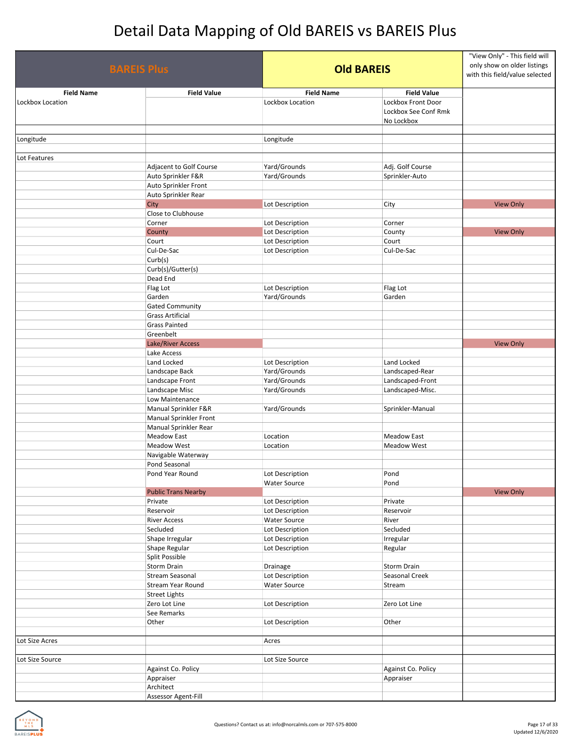| <b>Field Name</b><br><b>Field Value</b><br>Lockbox Location<br><b>Lockbox Front Door</b><br>Lockbox See Conf Rmk<br>No Lockbox<br>Longitude<br>Lot Features<br>Yard/Grounds<br>Adj. Golf Course<br>Adjacent to Golf Course<br>Auto Sprinkler F&R<br>Yard/Grounds<br>Sprinkler-Auto<br>Auto Sprinkler Front<br>Auto Sprinkler Rear<br>City<br><b>View Only</b><br>Lot Description<br>City<br>Close to Clubhouse<br>Corner<br>Lot Description<br>Corner<br>Lot Description<br><b>View Only</b><br>County<br>County<br>Lot Description<br>Court<br>Court<br>Cul-De-Sac<br>Lot Description<br>Cul-De-Sac<br>Curb(s)<br>Curb(s)/Gutter(s)<br>Dead End<br>Flag Lot<br>Lot Description<br>Flag Lot<br>Garden<br>Yard/Grounds<br>Garden<br><b>Gated Community</b><br><b>Grass Artificial</b><br><b>Grass Painted</b><br>Greenbelt<br>Lake/River Access<br><b>View Only</b><br>Lake Access<br>Land Locked<br>Lot Description<br>Land Locked<br>Yard/Grounds<br>Landscaped-Rear<br>Landscape Back<br>Yard/Grounds<br>Landscape Front<br>Landscaped-Front<br>Landscape Misc<br>Yard/Grounds<br>Landscaped-Misc.<br>Low Maintenance<br>Manual Sprinkler F&R<br>Yard/Grounds<br>Sprinkler-Manual<br>Manual Sprinkler Front<br>Manual Sprinkler Rear<br>Meadow East<br>Location<br><b>Meadow East</b><br><b>Meadow West</b><br>Location<br><b>Meadow West</b><br>Navigable Waterway<br>Pond Seasonal<br>Pond Year Round<br>Lot Description<br>Pond<br><b>Water Source</b><br>Pond<br><b>Public Trans Nearby</b><br><b>View Only</b><br>Private<br>Lot Description<br>Private<br>Reservoir<br>Lot Description<br>Reservoir<br><b>River Access</b><br>Water Source<br>River<br>Secluded<br>Lot Description<br>Secluded<br>Shape Irregular<br>Lot Description<br>Irregular<br>Shape Regular<br>Lot Description<br>Regular<br>Split Possible<br>Storm Drain<br>Drainage<br>Storm Drain<br><b>Stream Seasonal</b><br>Lot Description<br>Seasonal Creek<br>Stream Year Round<br><b>Water Source</b><br>Stream<br><b>Street Lights</b><br>Zero Lot Line<br>Lot Description<br>Zero Lot Line<br>See Remarks<br>Other<br>Lot Description<br>Other<br>Lot Size Acres<br>Acres<br>Lot Size Source<br>Lot Size Source<br>Against Co. Policy<br>Against Co. Policy<br>Appraiser<br>Appraiser<br>Architect | <b>BAREIS Plus</b> |                     | <b>Old BAREIS</b> |                    | "View Only" - This field will<br>only show on older listings<br>with this field/value selected |
|--------------------------------------------------------------------------------------------------------------------------------------------------------------------------------------------------------------------------------------------------------------------------------------------------------------------------------------------------------------------------------------------------------------------------------------------------------------------------------------------------------------------------------------------------------------------------------------------------------------------------------------------------------------------------------------------------------------------------------------------------------------------------------------------------------------------------------------------------------------------------------------------------------------------------------------------------------------------------------------------------------------------------------------------------------------------------------------------------------------------------------------------------------------------------------------------------------------------------------------------------------------------------------------------------------------------------------------------------------------------------------------------------------------------------------------------------------------------------------------------------------------------------------------------------------------------------------------------------------------------------------------------------------------------------------------------------------------------------------------------------------------------------------------------------------------------------------------------------------------------------------------------------------------------------------------------------------------------------------------------------------------------------------------------------------------------------------------------------------------------------------------------------------------------------------------------------------------------------------------------------------------------------------|--------------------|---------------------|-------------------|--------------------|------------------------------------------------------------------------------------------------|
|                                                                                                                                                                                                                                                                                                                                                                                                                                                                                                                                                                                                                                                                                                                                                                                                                                                                                                                                                                                                                                                                                                                                                                                                                                                                                                                                                                                                                                                                                                                                                                                                                                                                                                                                                                                                                                                                                                                                                                                                                                                                                                                                                                                                                                                                                |                    |                     | <b>Field Name</b> | <b>Field Value</b> |                                                                                                |
|                                                                                                                                                                                                                                                                                                                                                                                                                                                                                                                                                                                                                                                                                                                                                                                                                                                                                                                                                                                                                                                                                                                                                                                                                                                                                                                                                                                                                                                                                                                                                                                                                                                                                                                                                                                                                                                                                                                                                                                                                                                                                                                                                                                                                                                                                | Lockbox Location   |                     |                   |                    |                                                                                                |
|                                                                                                                                                                                                                                                                                                                                                                                                                                                                                                                                                                                                                                                                                                                                                                                                                                                                                                                                                                                                                                                                                                                                                                                                                                                                                                                                                                                                                                                                                                                                                                                                                                                                                                                                                                                                                                                                                                                                                                                                                                                                                                                                                                                                                                                                                | Longitude          |                     |                   |                    |                                                                                                |
|                                                                                                                                                                                                                                                                                                                                                                                                                                                                                                                                                                                                                                                                                                                                                                                                                                                                                                                                                                                                                                                                                                                                                                                                                                                                                                                                                                                                                                                                                                                                                                                                                                                                                                                                                                                                                                                                                                                                                                                                                                                                                                                                                                                                                                                                                |                    |                     |                   |                    |                                                                                                |
|                                                                                                                                                                                                                                                                                                                                                                                                                                                                                                                                                                                                                                                                                                                                                                                                                                                                                                                                                                                                                                                                                                                                                                                                                                                                                                                                                                                                                                                                                                                                                                                                                                                                                                                                                                                                                                                                                                                                                                                                                                                                                                                                                                                                                                                                                |                    |                     |                   |                    |                                                                                                |
|                                                                                                                                                                                                                                                                                                                                                                                                                                                                                                                                                                                                                                                                                                                                                                                                                                                                                                                                                                                                                                                                                                                                                                                                                                                                                                                                                                                                                                                                                                                                                                                                                                                                                                                                                                                                                                                                                                                                                                                                                                                                                                                                                                                                                                                                                |                    |                     |                   |                    |                                                                                                |
|                                                                                                                                                                                                                                                                                                                                                                                                                                                                                                                                                                                                                                                                                                                                                                                                                                                                                                                                                                                                                                                                                                                                                                                                                                                                                                                                                                                                                                                                                                                                                                                                                                                                                                                                                                                                                                                                                                                                                                                                                                                                                                                                                                                                                                                                                |                    |                     |                   |                    |                                                                                                |
|                                                                                                                                                                                                                                                                                                                                                                                                                                                                                                                                                                                                                                                                                                                                                                                                                                                                                                                                                                                                                                                                                                                                                                                                                                                                                                                                                                                                                                                                                                                                                                                                                                                                                                                                                                                                                                                                                                                                                                                                                                                                                                                                                                                                                                                                                |                    |                     |                   |                    |                                                                                                |
|                                                                                                                                                                                                                                                                                                                                                                                                                                                                                                                                                                                                                                                                                                                                                                                                                                                                                                                                                                                                                                                                                                                                                                                                                                                                                                                                                                                                                                                                                                                                                                                                                                                                                                                                                                                                                                                                                                                                                                                                                                                                                                                                                                                                                                                                                |                    |                     |                   |                    |                                                                                                |
|                                                                                                                                                                                                                                                                                                                                                                                                                                                                                                                                                                                                                                                                                                                                                                                                                                                                                                                                                                                                                                                                                                                                                                                                                                                                                                                                                                                                                                                                                                                                                                                                                                                                                                                                                                                                                                                                                                                                                                                                                                                                                                                                                                                                                                                                                |                    |                     |                   |                    |                                                                                                |
|                                                                                                                                                                                                                                                                                                                                                                                                                                                                                                                                                                                                                                                                                                                                                                                                                                                                                                                                                                                                                                                                                                                                                                                                                                                                                                                                                                                                                                                                                                                                                                                                                                                                                                                                                                                                                                                                                                                                                                                                                                                                                                                                                                                                                                                                                |                    |                     |                   |                    |                                                                                                |
|                                                                                                                                                                                                                                                                                                                                                                                                                                                                                                                                                                                                                                                                                                                                                                                                                                                                                                                                                                                                                                                                                                                                                                                                                                                                                                                                                                                                                                                                                                                                                                                                                                                                                                                                                                                                                                                                                                                                                                                                                                                                                                                                                                                                                                                                                |                    |                     |                   |                    |                                                                                                |
|                                                                                                                                                                                                                                                                                                                                                                                                                                                                                                                                                                                                                                                                                                                                                                                                                                                                                                                                                                                                                                                                                                                                                                                                                                                                                                                                                                                                                                                                                                                                                                                                                                                                                                                                                                                                                                                                                                                                                                                                                                                                                                                                                                                                                                                                                |                    |                     |                   |                    |                                                                                                |
|                                                                                                                                                                                                                                                                                                                                                                                                                                                                                                                                                                                                                                                                                                                                                                                                                                                                                                                                                                                                                                                                                                                                                                                                                                                                                                                                                                                                                                                                                                                                                                                                                                                                                                                                                                                                                                                                                                                                                                                                                                                                                                                                                                                                                                                                                |                    |                     |                   |                    |                                                                                                |
|                                                                                                                                                                                                                                                                                                                                                                                                                                                                                                                                                                                                                                                                                                                                                                                                                                                                                                                                                                                                                                                                                                                                                                                                                                                                                                                                                                                                                                                                                                                                                                                                                                                                                                                                                                                                                                                                                                                                                                                                                                                                                                                                                                                                                                                                                |                    |                     |                   |                    |                                                                                                |
|                                                                                                                                                                                                                                                                                                                                                                                                                                                                                                                                                                                                                                                                                                                                                                                                                                                                                                                                                                                                                                                                                                                                                                                                                                                                                                                                                                                                                                                                                                                                                                                                                                                                                                                                                                                                                                                                                                                                                                                                                                                                                                                                                                                                                                                                                |                    |                     |                   |                    |                                                                                                |
|                                                                                                                                                                                                                                                                                                                                                                                                                                                                                                                                                                                                                                                                                                                                                                                                                                                                                                                                                                                                                                                                                                                                                                                                                                                                                                                                                                                                                                                                                                                                                                                                                                                                                                                                                                                                                                                                                                                                                                                                                                                                                                                                                                                                                                                                                |                    |                     |                   |                    |                                                                                                |
|                                                                                                                                                                                                                                                                                                                                                                                                                                                                                                                                                                                                                                                                                                                                                                                                                                                                                                                                                                                                                                                                                                                                                                                                                                                                                                                                                                                                                                                                                                                                                                                                                                                                                                                                                                                                                                                                                                                                                                                                                                                                                                                                                                                                                                                                                |                    |                     |                   |                    |                                                                                                |
|                                                                                                                                                                                                                                                                                                                                                                                                                                                                                                                                                                                                                                                                                                                                                                                                                                                                                                                                                                                                                                                                                                                                                                                                                                                                                                                                                                                                                                                                                                                                                                                                                                                                                                                                                                                                                                                                                                                                                                                                                                                                                                                                                                                                                                                                                |                    |                     |                   |                    |                                                                                                |
|                                                                                                                                                                                                                                                                                                                                                                                                                                                                                                                                                                                                                                                                                                                                                                                                                                                                                                                                                                                                                                                                                                                                                                                                                                                                                                                                                                                                                                                                                                                                                                                                                                                                                                                                                                                                                                                                                                                                                                                                                                                                                                                                                                                                                                                                                |                    |                     |                   |                    |                                                                                                |
|                                                                                                                                                                                                                                                                                                                                                                                                                                                                                                                                                                                                                                                                                                                                                                                                                                                                                                                                                                                                                                                                                                                                                                                                                                                                                                                                                                                                                                                                                                                                                                                                                                                                                                                                                                                                                                                                                                                                                                                                                                                                                                                                                                                                                                                                                |                    |                     |                   |                    |                                                                                                |
|                                                                                                                                                                                                                                                                                                                                                                                                                                                                                                                                                                                                                                                                                                                                                                                                                                                                                                                                                                                                                                                                                                                                                                                                                                                                                                                                                                                                                                                                                                                                                                                                                                                                                                                                                                                                                                                                                                                                                                                                                                                                                                                                                                                                                                                                                |                    |                     |                   |                    |                                                                                                |
|                                                                                                                                                                                                                                                                                                                                                                                                                                                                                                                                                                                                                                                                                                                                                                                                                                                                                                                                                                                                                                                                                                                                                                                                                                                                                                                                                                                                                                                                                                                                                                                                                                                                                                                                                                                                                                                                                                                                                                                                                                                                                                                                                                                                                                                                                |                    |                     |                   |                    |                                                                                                |
|                                                                                                                                                                                                                                                                                                                                                                                                                                                                                                                                                                                                                                                                                                                                                                                                                                                                                                                                                                                                                                                                                                                                                                                                                                                                                                                                                                                                                                                                                                                                                                                                                                                                                                                                                                                                                                                                                                                                                                                                                                                                                                                                                                                                                                                                                |                    |                     |                   |                    |                                                                                                |
|                                                                                                                                                                                                                                                                                                                                                                                                                                                                                                                                                                                                                                                                                                                                                                                                                                                                                                                                                                                                                                                                                                                                                                                                                                                                                                                                                                                                                                                                                                                                                                                                                                                                                                                                                                                                                                                                                                                                                                                                                                                                                                                                                                                                                                                                                |                    |                     |                   |                    |                                                                                                |
|                                                                                                                                                                                                                                                                                                                                                                                                                                                                                                                                                                                                                                                                                                                                                                                                                                                                                                                                                                                                                                                                                                                                                                                                                                                                                                                                                                                                                                                                                                                                                                                                                                                                                                                                                                                                                                                                                                                                                                                                                                                                                                                                                                                                                                                                                |                    |                     |                   |                    |                                                                                                |
|                                                                                                                                                                                                                                                                                                                                                                                                                                                                                                                                                                                                                                                                                                                                                                                                                                                                                                                                                                                                                                                                                                                                                                                                                                                                                                                                                                                                                                                                                                                                                                                                                                                                                                                                                                                                                                                                                                                                                                                                                                                                                                                                                                                                                                                                                |                    |                     |                   |                    |                                                                                                |
|                                                                                                                                                                                                                                                                                                                                                                                                                                                                                                                                                                                                                                                                                                                                                                                                                                                                                                                                                                                                                                                                                                                                                                                                                                                                                                                                                                                                                                                                                                                                                                                                                                                                                                                                                                                                                                                                                                                                                                                                                                                                                                                                                                                                                                                                                |                    |                     |                   |                    |                                                                                                |
|                                                                                                                                                                                                                                                                                                                                                                                                                                                                                                                                                                                                                                                                                                                                                                                                                                                                                                                                                                                                                                                                                                                                                                                                                                                                                                                                                                                                                                                                                                                                                                                                                                                                                                                                                                                                                                                                                                                                                                                                                                                                                                                                                                                                                                                                                |                    |                     |                   |                    |                                                                                                |
|                                                                                                                                                                                                                                                                                                                                                                                                                                                                                                                                                                                                                                                                                                                                                                                                                                                                                                                                                                                                                                                                                                                                                                                                                                                                                                                                                                                                                                                                                                                                                                                                                                                                                                                                                                                                                                                                                                                                                                                                                                                                                                                                                                                                                                                                                |                    |                     |                   |                    |                                                                                                |
|                                                                                                                                                                                                                                                                                                                                                                                                                                                                                                                                                                                                                                                                                                                                                                                                                                                                                                                                                                                                                                                                                                                                                                                                                                                                                                                                                                                                                                                                                                                                                                                                                                                                                                                                                                                                                                                                                                                                                                                                                                                                                                                                                                                                                                                                                |                    |                     |                   |                    |                                                                                                |
|                                                                                                                                                                                                                                                                                                                                                                                                                                                                                                                                                                                                                                                                                                                                                                                                                                                                                                                                                                                                                                                                                                                                                                                                                                                                                                                                                                                                                                                                                                                                                                                                                                                                                                                                                                                                                                                                                                                                                                                                                                                                                                                                                                                                                                                                                |                    |                     |                   |                    |                                                                                                |
|                                                                                                                                                                                                                                                                                                                                                                                                                                                                                                                                                                                                                                                                                                                                                                                                                                                                                                                                                                                                                                                                                                                                                                                                                                                                                                                                                                                                                                                                                                                                                                                                                                                                                                                                                                                                                                                                                                                                                                                                                                                                                                                                                                                                                                                                                |                    |                     |                   |                    |                                                                                                |
|                                                                                                                                                                                                                                                                                                                                                                                                                                                                                                                                                                                                                                                                                                                                                                                                                                                                                                                                                                                                                                                                                                                                                                                                                                                                                                                                                                                                                                                                                                                                                                                                                                                                                                                                                                                                                                                                                                                                                                                                                                                                                                                                                                                                                                                                                |                    |                     |                   |                    |                                                                                                |
|                                                                                                                                                                                                                                                                                                                                                                                                                                                                                                                                                                                                                                                                                                                                                                                                                                                                                                                                                                                                                                                                                                                                                                                                                                                                                                                                                                                                                                                                                                                                                                                                                                                                                                                                                                                                                                                                                                                                                                                                                                                                                                                                                                                                                                                                                |                    |                     |                   |                    |                                                                                                |
|                                                                                                                                                                                                                                                                                                                                                                                                                                                                                                                                                                                                                                                                                                                                                                                                                                                                                                                                                                                                                                                                                                                                                                                                                                                                                                                                                                                                                                                                                                                                                                                                                                                                                                                                                                                                                                                                                                                                                                                                                                                                                                                                                                                                                                                                                |                    |                     |                   |                    |                                                                                                |
|                                                                                                                                                                                                                                                                                                                                                                                                                                                                                                                                                                                                                                                                                                                                                                                                                                                                                                                                                                                                                                                                                                                                                                                                                                                                                                                                                                                                                                                                                                                                                                                                                                                                                                                                                                                                                                                                                                                                                                                                                                                                                                                                                                                                                                                                                |                    |                     |                   |                    |                                                                                                |
|                                                                                                                                                                                                                                                                                                                                                                                                                                                                                                                                                                                                                                                                                                                                                                                                                                                                                                                                                                                                                                                                                                                                                                                                                                                                                                                                                                                                                                                                                                                                                                                                                                                                                                                                                                                                                                                                                                                                                                                                                                                                                                                                                                                                                                                                                |                    |                     |                   |                    |                                                                                                |
|                                                                                                                                                                                                                                                                                                                                                                                                                                                                                                                                                                                                                                                                                                                                                                                                                                                                                                                                                                                                                                                                                                                                                                                                                                                                                                                                                                                                                                                                                                                                                                                                                                                                                                                                                                                                                                                                                                                                                                                                                                                                                                                                                                                                                                                                                |                    |                     |                   |                    |                                                                                                |
|                                                                                                                                                                                                                                                                                                                                                                                                                                                                                                                                                                                                                                                                                                                                                                                                                                                                                                                                                                                                                                                                                                                                                                                                                                                                                                                                                                                                                                                                                                                                                                                                                                                                                                                                                                                                                                                                                                                                                                                                                                                                                                                                                                                                                                                                                |                    |                     |                   |                    |                                                                                                |
|                                                                                                                                                                                                                                                                                                                                                                                                                                                                                                                                                                                                                                                                                                                                                                                                                                                                                                                                                                                                                                                                                                                                                                                                                                                                                                                                                                                                                                                                                                                                                                                                                                                                                                                                                                                                                                                                                                                                                                                                                                                                                                                                                                                                                                                                                |                    |                     |                   |                    |                                                                                                |
|                                                                                                                                                                                                                                                                                                                                                                                                                                                                                                                                                                                                                                                                                                                                                                                                                                                                                                                                                                                                                                                                                                                                                                                                                                                                                                                                                                                                                                                                                                                                                                                                                                                                                                                                                                                                                                                                                                                                                                                                                                                                                                                                                                                                                                                                                |                    |                     |                   |                    |                                                                                                |
|                                                                                                                                                                                                                                                                                                                                                                                                                                                                                                                                                                                                                                                                                                                                                                                                                                                                                                                                                                                                                                                                                                                                                                                                                                                                                                                                                                                                                                                                                                                                                                                                                                                                                                                                                                                                                                                                                                                                                                                                                                                                                                                                                                                                                                                                                |                    |                     |                   |                    |                                                                                                |
|                                                                                                                                                                                                                                                                                                                                                                                                                                                                                                                                                                                                                                                                                                                                                                                                                                                                                                                                                                                                                                                                                                                                                                                                                                                                                                                                                                                                                                                                                                                                                                                                                                                                                                                                                                                                                                                                                                                                                                                                                                                                                                                                                                                                                                                                                |                    |                     |                   |                    |                                                                                                |
|                                                                                                                                                                                                                                                                                                                                                                                                                                                                                                                                                                                                                                                                                                                                                                                                                                                                                                                                                                                                                                                                                                                                                                                                                                                                                                                                                                                                                                                                                                                                                                                                                                                                                                                                                                                                                                                                                                                                                                                                                                                                                                                                                                                                                                                                                |                    |                     |                   |                    |                                                                                                |
|                                                                                                                                                                                                                                                                                                                                                                                                                                                                                                                                                                                                                                                                                                                                                                                                                                                                                                                                                                                                                                                                                                                                                                                                                                                                                                                                                                                                                                                                                                                                                                                                                                                                                                                                                                                                                                                                                                                                                                                                                                                                                                                                                                                                                                                                                |                    |                     |                   |                    |                                                                                                |
|                                                                                                                                                                                                                                                                                                                                                                                                                                                                                                                                                                                                                                                                                                                                                                                                                                                                                                                                                                                                                                                                                                                                                                                                                                                                                                                                                                                                                                                                                                                                                                                                                                                                                                                                                                                                                                                                                                                                                                                                                                                                                                                                                                                                                                                                                |                    |                     |                   |                    |                                                                                                |
|                                                                                                                                                                                                                                                                                                                                                                                                                                                                                                                                                                                                                                                                                                                                                                                                                                                                                                                                                                                                                                                                                                                                                                                                                                                                                                                                                                                                                                                                                                                                                                                                                                                                                                                                                                                                                                                                                                                                                                                                                                                                                                                                                                                                                                                                                |                    |                     |                   |                    |                                                                                                |
|                                                                                                                                                                                                                                                                                                                                                                                                                                                                                                                                                                                                                                                                                                                                                                                                                                                                                                                                                                                                                                                                                                                                                                                                                                                                                                                                                                                                                                                                                                                                                                                                                                                                                                                                                                                                                                                                                                                                                                                                                                                                                                                                                                                                                                                                                |                    |                     |                   |                    |                                                                                                |
|                                                                                                                                                                                                                                                                                                                                                                                                                                                                                                                                                                                                                                                                                                                                                                                                                                                                                                                                                                                                                                                                                                                                                                                                                                                                                                                                                                                                                                                                                                                                                                                                                                                                                                                                                                                                                                                                                                                                                                                                                                                                                                                                                                                                                                                                                |                    |                     |                   |                    |                                                                                                |
|                                                                                                                                                                                                                                                                                                                                                                                                                                                                                                                                                                                                                                                                                                                                                                                                                                                                                                                                                                                                                                                                                                                                                                                                                                                                                                                                                                                                                                                                                                                                                                                                                                                                                                                                                                                                                                                                                                                                                                                                                                                                                                                                                                                                                                                                                |                    |                     |                   |                    |                                                                                                |
|                                                                                                                                                                                                                                                                                                                                                                                                                                                                                                                                                                                                                                                                                                                                                                                                                                                                                                                                                                                                                                                                                                                                                                                                                                                                                                                                                                                                                                                                                                                                                                                                                                                                                                                                                                                                                                                                                                                                                                                                                                                                                                                                                                                                                                                                                |                    |                     |                   |                    |                                                                                                |
|                                                                                                                                                                                                                                                                                                                                                                                                                                                                                                                                                                                                                                                                                                                                                                                                                                                                                                                                                                                                                                                                                                                                                                                                                                                                                                                                                                                                                                                                                                                                                                                                                                                                                                                                                                                                                                                                                                                                                                                                                                                                                                                                                                                                                                                                                |                    |                     |                   |                    |                                                                                                |
|                                                                                                                                                                                                                                                                                                                                                                                                                                                                                                                                                                                                                                                                                                                                                                                                                                                                                                                                                                                                                                                                                                                                                                                                                                                                                                                                                                                                                                                                                                                                                                                                                                                                                                                                                                                                                                                                                                                                                                                                                                                                                                                                                                                                                                                                                |                    |                     |                   |                    |                                                                                                |
|                                                                                                                                                                                                                                                                                                                                                                                                                                                                                                                                                                                                                                                                                                                                                                                                                                                                                                                                                                                                                                                                                                                                                                                                                                                                                                                                                                                                                                                                                                                                                                                                                                                                                                                                                                                                                                                                                                                                                                                                                                                                                                                                                                                                                                                                                |                    |                     |                   |                    |                                                                                                |
|                                                                                                                                                                                                                                                                                                                                                                                                                                                                                                                                                                                                                                                                                                                                                                                                                                                                                                                                                                                                                                                                                                                                                                                                                                                                                                                                                                                                                                                                                                                                                                                                                                                                                                                                                                                                                                                                                                                                                                                                                                                                                                                                                                                                                                                                                |                    |                     |                   |                    |                                                                                                |
|                                                                                                                                                                                                                                                                                                                                                                                                                                                                                                                                                                                                                                                                                                                                                                                                                                                                                                                                                                                                                                                                                                                                                                                                                                                                                                                                                                                                                                                                                                                                                                                                                                                                                                                                                                                                                                                                                                                                                                                                                                                                                                                                                                                                                                                                                |                    |                     |                   |                    |                                                                                                |
|                                                                                                                                                                                                                                                                                                                                                                                                                                                                                                                                                                                                                                                                                                                                                                                                                                                                                                                                                                                                                                                                                                                                                                                                                                                                                                                                                                                                                                                                                                                                                                                                                                                                                                                                                                                                                                                                                                                                                                                                                                                                                                                                                                                                                                                                                |                    |                     |                   |                    |                                                                                                |
|                                                                                                                                                                                                                                                                                                                                                                                                                                                                                                                                                                                                                                                                                                                                                                                                                                                                                                                                                                                                                                                                                                                                                                                                                                                                                                                                                                                                                                                                                                                                                                                                                                                                                                                                                                                                                                                                                                                                                                                                                                                                                                                                                                                                                                                                                |                    |                     |                   |                    |                                                                                                |
|                                                                                                                                                                                                                                                                                                                                                                                                                                                                                                                                                                                                                                                                                                                                                                                                                                                                                                                                                                                                                                                                                                                                                                                                                                                                                                                                                                                                                                                                                                                                                                                                                                                                                                                                                                                                                                                                                                                                                                                                                                                                                                                                                                                                                                                                                |                    | Assessor Agent-Fill |                   |                    |                                                                                                |

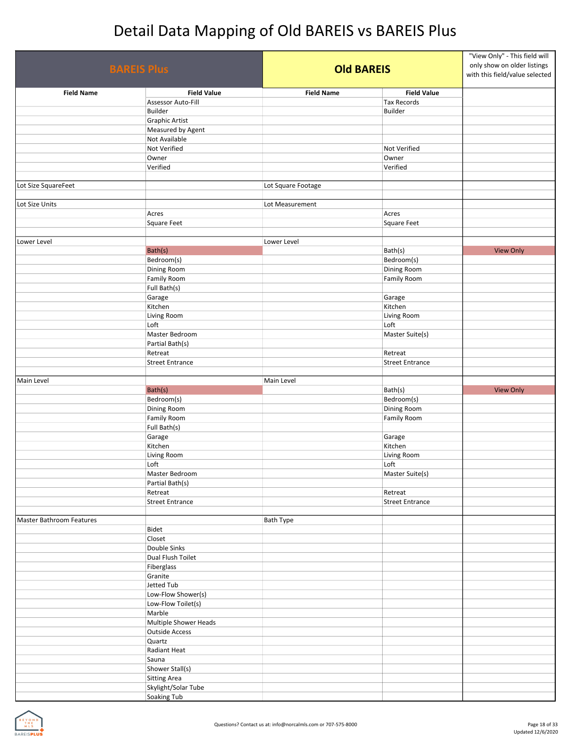| <b>BAREIS Plus</b>       |                        |                    | <b>Old BAREIS</b>      |                  |
|--------------------------|------------------------|--------------------|------------------------|------------------|
| <b>Field Name</b>        | <b>Field Value</b>     | <b>Field Name</b>  | <b>Field Value</b>     |                  |
|                          | Assessor Auto-Fill     |                    | <b>Tax Records</b>     |                  |
|                          | Builder                |                    | Builder                |                  |
|                          | <b>Graphic Artist</b>  |                    |                        |                  |
|                          | Measured by Agent      |                    |                        |                  |
|                          | Not Available          |                    |                        |                  |
|                          | Not Verified           |                    | Not Verified           |                  |
|                          | Owner                  |                    | Owner                  |                  |
|                          | Verified               |                    | Verified               |                  |
| Lot Size SquareFeet      |                        | Lot Square Footage |                        |                  |
| Lot Size Units           |                        | Lot Measurement    |                        |                  |
|                          | Acres                  |                    | Acres                  |                  |
|                          | <b>Square Feet</b>     |                    | Square Feet            |                  |
|                          |                        |                    |                        |                  |
| Lower Level              |                        | Lower Level        |                        |                  |
|                          | Bath(s)                |                    | Bath(s)                | <b>View Only</b> |
|                          | Bedroom(s)             |                    | Bedroom(s)             |                  |
|                          | Dining Room            |                    | Dining Room            |                  |
|                          | Family Room            |                    | Family Room            |                  |
|                          | Full Bath(s)           |                    |                        |                  |
|                          | Garage                 |                    | Garage                 |                  |
|                          | Kitchen                |                    | Kitchen                |                  |
|                          | Living Room            |                    | Living Room            |                  |
|                          | Loft                   |                    | Loft                   |                  |
|                          | Master Bedroom         |                    | Master Suite(s)        |                  |
|                          | Partial Bath(s)        |                    |                        |                  |
|                          | Retreat                |                    | Retreat                |                  |
|                          | <b>Street Entrance</b> |                    | <b>Street Entrance</b> |                  |
| Main Level               |                        | Main Level         |                        |                  |
|                          | Bath(s)                |                    | Bath(s)                | <b>View Only</b> |
|                          | Bedroom(s)             |                    | Bedroom(s)             |                  |
|                          | Dining Room            |                    | Dining Room            |                  |
|                          | Family Room            |                    | Family Room            |                  |
|                          | Full Bath(s)           |                    |                        |                  |
|                          | Garage                 |                    | Garage                 |                  |
|                          | Kitchen                |                    | Kitchen                |                  |
|                          | Living Room            |                    | Living Room            |                  |
|                          | Loft                   |                    | Loft                   |                  |
|                          | Master Bedroom         |                    | Master Suite(s)        |                  |
|                          | Partial Bath(s)        |                    |                        |                  |
|                          | Retreat                |                    | Retreat                |                  |
|                          | <b>Street Entrance</b> |                    | <b>Street Entrance</b> |                  |
|                          |                        |                    |                        |                  |
| Master Bathroom Features |                        | <b>Bath Type</b>   |                        |                  |
|                          | Bidet<br>Closet        |                    |                        |                  |
|                          | Double Sinks           |                    |                        |                  |
|                          | Dual Flush Toilet      |                    |                        |                  |
|                          | Fiberglass             |                    |                        |                  |
|                          | Granite                |                    |                        |                  |
|                          | Jetted Tub             |                    |                        |                  |
|                          | Low-Flow Shower(s)     |                    |                        |                  |
|                          | Low-Flow Toilet(s)     |                    |                        |                  |
|                          | Marble                 |                    |                        |                  |
|                          | Multiple Shower Heads  |                    |                        |                  |
|                          | <b>Outside Access</b>  |                    |                        |                  |
|                          | Quartz                 |                    |                        |                  |
|                          | Radiant Heat           |                    |                        |                  |
|                          | Sauna                  |                    |                        |                  |
|                          | Shower Stall(s)        |                    |                        |                  |
|                          | <b>Sitting Area</b>    |                    |                        |                  |
|                          | Skylight/Solar Tube    |                    |                        |                  |
|                          | <b>Soaking Tub</b>     |                    |                        |                  |

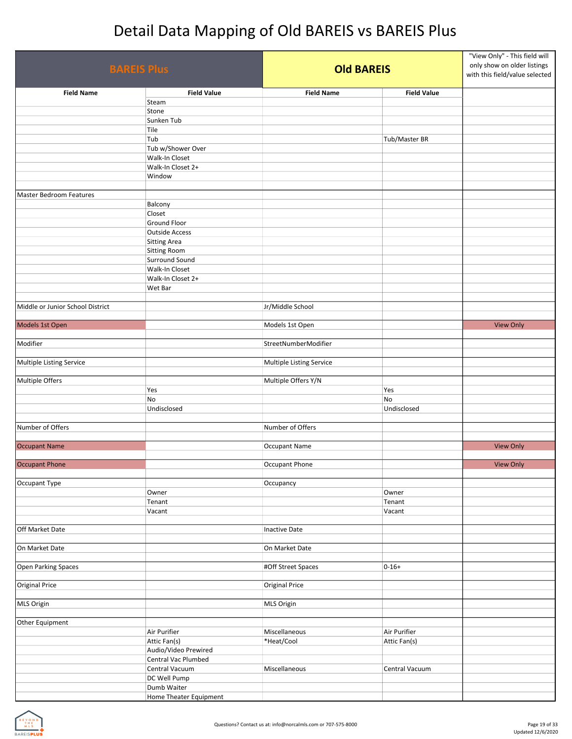| <b>BAREIS Plus</b>               |                                       | <b>Old BAREIS</b>        |                    | "View Only" - This field will<br>only show on older listings<br>with this field/value selected |
|----------------------------------|---------------------------------------|--------------------------|--------------------|------------------------------------------------------------------------------------------------|
| <b>Field Name</b>                | <b>Field Value</b>                    | <b>Field Name</b>        | <b>Field Value</b> |                                                                                                |
|                                  | Steam                                 |                          |                    |                                                                                                |
|                                  | Stone                                 |                          |                    |                                                                                                |
|                                  | Sunken Tub<br>Tile                    |                          |                    |                                                                                                |
|                                  | Tub                                   |                          | Tub/Master BR      |                                                                                                |
|                                  | Tub w/Shower Over                     |                          |                    |                                                                                                |
|                                  | Walk-In Closet                        |                          |                    |                                                                                                |
|                                  | Walk-In Closet 2+                     |                          |                    |                                                                                                |
|                                  | Window                                |                          |                    |                                                                                                |
|                                  |                                       |                          |                    |                                                                                                |
| <b>Master Bedroom Features</b>   |                                       |                          |                    |                                                                                                |
|                                  | Balcony                               |                          |                    |                                                                                                |
|                                  | Closet                                |                          |                    |                                                                                                |
|                                  | Ground Floor<br><b>Outside Access</b> |                          |                    |                                                                                                |
|                                  | <b>Sitting Area</b>                   |                          |                    |                                                                                                |
|                                  | Sitting Room                          |                          |                    |                                                                                                |
|                                  | Surround Sound                        |                          |                    |                                                                                                |
|                                  | Walk-In Closet                        |                          |                    |                                                                                                |
|                                  | Walk-In Closet 2+                     |                          |                    |                                                                                                |
|                                  | Wet Bar                               |                          |                    |                                                                                                |
|                                  |                                       |                          |                    |                                                                                                |
| Middle or Junior School District |                                       | Jr/Middle School         |                    |                                                                                                |
|                                  |                                       |                          |                    |                                                                                                |
| Models 1st Open                  |                                       | Models 1st Open          |                    | <b>View Only</b>                                                                               |
| Modifier                         |                                       |                          |                    |                                                                                                |
|                                  |                                       | StreetNumberModifier     |                    |                                                                                                |
| Multiple Listing Service         |                                       | Multiple Listing Service |                    |                                                                                                |
| Multiple Offers                  |                                       | Multiple Offers Y/N      |                    |                                                                                                |
|                                  | Yes                                   |                          | Yes                |                                                                                                |
|                                  | No                                    |                          | No                 |                                                                                                |
|                                  | Undisclosed                           |                          | Undisclosed        |                                                                                                |
|                                  |                                       |                          |                    |                                                                                                |
| Number of Offers                 |                                       | Number of Offers         |                    |                                                                                                |
|                                  |                                       |                          |                    |                                                                                                |
| <b>Occupant Name</b>             |                                       | Occupant Name            |                    | <b>View Only</b>                                                                               |
|                                  |                                       |                          |                    |                                                                                                |
| <b>Occupant Phone</b>            |                                       | Occupant Phone           |                    | <b>View Only</b>                                                                               |
| Occupant Type                    |                                       | Occupancy                |                    |                                                                                                |
|                                  | Owner                                 |                          | Owner              |                                                                                                |
|                                  | Tenant                                |                          | Tenant             |                                                                                                |
|                                  | Vacant                                |                          | Vacant             |                                                                                                |
|                                  |                                       |                          |                    |                                                                                                |
| Off Market Date                  |                                       | Inactive Date            |                    |                                                                                                |
|                                  |                                       |                          |                    |                                                                                                |
| On Market Date                   |                                       | On Market Date           |                    |                                                                                                |
|                                  |                                       |                          |                    |                                                                                                |
| Open Parking Spaces              |                                       | #Off Street Spaces       | $0 - 16 +$         |                                                                                                |
|                                  |                                       |                          |                    |                                                                                                |
| <b>Original Price</b>            |                                       | <b>Original Price</b>    |                    |                                                                                                |
| MLS Origin                       |                                       | MLS Origin               |                    |                                                                                                |
|                                  |                                       |                          |                    |                                                                                                |
| Other Equipment                  |                                       |                          |                    |                                                                                                |
|                                  | Air Purifier                          | Miscellaneous            | Air Purifier       |                                                                                                |
|                                  | Attic Fan(s)                          | *Heat/Cool               | Attic Fan(s)       |                                                                                                |
|                                  | Audio/Video Prewired                  |                          |                    |                                                                                                |
|                                  | Central Vac Plumbed                   |                          |                    |                                                                                                |
|                                  | Central Vacuum                        | Miscellaneous            | Central Vacuum     |                                                                                                |
|                                  | DC Well Pump                          |                          |                    |                                                                                                |
|                                  | Dumb Waiter                           |                          |                    |                                                                                                |
|                                  | Home Theater Equipment                |                          |                    |                                                                                                |

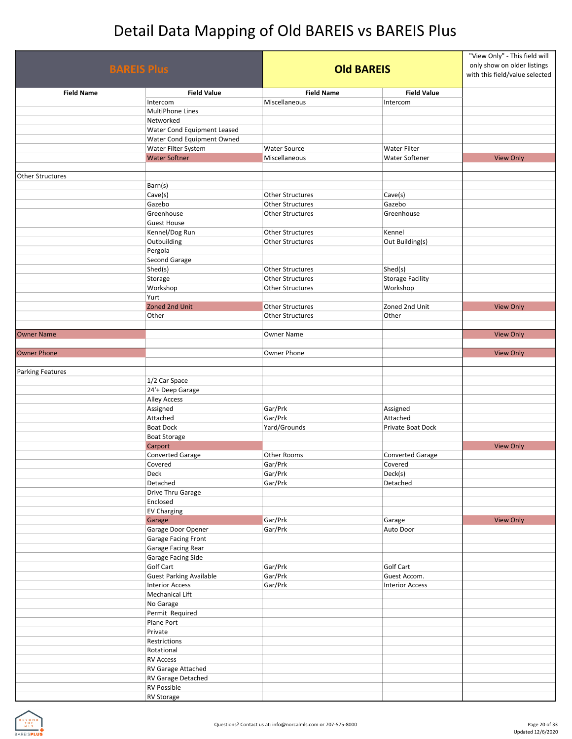| <b>BAREIS Plus</b>      |                                                  | <b>Old BAREIS</b>                                  |                                       | "View Only" - This field will<br>only show on older listings<br>with this field/value selected |
|-------------------------|--------------------------------------------------|----------------------------------------------------|---------------------------------------|------------------------------------------------------------------------------------------------|
| <b>Field Name</b>       | <b>Field Value</b>                               | <b>Field Name</b>                                  | <b>Field Value</b>                    |                                                                                                |
|                         | Intercom                                         | Miscellaneous                                      | Intercom                              |                                                                                                |
|                         | MultiPhone Lines                                 |                                                    |                                       |                                                                                                |
|                         | Networked                                        |                                                    |                                       |                                                                                                |
|                         | Water Cond Equipment Leased                      |                                                    |                                       |                                                                                                |
|                         | Water Cond Equipment Owned                       |                                                    |                                       |                                                                                                |
|                         | Water Filter System<br><b>Water Softner</b>      | <b>Water Source</b><br>Miscellaneous               | <b>Water Filter</b><br>Water Softener | <b>View Only</b>                                                                               |
|                         |                                                  |                                                    |                                       |                                                                                                |
| <b>Other Structures</b> |                                                  |                                                    |                                       |                                                                                                |
|                         | Barn(s)                                          |                                                    |                                       |                                                                                                |
|                         | Cave(s)                                          | <b>Other Structures</b>                            | Cave(s)                               |                                                                                                |
|                         | Gazebo                                           | <b>Other Structures</b>                            | Gazebo                                |                                                                                                |
|                         | Greenhouse                                       | <b>Other Structures</b>                            | Greenhouse                            |                                                                                                |
|                         | <b>Guest House</b>                               |                                                    |                                       |                                                                                                |
|                         | Kennel/Dog Run                                   | <b>Other Structures</b>                            | Kennel                                |                                                                                                |
|                         | Outbuilding                                      | <b>Other Structures</b>                            | Out Building(s)                       |                                                                                                |
|                         | Pergola                                          |                                                    |                                       |                                                                                                |
|                         | Second Garage                                    |                                                    |                                       |                                                                                                |
|                         | Shed(s)<br>Storage                               | <b>Other Structures</b><br><b>Other Structures</b> | Shed(s)<br><b>Storage Facility</b>    |                                                                                                |
|                         | Workshop                                         | <b>Other Structures</b>                            | Workshop                              |                                                                                                |
|                         | Yurt                                             |                                                    |                                       |                                                                                                |
|                         | Zoned 2nd Unit                                   | Other Structures                                   | Zoned 2nd Unit                        | <b>View Only</b>                                                                               |
|                         | Other                                            | <b>Other Structures</b>                            | Other                                 |                                                                                                |
|                         |                                                  |                                                    |                                       |                                                                                                |
| <b>Owner Name</b>       |                                                  | Owner Name                                         |                                       | <b>View Only</b>                                                                               |
|                         |                                                  |                                                    |                                       |                                                                                                |
| <b>Owner Phone</b>      |                                                  | Owner Phone                                        |                                       | <b>View Only</b>                                                                               |
|                         |                                                  |                                                    |                                       |                                                                                                |
| <b>Parking Features</b> |                                                  |                                                    |                                       |                                                                                                |
|                         | 1/2 Car Space                                    |                                                    |                                       |                                                                                                |
|                         | 24'+ Deep Garage                                 |                                                    |                                       |                                                                                                |
|                         | <b>Alley Access</b><br>Assigned                  | Gar/Prk                                            | Assigned                              |                                                                                                |
|                         | Attached                                         | Gar/Prk                                            | Attached                              |                                                                                                |
|                         | <b>Boat Dock</b>                                 | Yard/Grounds                                       | Private Boat Dock                     |                                                                                                |
|                         | <b>Boat Storage</b>                              |                                                    |                                       |                                                                                                |
|                         | Carport                                          |                                                    |                                       | <b>View Only</b>                                                                               |
|                         | <b>Converted Garage</b>                          | Other Rooms                                        | <b>Converted Garage</b>               |                                                                                                |
|                         | Covered                                          | Gar/Prk                                            | Covered                               |                                                                                                |
|                         | Deck                                             | Gar/Prk                                            | Deck(s)                               |                                                                                                |
|                         | Detached                                         | Gar/Prk                                            | Detached                              |                                                                                                |
|                         | Drive Thru Garage                                |                                                    |                                       |                                                                                                |
|                         | Enclosed                                         |                                                    |                                       |                                                                                                |
|                         | <b>EV Charging</b>                               |                                                    |                                       |                                                                                                |
|                         | Garage                                           | Gar/Prk                                            | Garage                                | <b>View Only</b>                                                                               |
|                         | Garage Door Opener<br><b>Garage Facing Front</b> | Gar/Prk                                            | Auto Door                             |                                                                                                |
|                         |                                                  |                                                    |                                       |                                                                                                |
|                         | Garage Facing Rear<br>Garage Facing Side         |                                                    |                                       |                                                                                                |
|                         | Golf Cart                                        | Gar/Prk                                            | Golf Cart                             |                                                                                                |
|                         | <b>Guest Parking Available</b>                   | Gar/Prk                                            | Guest Accom.                          |                                                                                                |
|                         | <b>Interior Access</b>                           | Gar/Prk                                            | <b>Interior Access</b>                |                                                                                                |
|                         | Mechanical Lift                                  |                                                    |                                       |                                                                                                |
|                         | No Garage                                        |                                                    |                                       |                                                                                                |
|                         | Permit Required                                  |                                                    |                                       |                                                                                                |
|                         | Plane Port                                       |                                                    |                                       |                                                                                                |
|                         | Private                                          |                                                    |                                       |                                                                                                |
|                         | Restrictions                                     |                                                    |                                       |                                                                                                |
|                         | Rotational                                       |                                                    |                                       |                                                                                                |
|                         | <b>RV Access</b>                                 |                                                    |                                       |                                                                                                |
|                         | RV Garage Attached                               |                                                    |                                       |                                                                                                |
|                         | RV Garage Detached<br><b>RV Possible</b>         |                                                    |                                       |                                                                                                |
|                         | <b>RV</b> Storage                                |                                                    |                                       |                                                                                                |
|                         |                                                  |                                                    |                                       |                                                                                                |

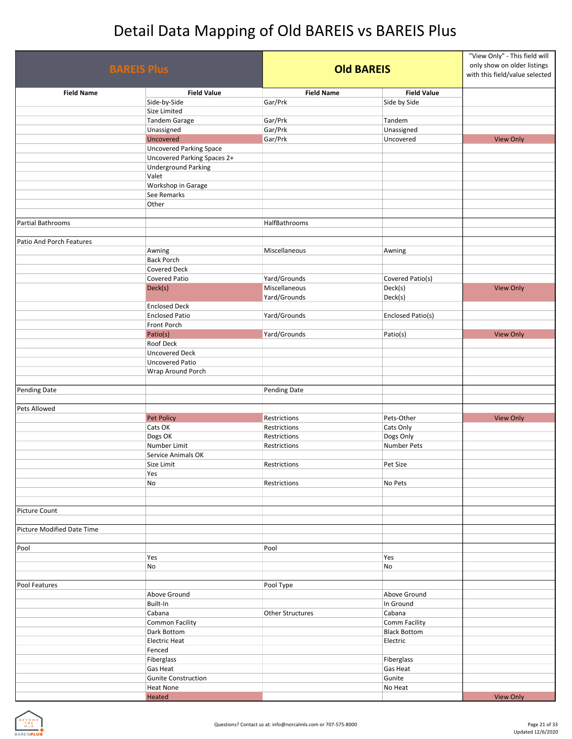|                            | <b>BAREIS Plus</b>             |                              | <b>Old BAREIS</b>        |                  |
|----------------------------|--------------------------------|------------------------------|--------------------------|------------------|
| <b>Field Name</b>          | <b>Field Value</b>             | <b>Field Name</b>            | <b>Field Value</b>       |                  |
|                            | Side-by-Side                   | Gar/Prk                      | Side by Side             |                  |
|                            | Size Limited                   |                              |                          |                  |
|                            | <b>Tandem Garage</b>           | Gar/Prk                      | Tandem                   |                  |
|                            | Unassigned                     | Gar/Prk                      | Unassigned               |                  |
|                            | Uncovered                      | Gar/Prk                      | Uncovered                | <b>View Only</b> |
|                            | <b>Uncovered Parking Space</b> |                              |                          |                  |
|                            | Uncovered Parking Spaces 2+    |                              |                          |                  |
|                            | <b>Underground Parking</b>     |                              |                          |                  |
|                            | Valet                          |                              |                          |                  |
|                            | Workshop in Garage             |                              |                          |                  |
|                            | See Remarks                    |                              |                          |                  |
|                            | Other                          |                              |                          |                  |
| Partial Bathrooms          |                                | HalfBathrooms                |                          |                  |
|                            |                                |                              |                          |                  |
| Patio And Porch Features   |                                |                              |                          |                  |
|                            | Awning                         | Miscellaneous                | Awning                   |                  |
|                            | <b>Back Porch</b>              |                              |                          |                  |
|                            | Covered Deck                   |                              |                          |                  |
|                            | Covered Patio                  | Yard/Grounds                 | Covered Patio(s)         |                  |
|                            | Deck(s)                        | Miscellaneous                | Deck(s)                  | <b>View Only</b> |
|                            |                                | Yard/Grounds                 | Deck(s)                  |                  |
|                            | <b>Enclosed Deck</b>           |                              |                          |                  |
|                            | <b>Enclosed Patio</b>          | Yard/Grounds                 | Enclosed Patio(s)        |                  |
|                            | Front Porch                    |                              |                          |                  |
|                            | Patio(s)                       | Yard/Grounds                 | Patio(s)                 | <b>View Only</b> |
|                            | Roof Deck                      |                              |                          |                  |
|                            | <b>Uncovered Deck</b>          |                              |                          |                  |
|                            | <b>Uncovered Patio</b>         |                              |                          |                  |
|                            | Wrap Around Porch              |                              |                          |                  |
|                            |                                |                              |                          |                  |
| <b>Pending Date</b>        |                                | Pending Date                 |                          |                  |
|                            |                                |                              |                          |                  |
| Pets Allowed               |                                |                              |                          |                  |
|                            | Pet Policy                     | Restrictions                 | Pets-Other               | <b>View Only</b> |
|                            | Cats OK                        | Restrictions                 | Cats Only                |                  |
|                            | Dogs OK<br>Number Limit        | Restrictions<br>Restrictions | Dogs Only<br>Number Pets |                  |
|                            | Service Animals OK             |                              |                          |                  |
|                            | Size Limit                     | Restrictions                 | Pet Size                 |                  |
|                            | Yes                            |                              |                          |                  |
|                            | No                             | Restrictions                 | No Pets                  |                  |
|                            |                                |                              |                          |                  |
|                            |                                |                              |                          |                  |
| <b>Picture Count</b>       |                                |                              |                          |                  |
|                            |                                |                              |                          |                  |
| Picture Modified Date Time |                                |                              |                          |                  |
|                            |                                |                              |                          |                  |
| Pool                       |                                | Pool                         |                          |                  |
|                            | Yes                            |                              | Yes                      |                  |
|                            | No                             |                              | No                       |                  |
|                            |                                |                              |                          |                  |
| Pool Features              |                                | Pool Type                    |                          |                  |
|                            | Above Ground                   |                              | Above Ground             |                  |
|                            | Built-In                       |                              | In Ground                |                  |
|                            | Cabana                         | <b>Other Structures</b>      | Cabana                   |                  |
|                            | Common Facility                |                              | <b>Comm Facility</b>     |                  |
|                            | Dark Bottom                    |                              | <b>Black Bottom</b>      |                  |
|                            | <b>Electric Heat</b>           |                              | Electric                 |                  |
|                            | Fenced                         |                              |                          |                  |
|                            | Fiberglass                     |                              | Fiberglass               |                  |
|                            | Gas Heat                       |                              | <b>Gas Heat</b>          |                  |
|                            | <b>Gunite Construction</b>     |                              | Gunite                   |                  |
|                            | <b>Heat None</b>               |                              | No Heat                  | View Only        |
|                            | Heated                         |                              |                          |                  |

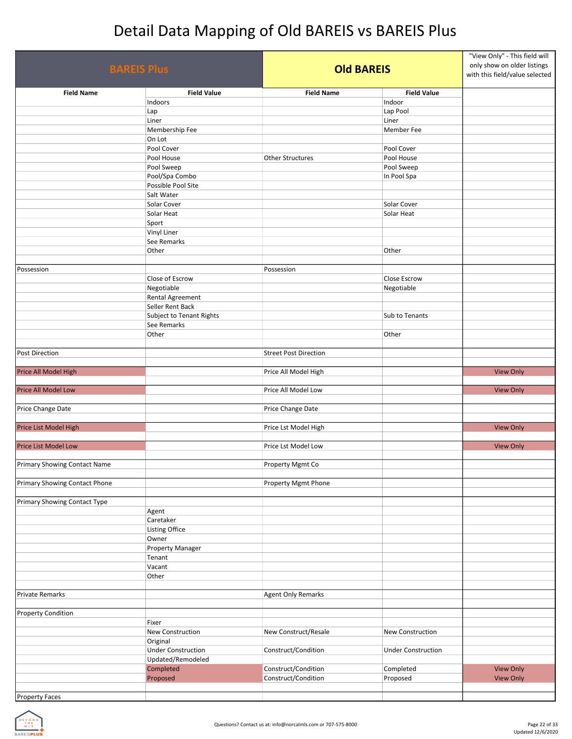| <b>BAREIS Plus</b>                  |                           | <b>Old BAREIS</b>            |                           | "View Only" - This field will<br>only show on older listings<br>with this field/value selected |
|-------------------------------------|---------------------------|------------------------------|---------------------------|------------------------------------------------------------------------------------------------|
| <b>Field Name</b>                   | <b>Field Value</b>        | <b>Field Name</b>            | <b>Field Value</b>        |                                                                                                |
|                                     | Indoors                   |                              | Indoor                    |                                                                                                |
|                                     | Lap                       |                              | Lap Pool                  |                                                                                                |
|                                     | Liner                     |                              | Liner                     |                                                                                                |
|                                     | Membership Fee            |                              | Member Fee                |                                                                                                |
|                                     | On Lot<br>Pool Cover      |                              | Pool Cover                |                                                                                                |
|                                     | Pool House                | <b>Other Structures</b>      | Pool House                |                                                                                                |
|                                     | Pool Sweep                |                              | Pool Sweep                |                                                                                                |
|                                     | Pool/Spa Combo            |                              | In Pool Spa               |                                                                                                |
|                                     | Possible Pool Site        |                              |                           |                                                                                                |
|                                     | Salt Water                |                              |                           |                                                                                                |
|                                     | Solar Cover               |                              | Solar Cover               |                                                                                                |
|                                     | Solar Heat                |                              | Solar Heat                |                                                                                                |
|                                     | Sport                     |                              |                           |                                                                                                |
|                                     | Vinyl Liner               |                              |                           |                                                                                                |
|                                     | See Remarks               |                              |                           |                                                                                                |
|                                     | Other                     |                              | Other                     |                                                                                                |
|                                     |                           |                              |                           |                                                                                                |
| Possession                          |                           | Possession                   |                           |                                                                                                |
|                                     | Close of Escrow           |                              | Close Escrow              |                                                                                                |
|                                     | Negotiable                |                              | Negotiable                |                                                                                                |
|                                     | Rental Agreement          |                              |                           |                                                                                                |
|                                     | Seller Rent Back          |                              |                           |                                                                                                |
|                                     | Subject to Tenant Rights  |                              | Sub to Tenants            |                                                                                                |
|                                     | See Remarks               |                              |                           |                                                                                                |
|                                     | Other                     |                              | Other                     |                                                                                                |
|                                     |                           |                              |                           |                                                                                                |
| Post Direction                      |                           | <b>Street Post Direction</b> |                           |                                                                                                |
|                                     |                           |                              |                           |                                                                                                |
| Price All Model High                |                           | Price All Model High         |                           | <b>View Only</b>                                                                               |
|                                     |                           |                              |                           |                                                                                                |
| Price All Model Low                 |                           | Price All Model Low          |                           | <b>View Only</b>                                                                               |
|                                     |                           |                              |                           |                                                                                                |
| Price Change Date                   |                           | Price Change Date            |                           |                                                                                                |
|                                     |                           |                              |                           |                                                                                                |
| Price List Model High               |                           | Price Lst Model High         |                           | <b>View Only</b>                                                                               |
| <b>Price List Model Low</b>         |                           | Price Lst Model Low          |                           |                                                                                                |
|                                     |                           |                              |                           | <b>View Only</b>                                                                               |
| <b>Primary Showing Contact Name</b> |                           | Property Mgmt Co             |                           |                                                                                                |
|                                     |                           |                              |                           |                                                                                                |
| Primary Showing Contact Phone       |                           | Property Mgmt Phone          |                           |                                                                                                |
|                                     |                           |                              |                           |                                                                                                |
| Primary Showing Contact Type        |                           |                              |                           |                                                                                                |
|                                     | Agent                     |                              |                           |                                                                                                |
|                                     | Caretaker                 |                              |                           |                                                                                                |
|                                     | Listing Office            |                              |                           |                                                                                                |
|                                     | Owner                     |                              |                           |                                                                                                |
|                                     | Property Manager          |                              |                           |                                                                                                |
|                                     | Tenant                    |                              |                           |                                                                                                |
|                                     | Vacant                    |                              |                           |                                                                                                |
|                                     | Other                     |                              |                           |                                                                                                |
|                                     |                           |                              |                           |                                                                                                |
| <b>Private Remarks</b>              |                           | Agent Only Remarks           |                           |                                                                                                |
| <b>Property Condition</b>           |                           |                              |                           |                                                                                                |
|                                     | Fixer                     |                              |                           |                                                                                                |
|                                     | New Construction          | New Construct/Resale         | New Construction          |                                                                                                |
|                                     | Original                  |                              |                           |                                                                                                |
|                                     | <b>Under Construction</b> | Construct/Condition          | <b>Under Construction</b> |                                                                                                |
|                                     | Updated/Remodeled         |                              |                           |                                                                                                |
|                                     | Completed                 | Construct/Condition          | Completed                 | <b>View Only</b>                                                                               |
|                                     | Proposed                  | Construct/Condition          | Proposed                  | <b>View Only</b>                                                                               |
|                                     |                           |                              |                           |                                                                                                |
| <b>Property Faces</b>               |                           |                              |                           |                                                                                                |

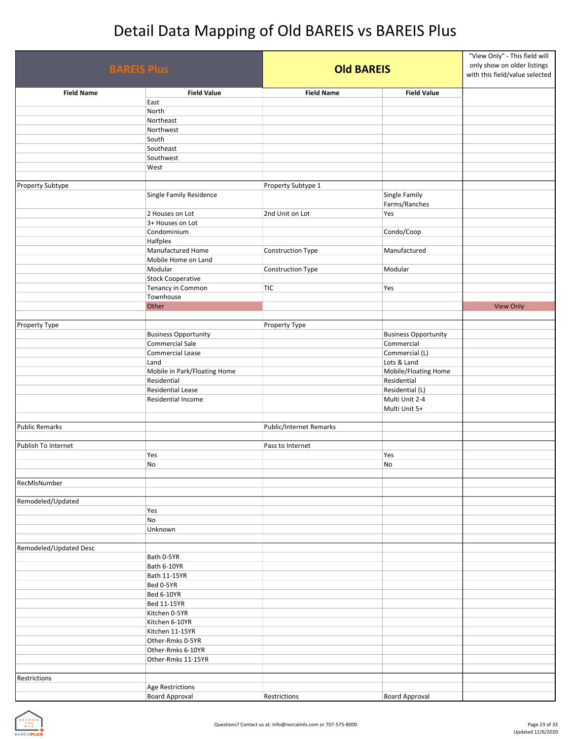| <b>BAREIS Plus</b>     |                                                  |                         | <b>Old BAREIS</b>               |                  |
|------------------------|--------------------------------------------------|-------------------------|---------------------------------|------------------|
| <b>Field Name</b>      | <b>Field Value</b>                               | <b>Field Name</b>       | <b>Field Value</b>              |                  |
|                        | East                                             |                         |                                 |                  |
|                        | North                                            |                         |                                 |                  |
|                        | Northeast                                        |                         |                                 |                  |
|                        | Northwest                                        |                         |                                 |                  |
|                        | South<br>Southeast                               |                         |                                 |                  |
|                        | Southwest                                        |                         |                                 |                  |
|                        | West                                             |                         |                                 |                  |
|                        |                                                  |                         |                                 |                  |
| Property Subtype       | Single Family Residence                          | Property Subtype 1      | Single Family<br>Farms/Ranches  |                  |
|                        | 2 Houses on Lot                                  | 2nd Unit on Lot         | Yes                             |                  |
|                        | 3+ Houses on Lot                                 |                         |                                 |                  |
|                        | Condominium                                      |                         | Condo/Coop                      |                  |
|                        | Halfplex<br>Manufactured Home                    |                         |                                 |                  |
|                        | Mobile Home on Land                              | Construction Type       | Manufactured                    |                  |
|                        | Modular                                          | Construction Type       | Modular                         |                  |
|                        | <b>Stock Cooperative</b>                         |                         |                                 |                  |
|                        | Tenancy in Common                                | TIC                     | Yes                             |                  |
|                        | Townhouse                                        |                         |                                 |                  |
|                        | Other                                            |                         |                                 | <b>View Only</b> |
|                        |                                                  |                         |                                 |                  |
| Property Type          | <b>Business Opportunity</b>                      | Property Type           | <b>Business Opportunity</b>     |                  |
|                        | Commercial Sale                                  |                         | Commercial                      |                  |
|                        | Commercial Lease                                 |                         | Commercial (L)                  |                  |
|                        | Land                                             |                         | Lots & Land                     |                  |
|                        | Mobile in Park/Floating Home                     |                         | Mobile/Floating Home            |                  |
|                        | Residential                                      |                         | Residential                     |                  |
|                        | <b>Residential Lease</b>                         |                         | Residential (L)                 |                  |
|                        | Residential Income                               |                         | Multi Unit 2-4<br>Multi Unit 5+ |                  |
|                        |                                                  |                         |                                 |                  |
| <b>Public Remarks</b>  |                                                  | Public/Internet Remarks |                                 |                  |
|                        |                                                  |                         |                                 |                  |
| Publish To Internet    |                                                  | Pass to Internet        |                                 |                  |
|                        | Yes<br>No                                        |                         | Yes<br>No                       |                  |
| RecMlsNumber           |                                                  |                         |                                 |                  |
| Remodeled/Updated      |                                                  |                         |                                 |                  |
|                        | Yes                                              |                         |                                 |                  |
|                        | No                                               |                         |                                 |                  |
|                        | Unknown                                          |                         |                                 |                  |
|                        |                                                  |                         |                                 |                  |
| Remodeled/Updated Desc |                                                  |                         |                                 |                  |
|                        | Bath 0-5YR                                       |                         |                                 |                  |
|                        | Bath 6-10YR<br>Bath 11-15YR                      |                         |                                 |                  |
|                        | Bed 0-5YR                                        |                         |                                 |                  |
|                        | <b>Bed 6-10YR</b>                                |                         |                                 |                  |
|                        | Bed 11-15YR                                      |                         |                                 |                  |
|                        | Kitchen 0-5YR                                    |                         |                                 |                  |
|                        | Kitchen 6-10YR                                   |                         |                                 |                  |
|                        | Kitchen 11-15YR                                  |                         |                                 |                  |
|                        | Other-Rmks 0-5YR                                 |                         |                                 |                  |
|                        | Other-Rmks 6-10YR                                |                         |                                 |                  |
|                        | Other-Rmks 11-15YR                               |                         |                                 |                  |
|                        |                                                  |                         |                                 |                  |
| Restrictions           |                                                  |                         |                                 |                  |
|                        | <b>Age Restrictions</b><br><b>Board Approval</b> | Restrictions            | <b>Board Approval</b>           |                  |
|                        |                                                  |                         |                                 |                  |

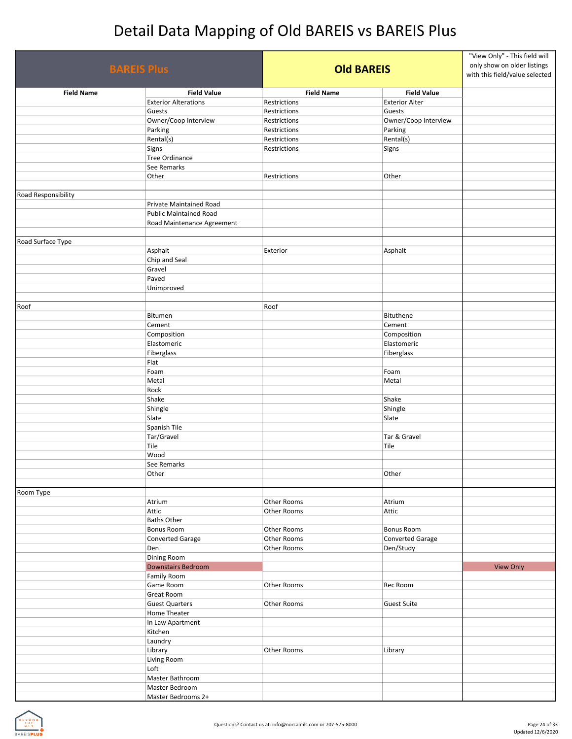| <b>BAREIS Plus</b>  |                               | <b>Old BAREIS</b> |                       | "View Only" - This field will<br>only show on older listings<br>with this field/value selected |
|---------------------|-------------------------------|-------------------|-----------------------|------------------------------------------------------------------------------------------------|
| <b>Field Name</b>   | <b>Field Value</b>            | <b>Field Name</b> | <b>Field Value</b>    |                                                                                                |
|                     | <b>Exterior Alterations</b>   | Restrictions      | <b>Exterior Alter</b> |                                                                                                |
|                     | Guests                        | Restrictions      | Guests                |                                                                                                |
|                     | Owner/Coop Interview          | Restrictions      | Owner/Coop Interview  |                                                                                                |
|                     | Parking                       | Restrictions      | Parking               |                                                                                                |
|                     | Rental(s)                     | Restrictions      | Rental(s)             |                                                                                                |
|                     | Signs                         | Restrictions      | Signs                 |                                                                                                |
|                     | Tree Ordinance                |                   |                       |                                                                                                |
|                     | See Remarks                   |                   |                       |                                                                                                |
|                     | Other                         | Restrictions      | Other                 |                                                                                                |
|                     |                               |                   |                       |                                                                                                |
| Road Responsibility |                               |                   |                       |                                                                                                |
|                     | Private Maintained Road       |                   |                       |                                                                                                |
|                     | <b>Public Maintained Road</b> |                   |                       |                                                                                                |
|                     | Road Maintenance Agreement    |                   |                       |                                                                                                |
|                     |                               |                   |                       |                                                                                                |
| Road Surface Type   |                               |                   |                       |                                                                                                |
|                     | Asphalt                       | Exterior          | Asphalt               |                                                                                                |
|                     | Chip and Seal                 |                   |                       |                                                                                                |
|                     | Gravel                        |                   |                       |                                                                                                |
|                     | Paved                         |                   |                       |                                                                                                |
|                     | Unimproved                    |                   |                       |                                                                                                |
|                     |                               |                   |                       |                                                                                                |
| Roof                |                               | Roof              |                       |                                                                                                |
|                     | Bitumen                       |                   | Bituthene             |                                                                                                |
|                     | Cement                        |                   | Cement                |                                                                                                |
|                     | Composition                   |                   | Composition           |                                                                                                |
|                     | Elastomeric                   |                   | Elastomeric           |                                                                                                |
|                     | Fiberglass                    |                   | Fiberglass            |                                                                                                |
|                     | Flat                          |                   |                       |                                                                                                |
|                     | Foam                          |                   | Foam                  |                                                                                                |
|                     | Metal                         |                   | Metal                 |                                                                                                |
|                     | Rock                          |                   |                       |                                                                                                |
|                     | Shake                         |                   | Shake                 |                                                                                                |
|                     | Shingle                       |                   | Shingle               |                                                                                                |
|                     | Slate                         |                   | Slate                 |                                                                                                |
|                     | Spanish Tile                  |                   |                       |                                                                                                |
|                     | Tar/Gravel                    |                   | Tar & Gravel          |                                                                                                |
|                     | Tile                          |                   | Tile                  |                                                                                                |
|                     | Wood                          |                   |                       |                                                                                                |
|                     | See Remarks                   |                   |                       |                                                                                                |
|                     | Other                         |                   | Other                 |                                                                                                |
|                     |                               |                   |                       |                                                                                                |
| Room Type           |                               |                   |                       |                                                                                                |
|                     | Atrium                        | Other Rooms       | Atrium                |                                                                                                |
|                     | Attic                         | Other Rooms       | Attic                 |                                                                                                |
|                     | <b>Baths Other</b>            |                   |                       |                                                                                                |
|                     | Bonus Room                    | Other Rooms       | Bonus Room            |                                                                                                |
|                     | Converted Garage              | Other Rooms       | Converted Garage      |                                                                                                |
|                     | Den                           | Other Rooms       | Den/Study             |                                                                                                |
|                     | Dining Room                   |                   |                       |                                                                                                |
|                     | <b>Downstairs Bedroom</b>     |                   |                       | <b>View Only</b>                                                                               |
|                     | Family Room                   |                   |                       |                                                                                                |
|                     | Game Room                     | Other Rooms       | Rec Room              |                                                                                                |
|                     | Great Room                    |                   |                       |                                                                                                |
|                     | <b>Guest Quarters</b>         | Other Rooms       | <b>Guest Suite</b>    |                                                                                                |
|                     | Home Theater                  |                   |                       |                                                                                                |
|                     | In Law Apartment              |                   |                       |                                                                                                |
|                     | Kitchen                       |                   |                       |                                                                                                |
|                     | Laundry                       |                   |                       |                                                                                                |
|                     | Library                       | Other Rooms       | Library               |                                                                                                |
|                     | Living Room                   |                   |                       |                                                                                                |
|                     | Loft                          |                   |                       |                                                                                                |
|                     | Master Bathroom               |                   |                       |                                                                                                |
|                     | Master Bedroom                |                   |                       |                                                                                                |
|                     | Master Bedrooms 2+            |                   |                       |                                                                                                |
|                     |                               |                   |                       |                                                                                                |

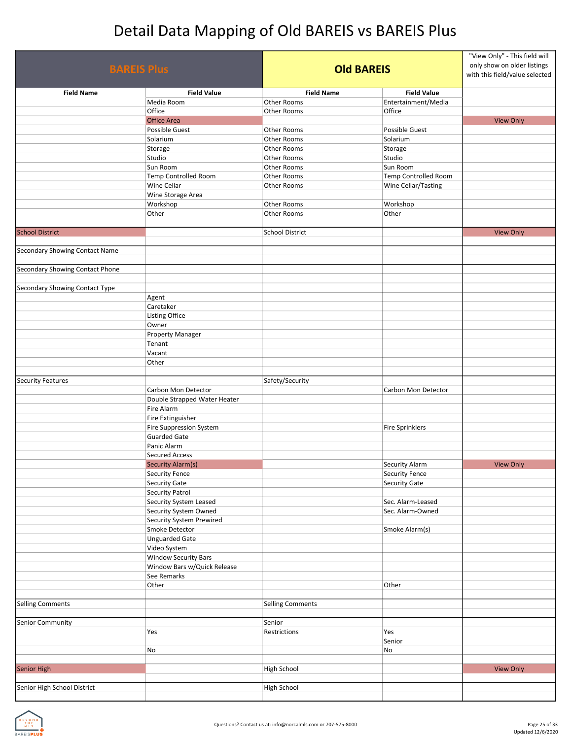| <b>BAREIS Plus</b>                    |                              | <b>Old BAREIS</b>      |                             | "View Only" - This field will<br>only show on older listings<br>with this field/value selected |
|---------------------------------------|------------------------------|------------------------|-----------------------------|------------------------------------------------------------------------------------------------|
| <b>Field Name</b>                     | <b>Field Value</b>           | <b>Field Name</b>      | <b>Field Value</b>          |                                                                                                |
|                                       | Media Room                   | Other Rooms            | Entertainment/Media         |                                                                                                |
|                                       | Office                       | Other Rooms            | Office                      |                                                                                                |
|                                       | <b>Office Area</b>           |                        |                             | <b>View Only</b>                                                                               |
|                                       | Possible Guest               | Other Rooms            | Possible Guest              |                                                                                                |
|                                       | Solarium                     | Other Rooms            | Solarium                    |                                                                                                |
|                                       | Storage                      | Other Rooms            | Storage                     |                                                                                                |
|                                       | Studio                       | Other Rooms            | Studio                      |                                                                                                |
|                                       | Sun Room                     | Other Rooms            | Sun Room                    |                                                                                                |
|                                       | Temp Controlled Room         | Other Rooms            | <b>Temp Controlled Room</b> |                                                                                                |
|                                       | Wine Cellar                  | Other Rooms            | Wine Cellar/Tasting         |                                                                                                |
|                                       | Wine Storage Area            |                        |                             |                                                                                                |
|                                       | Workshop                     | Other Rooms            | Workshop                    |                                                                                                |
|                                       | Other                        | Other Rooms            | Other                       |                                                                                                |
|                                       |                              |                        |                             |                                                                                                |
| <b>School District</b>                |                              | <b>School District</b> |                             | <b>View Only</b>                                                                               |
| <b>Secondary Showing Contact Name</b> |                              |                        |                             |                                                                                                |
|                                       |                              |                        |                             |                                                                                                |
| Secondary Showing Contact Phone       |                              |                        |                             |                                                                                                |
|                                       |                              |                        |                             |                                                                                                |
| Secondary Showing Contact Type        |                              |                        |                             |                                                                                                |
|                                       | Agent                        |                        |                             |                                                                                                |
|                                       | Caretaker                    |                        |                             |                                                                                                |
|                                       | Listing Office               |                        |                             |                                                                                                |
|                                       | Owner                        |                        |                             |                                                                                                |
|                                       | Property Manager             |                        |                             |                                                                                                |
|                                       | Tenant                       |                        |                             |                                                                                                |
|                                       | Vacant                       |                        |                             |                                                                                                |
|                                       | Other                        |                        |                             |                                                                                                |
| <b>Security Features</b>              |                              | Safety/Security        |                             |                                                                                                |
|                                       | Carbon Mon Detector          |                        | Carbon Mon Detector         |                                                                                                |
|                                       | Double Strapped Water Heater |                        |                             |                                                                                                |
|                                       | Fire Alarm                   |                        |                             |                                                                                                |
|                                       | Fire Extinguisher            |                        |                             |                                                                                                |
|                                       | Fire Suppression System      |                        | <b>Fire Sprinklers</b>      |                                                                                                |
|                                       | <b>Guarded Gate</b>          |                        |                             |                                                                                                |
|                                       | Panic Alarm                  |                        |                             |                                                                                                |
|                                       | <b>Secured Access</b>        |                        |                             |                                                                                                |
|                                       | Security Alarm(s)            |                        | Security Alarm              | <b>View Only</b>                                                                               |
|                                       | <b>Security Fence</b>        |                        | <b>Security Fence</b>       |                                                                                                |
|                                       | Security Gate                |                        | <b>Security Gate</b>        |                                                                                                |
|                                       | <b>Security Patrol</b>       |                        |                             |                                                                                                |
|                                       | Security System Leased       |                        | Sec. Alarm-Leased           |                                                                                                |
|                                       | Security System Owned        |                        | Sec. Alarm-Owned            |                                                                                                |
|                                       | Security System Prewired     |                        |                             |                                                                                                |
|                                       | Smoke Detector               |                        | Smoke Alarm(s)              |                                                                                                |
|                                       | <b>Unguarded Gate</b>        |                        |                             |                                                                                                |
|                                       | Video System                 |                        |                             |                                                                                                |
|                                       | Window Security Bars         |                        |                             |                                                                                                |
|                                       | Window Bars w/Quick Release  |                        |                             |                                                                                                |
|                                       | See Remarks                  |                        |                             |                                                                                                |
|                                       | Other                        |                        | Other                       |                                                                                                |
|                                       |                              |                        |                             |                                                                                                |
| <b>Selling Comments</b>               |                              | Selling Comments       |                             |                                                                                                |
|                                       |                              |                        |                             |                                                                                                |
| Senior Community                      |                              | Senior                 |                             |                                                                                                |
|                                       | Yes                          | Restrictions           | Yes                         |                                                                                                |
|                                       |                              |                        | Senior                      |                                                                                                |
|                                       | No                           |                        | No                          |                                                                                                |
|                                       |                              |                        |                             |                                                                                                |
| Senior High                           |                              | <b>High School</b>     |                             | <b>View Only</b>                                                                               |
| Senior High School District           |                              | High School            |                             |                                                                                                |
|                                       |                              |                        |                             |                                                                                                |

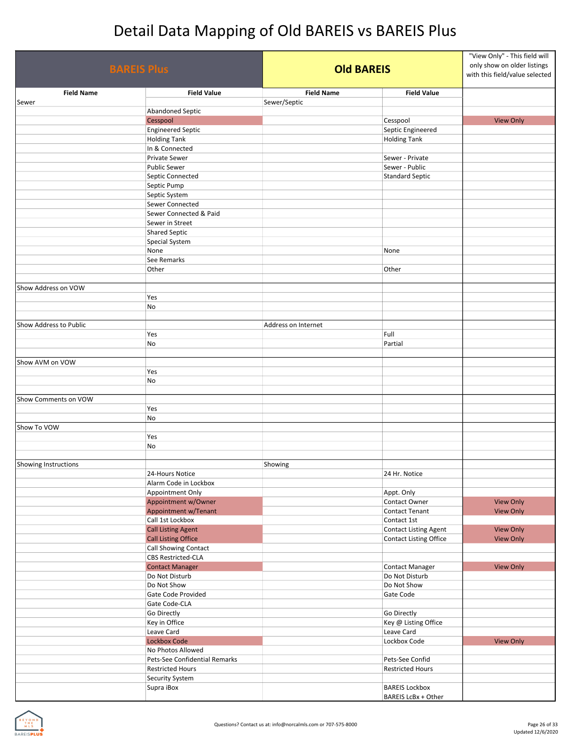| <b>BAREIS Plus</b>     |                                     | <b>Old BAREIS</b>   |                              | "View Only" - This field will<br>only show on older listings<br>with this field/value selected |
|------------------------|-------------------------------------|---------------------|------------------------------|------------------------------------------------------------------------------------------------|
| <b>Field Name</b>      | <b>Field Value</b>                  | <b>Field Name</b>   | <b>Field Value</b>           |                                                                                                |
| Sewer                  |                                     | Sewer/Septic        |                              |                                                                                                |
|                        | <b>Abandoned Septic</b><br>Cesspool |                     | Cesspool                     | <b>View Only</b>                                                                               |
|                        | <b>Engineered Septic</b>            |                     | Septic Engineered            |                                                                                                |
|                        | <b>Holding Tank</b>                 |                     | <b>Holding Tank</b>          |                                                                                                |
|                        | In & Connected                      |                     |                              |                                                                                                |
|                        | Private Sewer                       |                     | Sewer - Private              |                                                                                                |
|                        | <b>Public Sewer</b>                 |                     | Sewer - Public               |                                                                                                |
|                        | Septic Connected                    |                     | <b>Standard Septic</b>       |                                                                                                |
|                        | Septic Pump                         |                     |                              |                                                                                                |
|                        | Septic System                       |                     |                              |                                                                                                |
|                        | Sewer Connected                     |                     |                              |                                                                                                |
|                        | Sewer Connected & Paid              |                     |                              |                                                                                                |
|                        | Sewer in Street                     |                     |                              |                                                                                                |
|                        | <b>Shared Septic</b>                |                     |                              |                                                                                                |
|                        | Special System                      |                     |                              |                                                                                                |
|                        | None                                |                     | None                         |                                                                                                |
|                        | See Remarks                         |                     |                              |                                                                                                |
|                        | Other                               |                     | Other                        |                                                                                                |
|                        |                                     |                     |                              |                                                                                                |
| Show Address on VOW    |                                     |                     |                              |                                                                                                |
|                        | Yes                                 |                     |                              |                                                                                                |
|                        | No                                  |                     |                              |                                                                                                |
|                        |                                     |                     |                              |                                                                                                |
| Show Address to Public |                                     | Address on Internet |                              |                                                                                                |
|                        | Yes                                 |                     | Full                         |                                                                                                |
|                        | No                                  |                     | Partial                      |                                                                                                |
|                        |                                     |                     |                              |                                                                                                |
| Show AVM on VOW        |                                     |                     |                              |                                                                                                |
|                        | Yes                                 |                     |                              |                                                                                                |
|                        | No                                  |                     |                              |                                                                                                |
|                        |                                     |                     |                              |                                                                                                |
| Show Comments on VOW   |                                     |                     |                              |                                                                                                |
|                        | Yes                                 |                     |                              |                                                                                                |
| Show To VOW            | No                                  |                     |                              |                                                                                                |
|                        | Yes                                 |                     |                              |                                                                                                |
|                        | No                                  |                     |                              |                                                                                                |
|                        |                                     |                     |                              |                                                                                                |
| Showing Instructions   |                                     | Showing             |                              |                                                                                                |
|                        | 24-Hours Notice                     |                     | 24 Hr. Notice                |                                                                                                |
|                        | Alarm Code in Lockbox               |                     |                              |                                                                                                |
|                        | Appointment Only                    |                     | Appt. Only                   |                                                                                                |
|                        | Appointment w/Owner                 |                     | Contact Owner                | View Only                                                                                      |
|                        | <b>Appointment w/Tenant</b>         |                     | <b>Contact Tenant</b>        | <b>View Only</b>                                                                               |
|                        | Call 1st Lockbox                    |                     | Contact 1st                  |                                                                                                |
|                        | <b>Call Listing Agent</b>           |                     | <b>Contact Listing Agent</b> | View Only                                                                                      |
|                        | <b>Call Listing Office</b>          |                     | Contact Listing Office       | <b>View Only</b>                                                                               |
|                        | Call Showing Contact                |                     |                              |                                                                                                |
|                        | <b>CBS Restricted-CLA</b>           |                     |                              |                                                                                                |
|                        | <b>Contact Manager</b>              |                     | <b>Contact Manager</b>       | <b>View Only</b>                                                                               |
|                        | Do Not Disturb                      |                     | Do Not Disturb               |                                                                                                |
|                        | Do Not Show                         |                     | Do Not Show                  |                                                                                                |
|                        | Gate Code Provided                  |                     | Gate Code                    |                                                                                                |
|                        | Gate Code-CLA                       |                     |                              |                                                                                                |
|                        | Go Directly                         |                     | Go Directly                  |                                                                                                |
|                        | Key in Office                       |                     | Key @ Listing Office         |                                                                                                |
|                        | Leave Card                          |                     | Leave Card                   |                                                                                                |
|                        | <b>Lockbox Code</b>                 |                     | Lockbox Code                 | <b>View Only</b>                                                                               |
|                        | No Photos Allowed                   |                     |                              |                                                                                                |
|                        | Pets-See Confidential Remarks       |                     | Pets-See Confid              |                                                                                                |
|                        | <b>Restricted Hours</b>             |                     | <b>Restricted Hours</b>      |                                                                                                |
|                        | <b>Security System</b>              |                     |                              |                                                                                                |
|                        | Supra iBox                          |                     | <b>BAREIS Lockbox</b>        |                                                                                                |
|                        |                                     |                     | BAREIS LcBx + Other          |                                                                                                |

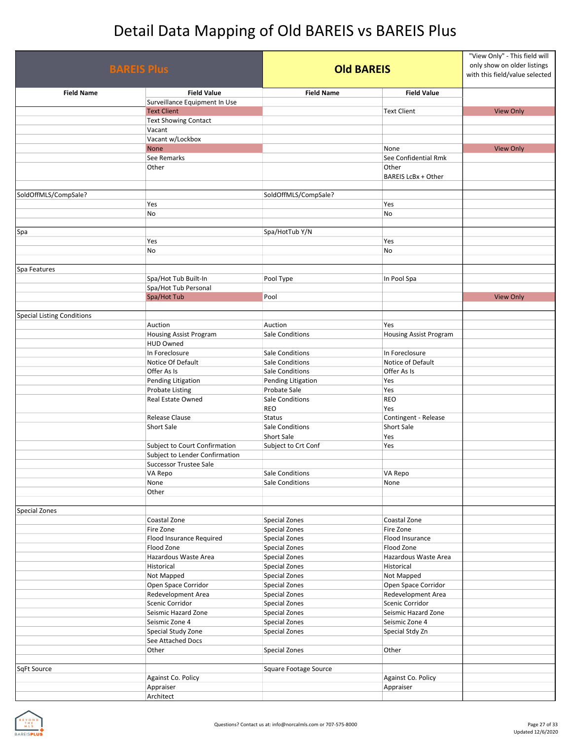| <b>BAREIS Plus</b>                |                                            | <b>Old BAREIS</b>                 |                                        | "View Only" - This field will<br>only show on older listings<br>with this field/value selected |
|-----------------------------------|--------------------------------------------|-----------------------------------|----------------------------------------|------------------------------------------------------------------------------------------------|
| <b>Field Name</b>                 | <b>Field Value</b>                         | <b>Field Name</b>                 | <b>Field Value</b>                     |                                                                                                |
|                                   | Surveillance Equipment In Use              |                                   |                                        |                                                                                                |
|                                   | <b>Text Client</b>                         |                                   | <b>Text Client</b>                     | <b>View Only</b>                                                                               |
|                                   | <b>Text Showing Contact</b>                |                                   |                                        |                                                                                                |
|                                   | Vacant<br>Vacant w/Lockbox                 |                                   |                                        |                                                                                                |
|                                   | <b>None</b>                                |                                   | None                                   | <b>View Only</b>                                                                               |
|                                   | See Remarks                                |                                   | See Confidential Rmk                   |                                                                                                |
|                                   | Other                                      |                                   | Other<br>BAREIS LcBx + Other           |                                                                                                |
| SoldOffMLS/CompSale?              |                                            | SoldOffMLS/CompSale?              |                                        |                                                                                                |
|                                   | Yes                                        |                                   | Yes                                    |                                                                                                |
|                                   | No                                         |                                   | No                                     |                                                                                                |
|                                   |                                            |                                   |                                        |                                                                                                |
| Spa                               |                                            | Spa/HotTub Y/N                    |                                        |                                                                                                |
|                                   | Yes                                        |                                   | Yes                                    |                                                                                                |
|                                   | No                                         |                                   | No                                     |                                                                                                |
|                                   |                                            |                                   |                                        |                                                                                                |
| Spa Features                      |                                            |                                   |                                        |                                                                                                |
|                                   | Spa/Hot Tub Built-In                       | Pool Type                         | In Pool Spa                            |                                                                                                |
|                                   | Spa/Hot Tub Personal                       |                                   |                                        |                                                                                                |
|                                   | Spa/Hot Tub                                | Pool                              |                                        | <b>View Only</b>                                                                               |
|                                   |                                            |                                   |                                        |                                                                                                |
| <b>Special Listing Conditions</b> |                                            |                                   |                                        |                                                                                                |
|                                   | Auction                                    | Auction<br><b>Sale Conditions</b> | Yes                                    |                                                                                                |
|                                   | Housing Assist Program<br><b>HUD Owned</b> |                                   | Housing Assist Program                 |                                                                                                |
|                                   | In Foreclosure                             | <b>Sale Conditions</b>            | In Foreclosure                         |                                                                                                |
|                                   | Notice Of Default                          | Sale Conditions                   | Notice of Default                      |                                                                                                |
|                                   | Offer As Is                                | <b>Sale Conditions</b>            | Offer As Is                            |                                                                                                |
|                                   | Pending Litigation                         | Pending Litigation                | Yes                                    |                                                                                                |
|                                   | <b>Probate Listing</b>                     | Probate Sale                      | Yes                                    |                                                                                                |
|                                   | Real Estate Owned                          | Sale Conditions                   | <b>REO</b>                             |                                                                                                |
|                                   |                                            | REO                               | Yes                                    |                                                                                                |
|                                   | Release Clause                             | <b>Status</b>                     | Contingent - Release                   |                                                                                                |
|                                   | Short Sale                                 | <b>Sale Conditions</b>            | <b>Short Sale</b>                      |                                                                                                |
|                                   |                                            | Short Sale                        | Yes                                    |                                                                                                |
|                                   | Subject to Court Confirmation              | Subject to Crt Conf               | Yes                                    |                                                                                                |
|                                   | Subject to Lender Confirmation             |                                   |                                        |                                                                                                |
|                                   | <b>Successor Trustee Sale</b>              | <b>Sale Conditions</b>            | VA Repo                                |                                                                                                |
|                                   | VA Repo<br>None                            | <b>Sale Conditions</b>            | None                                   |                                                                                                |
|                                   | Other                                      |                                   |                                        |                                                                                                |
|                                   |                                            |                                   |                                        |                                                                                                |
| <b>Special Zones</b>              |                                            |                                   |                                        |                                                                                                |
|                                   | Coastal Zone                               | Special Zones                     | Coastal Zone                           |                                                                                                |
|                                   | Fire Zone                                  | Special Zones                     | Fire Zone                              |                                                                                                |
|                                   | Flood Insurance Required                   | Special Zones                     | Flood Insurance                        |                                                                                                |
|                                   | Flood Zone                                 | Special Zones                     | Flood Zone                             |                                                                                                |
|                                   | Hazardous Waste Area                       | Special Zones                     | Hazardous Waste Area                   |                                                                                                |
|                                   | Historical                                 | Special Zones                     | Historical                             |                                                                                                |
|                                   | Not Mapped                                 | Special Zones                     | Not Mapped                             |                                                                                                |
|                                   | Open Space Corridor                        | Special Zones                     | Open Space Corridor                    |                                                                                                |
|                                   | Redevelopment Area                         | Special Zones                     | Redevelopment Area                     |                                                                                                |
|                                   | Scenic Corridor<br>Seismic Hazard Zone     | Special Zones<br>Special Zones    | Scenic Corridor<br>Seismic Hazard Zone |                                                                                                |
|                                   | Seismic Zone 4                             | Special Zones                     | Seismic Zone 4                         |                                                                                                |
|                                   | Special Study Zone                         | Special Zones                     | Special Stdy Zn                        |                                                                                                |
|                                   | See Attached Docs                          |                                   |                                        |                                                                                                |
|                                   | Other                                      | Special Zones                     | Other                                  |                                                                                                |
|                                   |                                            |                                   |                                        |                                                                                                |
| SqFt Source                       |                                            | Square Footage Source             |                                        |                                                                                                |
|                                   | Against Co. Policy                         |                                   | Against Co. Policy                     |                                                                                                |
|                                   | Appraiser                                  |                                   | Appraiser                              |                                                                                                |
|                                   | Architect                                  |                                   |                                        |                                                                                                |

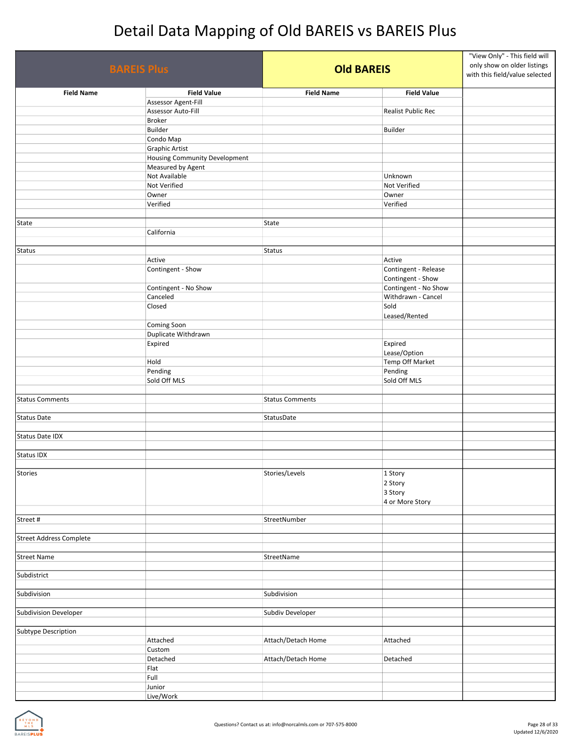| <b>BAREIS Plus</b>             |                                                    | <b>Old BAREIS</b>      |                      | "View Only" - This field will<br>only show on older listings<br>with this field/value selected |
|--------------------------------|----------------------------------------------------|------------------------|----------------------|------------------------------------------------------------------------------------------------|
| <b>Field Name</b>              | <b>Field Value</b>                                 | <b>Field Name</b>      | <b>Field Value</b>   |                                                                                                |
|                                | Assessor Agent-Fill                                |                        |                      |                                                                                                |
|                                | Assessor Auto-Fill                                 |                        | Realist Public Rec   |                                                                                                |
|                                | <b>Broker</b>                                      |                        |                      |                                                                                                |
|                                | Builder                                            |                        | Builder              |                                                                                                |
|                                | Condo Map                                          |                        |                      |                                                                                                |
|                                | <b>Graphic Artist</b>                              |                        |                      |                                                                                                |
|                                | Housing Community Development<br>Measured by Agent |                        |                      |                                                                                                |
|                                | Not Available                                      |                        | Unknown              |                                                                                                |
|                                | Not Verified                                       |                        | Not Verified         |                                                                                                |
|                                | Owner                                              |                        | Owner                |                                                                                                |
|                                | Verified                                           |                        | Verified             |                                                                                                |
|                                |                                                    |                        |                      |                                                                                                |
| State                          |                                                    | State                  |                      |                                                                                                |
|                                | California                                         |                        |                      |                                                                                                |
|                                |                                                    |                        |                      |                                                                                                |
| <b>Status</b>                  |                                                    | <b>Status</b>          |                      |                                                                                                |
|                                | Active                                             |                        | Active               |                                                                                                |
|                                | Contingent - Show                                  |                        | Contingent - Release |                                                                                                |
|                                |                                                    |                        | Contingent - Show    |                                                                                                |
|                                | Contingent - No Show                               |                        | Contingent - No Show |                                                                                                |
|                                | Canceled                                           |                        | Withdrawn - Cancel   |                                                                                                |
|                                | Closed                                             |                        | Sold                 |                                                                                                |
|                                |                                                    |                        | Leased/Rented        |                                                                                                |
|                                | Coming Soon                                        |                        |                      |                                                                                                |
|                                | Duplicate Withdrawn                                |                        |                      |                                                                                                |
|                                | Expired                                            |                        | Expired              |                                                                                                |
|                                |                                                    |                        | Lease/Option         |                                                                                                |
|                                | Hold                                               |                        | Temp Off Market      |                                                                                                |
|                                | Pending                                            |                        | Pending              |                                                                                                |
|                                | Sold Off MLS                                       |                        | Sold Off MLS         |                                                                                                |
|                                |                                                    |                        |                      |                                                                                                |
| <b>Status Comments</b>         |                                                    | <b>Status Comments</b> |                      |                                                                                                |
| <b>Status Date</b>             |                                                    | StatusDate             |                      |                                                                                                |
|                                |                                                    |                        |                      |                                                                                                |
| <b>Status Date IDX</b>         |                                                    |                        |                      |                                                                                                |
|                                |                                                    |                        |                      |                                                                                                |
| <b>Status IDX</b>              |                                                    |                        |                      |                                                                                                |
|                                |                                                    |                        |                      |                                                                                                |
| Stories                        |                                                    | Stories/Levels         | 1 Story              |                                                                                                |
|                                |                                                    |                        | 2 Story              |                                                                                                |
|                                |                                                    |                        | 3 Story              |                                                                                                |
|                                |                                                    |                        | 4 or More Story      |                                                                                                |
|                                |                                                    |                        |                      |                                                                                                |
| Street#                        |                                                    | StreetNumber           |                      |                                                                                                |
|                                |                                                    |                        |                      |                                                                                                |
| <b>Street Address Complete</b> |                                                    |                        |                      |                                                                                                |
|                                |                                                    |                        |                      |                                                                                                |
| <b>Street Name</b>             |                                                    | StreetName             |                      |                                                                                                |
|                                |                                                    |                        |                      |                                                                                                |
| Subdistrict                    |                                                    |                        |                      |                                                                                                |
| Subdivision                    |                                                    | Subdivision            |                      |                                                                                                |
|                                |                                                    |                        |                      |                                                                                                |
| Subdivision Developer          |                                                    | Subdiv Developer       |                      |                                                                                                |
|                                |                                                    |                        |                      |                                                                                                |
| Subtype Description            |                                                    |                        |                      |                                                                                                |
|                                | Attached                                           | Attach/Detach Home     | Attached             |                                                                                                |
|                                | Custom                                             |                        |                      |                                                                                                |
|                                | Detached                                           | Attach/Detach Home     | Detached             |                                                                                                |
|                                | Flat                                               |                        |                      |                                                                                                |
|                                | Full                                               |                        |                      |                                                                                                |
|                                | Junior                                             |                        |                      |                                                                                                |
|                                | Live/Work                                          |                        |                      |                                                                                                |

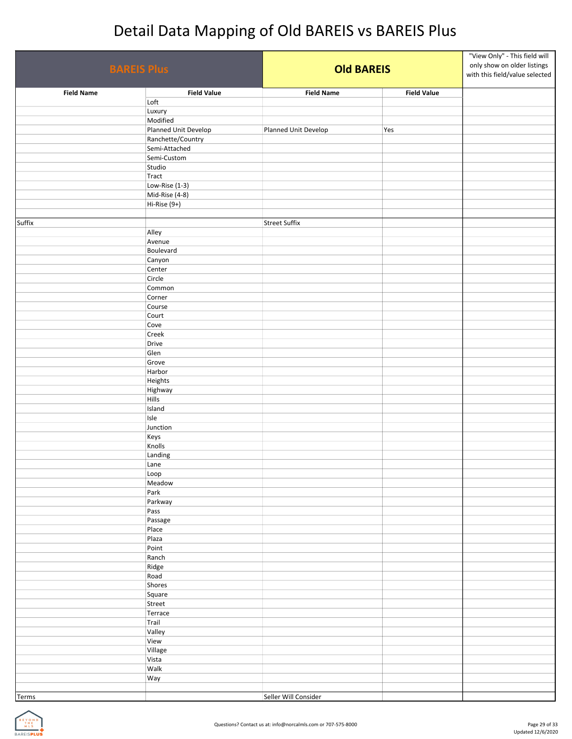| <b>BAREIS Plus</b> |                         | <b>Old BAREIS</b>    |                    | "View Only" - This field will<br>only show on older listings<br>with this field/value selected |
|--------------------|-------------------------|----------------------|--------------------|------------------------------------------------------------------------------------------------|
| <b>Field Name</b>  | <b>Field Value</b>      | <b>Field Name</b>    | <b>Field Value</b> |                                                                                                |
|                    | Loft                    |                      |                    |                                                                                                |
|                    | Luxury<br>Modified      |                      |                    |                                                                                                |
|                    | Planned Unit Develop    | Planned Unit Develop | Yes                |                                                                                                |
|                    | Ranchette/Country       |                      |                    |                                                                                                |
|                    | Semi-Attached           |                      |                    |                                                                                                |
|                    | Semi-Custom             |                      |                    |                                                                                                |
|                    | Studio                  |                      |                    |                                                                                                |
|                    | Tract<br>Low-Rise (1-3) |                      |                    |                                                                                                |
|                    | Mid-Rise (4-8)          |                      |                    |                                                                                                |
|                    | Hi-Rise (9+)            |                      |                    |                                                                                                |
|                    |                         |                      |                    |                                                                                                |
| Suffix             |                         | <b>Street Suffix</b> |                    |                                                                                                |
|                    | Alley                   |                      |                    |                                                                                                |
|                    | Avenue<br>Boulevard     |                      |                    |                                                                                                |
|                    | Canyon                  |                      |                    |                                                                                                |
|                    | Center                  |                      |                    |                                                                                                |
|                    | Circle                  |                      |                    |                                                                                                |
|                    | Common                  |                      |                    |                                                                                                |
|                    | Corner                  |                      |                    |                                                                                                |
|                    | Course                  |                      |                    |                                                                                                |
|                    | Court<br>Cove           |                      |                    |                                                                                                |
|                    | Creek                   |                      |                    |                                                                                                |
|                    | Drive                   |                      |                    |                                                                                                |
|                    | Glen                    |                      |                    |                                                                                                |
|                    | Grove                   |                      |                    |                                                                                                |
|                    | Harbor                  |                      |                    |                                                                                                |
|                    | Heights                 |                      |                    |                                                                                                |
|                    | Highway<br>Hills        |                      |                    |                                                                                                |
|                    | Island                  |                      |                    |                                                                                                |
|                    | Isle                    |                      |                    |                                                                                                |
|                    | Junction                |                      |                    |                                                                                                |
|                    | Keys                    |                      |                    |                                                                                                |
|                    | Knolls                  |                      |                    |                                                                                                |
|                    | Landing                 |                      |                    |                                                                                                |
|                    | Lane<br>Loop            |                      |                    |                                                                                                |
|                    | Meadow                  |                      |                    |                                                                                                |
|                    | Park                    |                      |                    |                                                                                                |
|                    | Parkway                 |                      |                    |                                                                                                |
|                    | Pass                    |                      |                    |                                                                                                |
|                    | Passage                 |                      |                    |                                                                                                |
|                    | Place<br>Plaza          |                      |                    |                                                                                                |
|                    | Point                   |                      |                    |                                                                                                |
|                    | Ranch                   |                      |                    |                                                                                                |
|                    | Ridge                   |                      |                    |                                                                                                |
|                    | Road                    |                      |                    |                                                                                                |
|                    | Shores                  |                      |                    |                                                                                                |
|                    | Square                  |                      |                    |                                                                                                |
|                    | Street<br>Terrace       |                      |                    |                                                                                                |
|                    | Trail                   |                      |                    |                                                                                                |
|                    | Valley                  |                      |                    |                                                                                                |
|                    | View                    |                      |                    |                                                                                                |
|                    | Village                 |                      |                    |                                                                                                |
|                    | Vista                   |                      |                    |                                                                                                |
|                    | Walk                    |                      |                    |                                                                                                |
|                    | Way                     |                      |                    |                                                                                                |
| Terms              |                         | Seller Will Consider |                    |                                                                                                |
|                    |                         |                      |                    |                                                                                                |

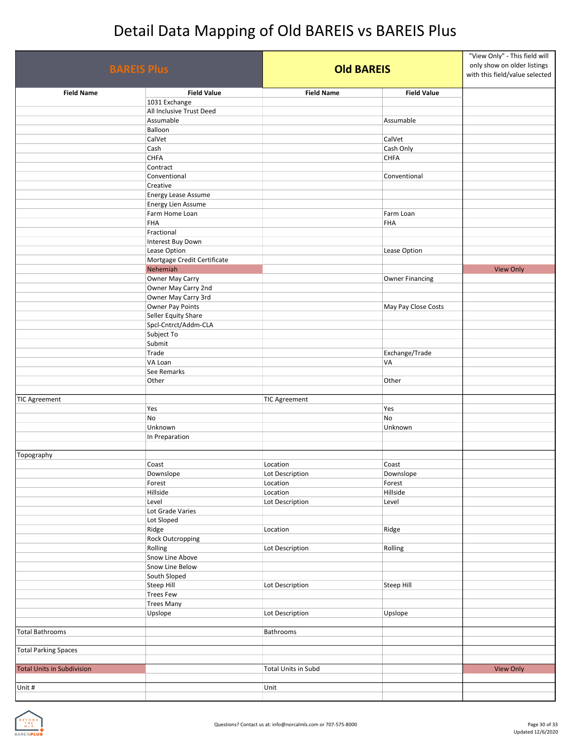| <b>BAREIS Plus</b>                |                             | <b>Old BAREIS</b>    |                        | "View Only" - This field will<br>only show on older listings<br>with this field/value selected |
|-----------------------------------|-----------------------------|----------------------|------------------------|------------------------------------------------------------------------------------------------|
| <b>Field Name</b>                 | <b>Field Value</b>          | <b>Field Name</b>    | <b>Field Value</b>     |                                                                                                |
|                                   | 1031 Exchange               |                      |                        |                                                                                                |
|                                   | All Inclusive Trust Deed    |                      |                        |                                                                                                |
|                                   | Assumable                   |                      | Assumable              |                                                                                                |
|                                   | Balloon                     |                      |                        |                                                                                                |
|                                   | CalVet<br>Cash              |                      | CalVet<br>Cash Only    |                                                                                                |
|                                   | <b>CHFA</b>                 |                      | <b>CHFA</b>            |                                                                                                |
|                                   | Contract                    |                      |                        |                                                                                                |
|                                   | Conventional                |                      | Conventional           |                                                                                                |
|                                   | Creative                    |                      |                        |                                                                                                |
|                                   | Energy Lease Assume         |                      |                        |                                                                                                |
|                                   | Energy Lien Assume          |                      |                        |                                                                                                |
|                                   | Farm Home Loan              |                      | Farm Loan              |                                                                                                |
|                                   | <b>FHA</b>                  |                      | <b>FHA</b>             |                                                                                                |
|                                   | Fractional                  |                      |                        |                                                                                                |
|                                   | Interest Buy Down           |                      |                        |                                                                                                |
|                                   | Lease Option                |                      | Lease Option           |                                                                                                |
|                                   | Mortgage Credit Certificate |                      |                        |                                                                                                |
|                                   | Nehemiah                    |                      |                        | <b>View Only</b>                                                                               |
|                                   | Owner May Carry             |                      | <b>Owner Financing</b> |                                                                                                |
|                                   | Owner May Carry 2nd         |                      |                        |                                                                                                |
|                                   | Owner May Carry 3rd         |                      |                        |                                                                                                |
|                                   | Owner Pay Points            |                      | May Pay Close Costs    |                                                                                                |
|                                   | Seller Equity Share         |                      |                        |                                                                                                |
|                                   | Spcl-Cntrct/Addm-CLA        |                      |                        |                                                                                                |
|                                   | Subject To                  |                      |                        |                                                                                                |
|                                   | Submit                      |                      |                        |                                                                                                |
|                                   | Trade                       |                      | Exchange/Trade         |                                                                                                |
|                                   | VA Loan                     |                      | VA                     |                                                                                                |
|                                   | See Remarks                 |                      |                        |                                                                                                |
|                                   | Other                       |                      | Other                  |                                                                                                |
|                                   |                             |                      |                        |                                                                                                |
| <b>TIC Agreement</b>              |                             | <b>TIC Agreement</b> |                        |                                                                                                |
|                                   | Yes                         |                      | Yes                    |                                                                                                |
|                                   | No                          |                      | No<br>Unknown          |                                                                                                |
|                                   | Unknown                     |                      |                        |                                                                                                |
|                                   | In Preparation              |                      |                        |                                                                                                |
| Topography                        |                             |                      |                        |                                                                                                |
|                                   | Coast                       | Location             | Coast                  |                                                                                                |
|                                   | Downslope                   | Lot Description      | Downslope              |                                                                                                |
|                                   | Forest                      | Location             | Forest                 |                                                                                                |
|                                   | Hillside                    | Location             | Hillside               |                                                                                                |
|                                   | Level                       | Lot Description      | Level                  |                                                                                                |
|                                   | Lot Grade Varies            |                      |                        |                                                                                                |
|                                   | Lot Sloped                  |                      |                        |                                                                                                |
|                                   | Ridge                       | Location             | Ridge                  |                                                                                                |
|                                   | Rock Outcropping            |                      |                        |                                                                                                |
|                                   | Rolling                     | Lot Description      | Rolling                |                                                                                                |
|                                   | Snow Line Above             |                      |                        |                                                                                                |
|                                   | Snow Line Below             |                      |                        |                                                                                                |
|                                   | South Sloped                |                      |                        |                                                                                                |
|                                   | Steep Hill                  | Lot Description      | <b>Steep Hill</b>      |                                                                                                |
|                                   | <b>Trees Few</b>            |                      |                        |                                                                                                |
|                                   | <b>Trees Many</b>           |                      |                        |                                                                                                |
|                                   | Upslope                     | Lot Description      | Upslope                |                                                                                                |
|                                   |                             |                      |                        |                                                                                                |
| <b>Total Bathrooms</b>            |                             | Bathrooms            |                        |                                                                                                |
|                                   |                             |                      |                        |                                                                                                |
| <b>Total Parking Spaces</b>       |                             |                      |                        |                                                                                                |
| <b>Total Units in Subdivision</b> |                             |                      |                        | View Only                                                                                      |
|                                   |                             | Total Units in Subd  |                        |                                                                                                |
| Unit #                            |                             | Unit                 |                        |                                                                                                |
|                                   |                             |                      |                        |                                                                                                |

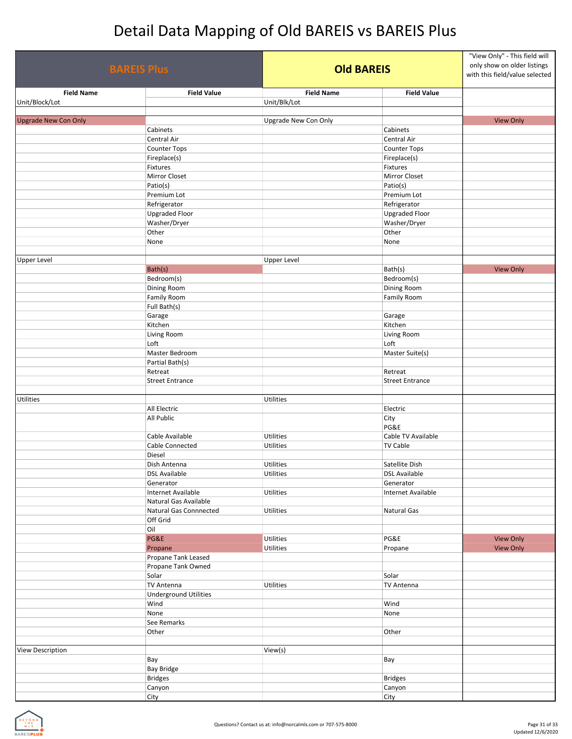| <b>BAREIS Plus</b>                  |                                           | <b>Old BAREIS</b>                 |                                        | "View Only" - This field will<br>only show on older listings<br>with this field/value selected |
|-------------------------------------|-------------------------------------------|-----------------------------------|----------------------------------------|------------------------------------------------------------------------------------------------|
| <b>Field Name</b><br>Unit/Block/Lot | <b>Field Value</b>                        | <b>Field Name</b><br>Unit/Blk/Lot | <b>Field Value</b>                     |                                                                                                |
|                                     |                                           |                                   |                                        |                                                                                                |
| <b>Upgrade New Con Only</b>         | Cabinets                                  | Upgrade New Con Only              | Cabinets                               | <b>View Only</b>                                                                               |
|                                     | Central Air                               |                                   | Central Air                            |                                                                                                |
|                                     | Counter Tops                              |                                   | <b>Counter Tops</b>                    |                                                                                                |
|                                     | Fireplace(s)                              |                                   | Fireplace(s)                           |                                                                                                |
|                                     | Fixtures                                  |                                   | Fixtures                               |                                                                                                |
|                                     | Mirror Closet                             |                                   | Mirror Closet                          |                                                                                                |
|                                     | Patio(s)                                  |                                   | Patio(s)                               |                                                                                                |
|                                     | Premium Lot<br>Refrigerator               |                                   | Premium Lot<br>Refrigerator            |                                                                                                |
|                                     | <b>Upgraded Floor</b>                     |                                   | <b>Upgraded Floor</b>                  |                                                                                                |
|                                     | Washer/Dryer                              |                                   | Washer/Dryer                           |                                                                                                |
|                                     | Other                                     |                                   | Other                                  |                                                                                                |
|                                     | None                                      |                                   | None                                   |                                                                                                |
|                                     |                                           |                                   |                                        |                                                                                                |
| <b>Upper Level</b>                  |                                           | <b>Upper Level</b>                |                                        |                                                                                                |
|                                     | Bath(s)<br>Bedroom(s)                     |                                   | Bath(s)<br>Bedroom(s)                  | <b>View Only</b>                                                                               |
|                                     | Dining Room                               |                                   | Dining Room                            |                                                                                                |
|                                     | Family Room                               |                                   | <b>Family Room</b>                     |                                                                                                |
|                                     | Full Bath(s)                              |                                   |                                        |                                                                                                |
|                                     | Garage                                    |                                   | Garage                                 |                                                                                                |
|                                     | Kitchen                                   |                                   | Kitchen                                |                                                                                                |
|                                     | Living Room                               |                                   | Living Room                            |                                                                                                |
|                                     | Loft                                      |                                   | Loft                                   |                                                                                                |
|                                     | Master Bedroom<br>Partial Bath(s)         |                                   | Master Suite(s)                        |                                                                                                |
|                                     | Retreat                                   |                                   | Retreat                                |                                                                                                |
|                                     | <b>Street Entrance</b>                    |                                   | <b>Street Entrance</b>                 |                                                                                                |
|                                     |                                           |                                   |                                        |                                                                                                |
| <b>Utilities</b>                    |                                           | <b>Utilities</b>                  |                                        |                                                                                                |
|                                     | All Electric                              |                                   | Electric                               |                                                                                                |
|                                     | All Public                                |                                   | City<br>PG&E                           |                                                                                                |
|                                     | Cable Available                           | Utilities                         | Cable TV Available                     |                                                                                                |
|                                     | Cable Connected                           | Utilities                         | <b>TV Cable</b>                        |                                                                                                |
|                                     | Diesel                                    |                                   |                                        |                                                                                                |
|                                     | Dish Antenna                              | Utilities                         | Satellite Dish                         |                                                                                                |
|                                     | <b>DSL Available</b>                      | Utilities                         | <b>DSL Available</b>                   |                                                                                                |
|                                     | Generator<br>Internet Available           | Utilities                         | Generator<br><b>Internet Available</b> |                                                                                                |
|                                     | Natural Gas Available                     |                                   |                                        |                                                                                                |
|                                     | Natural Gas Connnected                    | Utilities                         | Natural Gas                            |                                                                                                |
|                                     | Off Grid                                  |                                   |                                        |                                                                                                |
|                                     | Oil                                       |                                   |                                        |                                                                                                |
|                                     | PG&E                                      | Utilities                         | PG&E                                   | <b>View Only</b>                                                                               |
|                                     | Propane                                   | Utilities                         | Propane                                | <b>View Only</b>                                                                               |
|                                     | Propane Tank Leased<br>Propane Tank Owned |                                   |                                        |                                                                                                |
|                                     | Solar                                     |                                   | Solar                                  |                                                                                                |
|                                     | TV Antenna                                | Utilities                         | <b>TV Antenna</b>                      |                                                                                                |
|                                     | <b>Underground Utilities</b>              |                                   |                                        |                                                                                                |
|                                     | Wind                                      |                                   | Wind                                   |                                                                                                |
|                                     | None                                      |                                   | None                                   |                                                                                                |
|                                     | See Remarks                               |                                   |                                        |                                                                                                |
|                                     | Other                                     |                                   | Other                                  |                                                                                                |
| <b>View Description</b>             |                                           | View(s)                           |                                        |                                                                                                |
|                                     | Bay                                       |                                   | Bay                                    |                                                                                                |
|                                     | <b>Bay Bridge</b>                         |                                   |                                        |                                                                                                |
|                                     | <b>Bridges</b>                            |                                   | <b>Bridges</b>                         |                                                                                                |
|                                     | Canyon                                    |                                   | Canyon                                 |                                                                                                |
|                                     | City                                      |                                   | City                                   |                                                                                                |

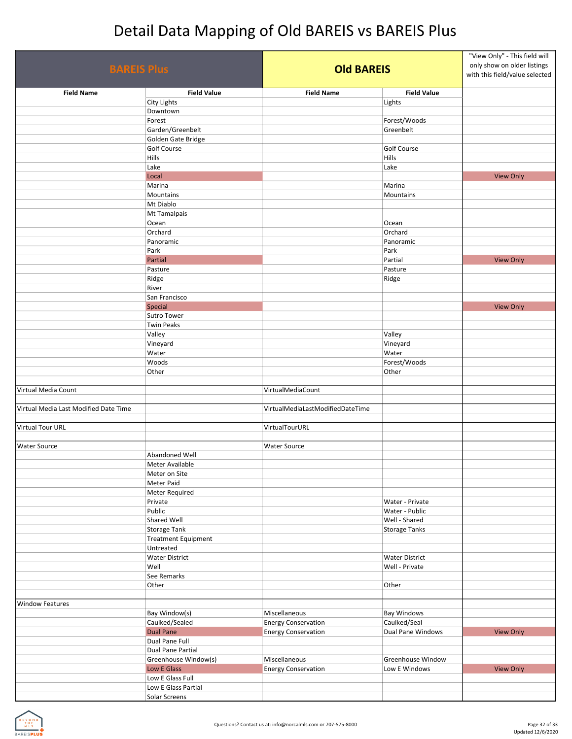| <b>BAREIS Plus</b>                    |                                    | <b>Old BAREIS</b>                |                       | "View Only" - This field will<br>only show on older listings<br>with this field/value selected |  |
|---------------------------------------|------------------------------------|----------------------------------|-----------------------|------------------------------------------------------------------------------------------------|--|
| <b>Field Name</b>                     | <b>Field Value</b>                 | <b>Field Name</b>                | <b>Field Value</b>    |                                                                                                |  |
|                                       | <b>City Lights</b>                 |                                  | Lights                |                                                                                                |  |
|                                       | Downtown                           |                                  |                       |                                                                                                |  |
|                                       | Forest                             |                                  | Forest/Woods          |                                                                                                |  |
|                                       | Garden/Greenbelt                   |                                  | Greenbelt             |                                                                                                |  |
|                                       | Golden Gate Bridge                 |                                  |                       |                                                                                                |  |
|                                       | <b>Golf Course</b>                 |                                  | <b>Golf Course</b>    |                                                                                                |  |
|                                       | Hills                              |                                  | <b>Hills</b>          |                                                                                                |  |
|                                       | Lake                               |                                  | Lake                  |                                                                                                |  |
|                                       | Local                              |                                  |                       | <b>View Only</b>                                                                               |  |
|                                       | Marina                             |                                  | Marina                |                                                                                                |  |
|                                       | Mountains<br>Mt Diablo             |                                  | Mountains             |                                                                                                |  |
|                                       | Mt Tamalpais                       |                                  |                       |                                                                                                |  |
|                                       | Ocean                              |                                  | Ocean                 |                                                                                                |  |
|                                       | Orchard                            |                                  | Orchard               |                                                                                                |  |
|                                       | Panoramic                          |                                  | Panoramic             |                                                                                                |  |
|                                       | Park                               |                                  | Park                  |                                                                                                |  |
|                                       | Partial                            |                                  | Partial               | <b>View Only</b>                                                                               |  |
|                                       | Pasture                            |                                  | Pasture               |                                                                                                |  |
|                                       | Ridge                              |                                  | Ridge                 |                                                                                                |  |
|                                       | River                              |                                  |                       |                                                                                                |  |
|                                       | San Francisco                      |                                  |                       |                                                                                                |  |
|                                       | Special                            |                                  |                       | <b>View Only</b>                                                                               |  |
|                                       | Sutro Tower                        |                                  |                       |                                                                                                |  |
|                                       | <b>Twin Peaks</b>                  |                                  |                       |                                                                                                |  |
|                                       | Valley                             |                                  | Valley                |                                                                                                |  |
|                                       | Vineyard                           |                                  | Vineyard              |                                                                                                |  |
|                                       | Water                              |                                  | Water                 |                                                                                                |  |
|                                       | Woods                              |                                  | Forest/Woods          |                                                                                                |  |
|                                       | Other                              |                                  | Other                 |                                                                                                |  |
| Virtual Media Count                   |                                    | VirtualMediaCount                |                       |                                                                                                |  |
| Virtual Media Last Modified Date Time |                                    | VirtualMediaLastModifiedDateTime |                       |                                                                                                |  |
| <b>Virtual Tour URL</b>               |                                    | VirtualTourURL                   |                       |                                                                                                |  |
|                                       |                                    |                                  |                       |                                                                                                |  |
| <b>Water Source</b>                   |                                    | <b>Water Source</b>              |                       |                                                                                                |  |
|                                       | Abandoned Well                     |                                  |                       |                                                                                                |  |
|                                       | Meter Available                    |                                  |                       |                                                                                                |  |
|                                       | Meter on Site                      |                                  |                       |                                                                                                |  |
|                                       | Meter Paid                         |                                  |                       |                                                                                                |  |
|                                       | Meter Required                     |                                  |                       |                                                                                                |  |
|                                       | Private                            |                                  | Water - Private       |                                                                                                |  |
|                                       | Public                             |                                  | Water - Public        |                                                                                                |  |
|                                       | Shared Well                        |                                  | Well - Shared         |                                                                                                |  |
|                                       | <b>Storage Tank</b>                |                                  | <b>Storage Tanks</b>  |                                                                                                |  |
|                                       | <b>Treatment Equipment</b>         |                                  |                       |                                                                                                |  |
|                                       | Untreated                          |                                  |                       |                                                                                                |  |
|                                       | <b>Water District</b>              |                                  | <b>Water District</b> |                                                                                                |  |
|                                       | Well                               |                                  | Well - Private        |                                                                                                |  |
|                                       | See Remarks                        |                                  |                       |                                                                                                |  |
|                                       | Other                              |                                  | Other                 |                                                                                                |  |
|                                       |                                    |                                  |                       |                                                                                                |  |
| <b>Window Features</b>                |                                    |                                  |                       |                                                                                                |  |
|                                       | Bay Window(s)                      | Miscellaneous                    | <b>Bay Windows</b>    |                                                                                                |  |
|                                       | Caulked/Sealed<br><b>Dual Pane</b> | <b>Energy Conservation</b>       | Caulked/Seal          |                                                                                                |  |
|                                       | Dual Pane Full                     | <b>Energy Conservation</b>       | Dual Pane Windows     | <b>View Only</b>                                                                               |  |
|                                       | Dual Pane Partial                  |                                  |                       |                                                                                                |  |
|                                       | Greenhouse Window(s)               | Miscellaneous                    | Greenhouse Window     |                                                                                                |  |
|                                       | Low E Glass                        | <b>Energy Conservation</b>       | Low E Windows         | <b>View Only</b>                                                                               |  |
|                                       | Low E Glass Full                   |                                  |                       |                                                                                                |  |
|                                       | Low E Glass Partial                |                                  |                       |                                                                                                |  |
|                                       | Solar Screens                      |                                  |                       |                                                                                                |  |
|                                       |                                    |                                  |                       |                                                                                                |  |